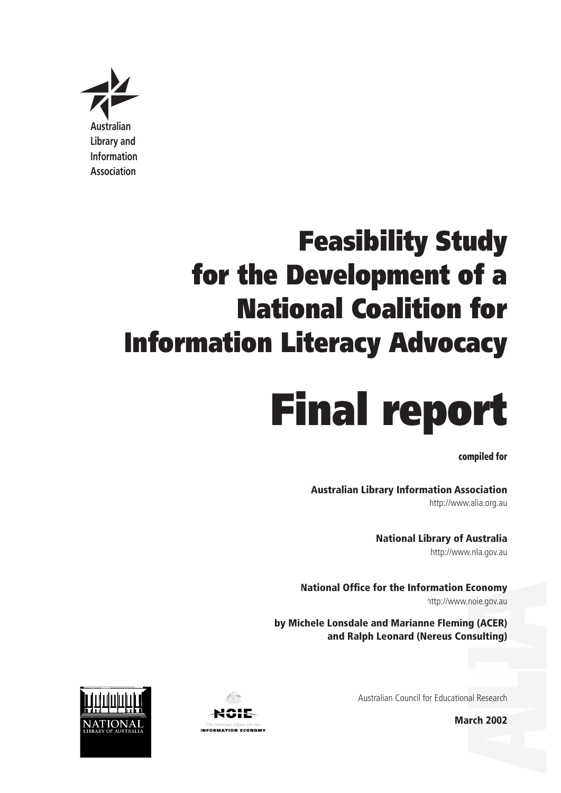

# Feasibility Study for the Development of a National Coalition for Information Literacy Advocacy



compiled for

Australian Library Information Association

http://www.alia.org.au

National Library of Australia http://www.nla.gov.au

National Office for the Information Economy http://www.noie.gov.au

by Michele Lonsdale and Marianne Fleming (ACER) and Ralph Leonard (Nereus Consulting)



Australian Council for Educational Research

March 2002



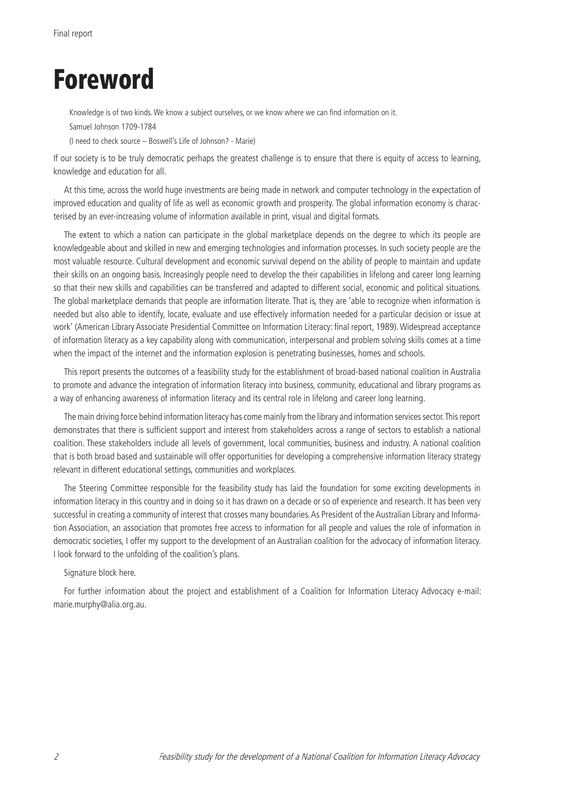# Foreword

Knowledge is of two kinds. We know a subject ourselves, or we know where we can find information on it.

Samuel Johnson 1709-1784

(I need to check source – Boswell's Life of Johnson? - Marie)

If our society is to be truly democratic perhaps the greatest challenge is to ensure that there is equity of access to learning, knowledge and education for all.

At this time, across the world huge investments are being made in network and computer technology in the expectation of improved education and quality of life as well as economic growth and prosperity. The global information economy is characterised by an ever-increasing volume of information available in print, visual and digital formats.

The extent to which a nation can participate in the global marketplace depends on the degree to which its people are knowledgeable about and skilled in new and emerging technologies and information processes. In such society people are the most valuable resource. Cultural development and economic survival depend on the ability of people to maintain and update their skills on an ongoing basis. Increasingly people need to develop the their capabilities in lifelong and career long learning so that their new skills and capabilities can be transferred and adapted to different social, economic and political situations. The global marketplace demands that people are information literate. That is, they are 'able to recognize when information is needed but also able to identify, locate, evaluate and use effectively information needed for a particular decision or issue at work' (American Library Associate Presidential Committee on Information Literacy: final report, 1989). Widespread acceptance of information literacy as a key capability along with communication, interpersonal and problem solving skills comes at a time when the impact of the internet and the information explosion is penetrating businesses, homes and schools.

This report presents the outcomes of a feasibility study for the establishment of broad-based national coalition in Australia to promote and advance the integration of information literacy into business, community, educational and library programs as a way of enhancing awareness of information literacy and its central role in lifelong and career long learning.

The main driving force behind information literacy has come mainly from the library and information services sector. This report demonstrates that there is sufficient support and interest from stakeholders across a range of sectors to establish a national coalition. These stakeholders include all levels of government, local communities, business and industry. A national coalition that is both broad based and sustainable will offer opportunities for developing a comprehensive information literacy strategy relevant in different educational settings, communities and workplaces.

The Steering Committee responsible for the feasibility study has laid the foundation for some exciting developments in information literacy in this country and in doing so it has drawn on a decade or so of experience and research. It has been very successful in creating a community of interest that crosses many boundaries. As President of the Australian Library and Information Association, an association that promotes free access to information for all people and values the role of information in democratic societies, I offer my support to the development of an Australian coalition for the advocacy of information literacy. I look forward to the unfolding of the coalition's plans.

Signature block here.

For further information about the project and establishment of a Coalition for Information Literacy Advocacy e-mail: marie.murphy@alia.org.au.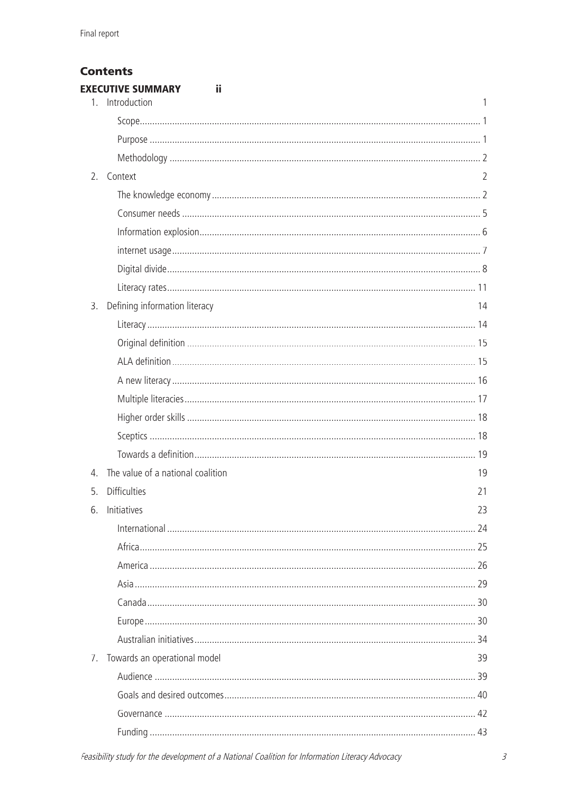# **Contents**

|    | <b>EXECUTIVE SUMMARY</b><br>ii.<br>Introduction |    |
|----|-------------------------------------------------|----|
|    |                                                 |    |
|    |                                                 |    |
|    |                                                 |    |
| 2. | Context                                         | 2  |
|    |                                                 |    |
|    |                                                 |    |
|    |                                                 |    |
|    |                                                 |    |
|    |                                                 |    |
|    |                                                 |    |
| 3. | Defining information literacy                   | 14 |
|    |                                                 |    |
|    |                                                 |    |
|    |                                                 |    |
|    |                                                 |    |
|    |                                                 |    |
|    |                                                 |    |
|    |                                                 |    |
|    |                                                 |    |
| 4  | The value of a national coalition               | 19 |
| 5. | <b>Difficulties</b>                             | 21 |
| 6. | Initiatives                                     | 23 |
|    |                                                 | 24 |
|    |                                                 |    |
|    |                                                 |    |
|    |                                                 |    |
|    |                                                 |    |
|    |                                                 |    |
|    |                                                 |    |
| 7. | Towards an operational model                    | 39 |
|    |                                                 |    |
|    |                                                 |    |
|    |                                                 |    |
|    |                                                 |    |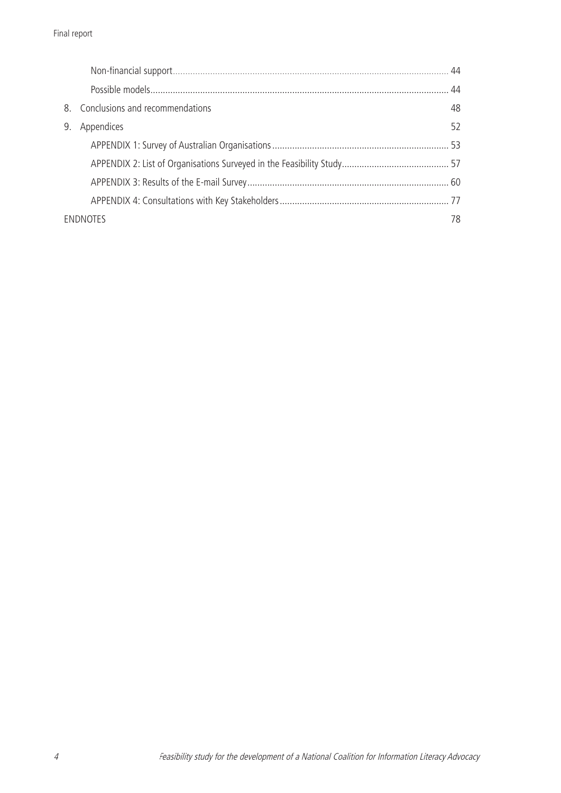|          | 8. Conclusions and recommendations | 48 |
|----------|------------------------------------|----|
| 9.       | Appendices                         | 52 |
|          |                                    |    |
|          |                                    |    |
|          |                                    |    |
|          |                                    |    |
| ENDNOTES |                                    | 78 |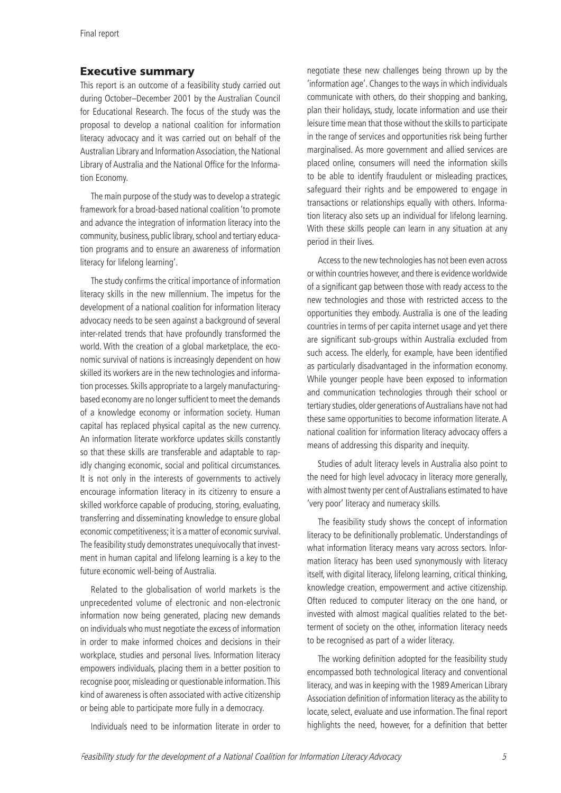## Executive summary

This report is an outcome of a feasibility study carried out during October–December 2001 by the Australian Council for Educational Research. The focus of the study was the proposal to develop a national coalition for information literacy advocacy and it was carried out on behalf of the Australian Library and Information Association, the National Library of Australia and the National Office for the Information Economy.

The main purpose of the study was to develop a strategic framework for a broad-based national coalition 'to promote and advance the integration of information literacy into the community, business, public library, school and tertiary education programs and to ensure an awareness of information literacy for lifelong learning'.

The study confirms the critical importance of information literacy skills in the new millennium. The impetus for the development of a national coalition for information literacy advocacy needs to be seen against a background of several inter-related trends that have profoundly transformed the world. With the creation of a global marketplace, the economic survival of nations is increasingly dependent on how skilled its workers are in the new technologies and information processes. Skills appropriate to a largely manufacturingbased economy are no longer sufficient to meet the demands of a knowledge economy or information society. Human capital has replaced physical capital as the new currency. An information literate workforce updates skills constantly so that these skills are transferable and adaptable to rapidly changing economic, social and political circumstances. It is not only in the interests of governments to actively encourage information literacy in its citizenry to ensure a skilled workforce capable of producing, storing, evaluating, transferring and disseminating knowledge to ensure global economic competitiveness; it is a matter of economic survival. The feasibility study demonstrates unequivocally that investment in human capital and lifelong learning is a key to the future economic well-being of Australia.

Related to the globalisation of world markets is the unprecedented volume of electronic and non-electronic information now being generated, placing new demands on individuals who must negotiate the excess of information in order to make informed choices and decisions in their workplace, studies and personal lives. Information literacy empowers individuals, placing them in a better position to recognise poor, misleading or questionable information. This kind of awareness is often associated with active citizenship or being able to participate more fully in a democracy.

Individuals need to be information literate in order to

negotiate these new challenges being thrown up by the 'information age'. Changes to the ways in which individuals communicate with others, do their shopping and banking, plan their holidays, study, locate information and use their leisure time mean that those without the skills to participate in the range of services and opportunities risk being further marginalised. As more government and allied services are placed online, consumers will need the information skills to be able to identify fraudulent or misleading practices, safeguard their rights and be empowered to engage in transactions or relationships equally with others. Information literacy also sets up an individual for lifelong learning. With these skills people can learn in any situation at any period in their lives.

Access to the new technologies has not been even across or within countries however, and there is evidence worldwide of a significant gap between those with ready access to the new technologies and those with restricted access to the opportunities they embody. Australia is one of the leading countries in terms of per capita internet usage and yet there are significant sub-groups within Australia excluded from such access. The elderly, for example, have been identified as particularly disadvantaged in the information economy. While younger people have been exposed to information and communication technologies through their school or tertiary studies, older generations of Australians have not had these same opportunities to become information literate. A national coalition for information literacy advocacy offers a means of addressing this disparity and inequity.

Studies of adult literacy levels in Australia also point to the need for high level advocacy in literacy more generally, with almost twenty per cent of Australians estimated to have 'very poor' literacy and numeracy skills.

The feasibility study shows the concept of information literacy to be definitionally problematic. Understandings of what information literacy means vary across sectors. Information literacy has been used synonymously with literacy itself, with digital literacy, lifelong learning, critical thinking, knowledge creation, empowerment and active citizenship. Often reduced to computer literacy on the one hand, or invested with almost magical qualities related to the betterment of society on the other, information literacy needs to be recognised as part of a wider literacy.

The working definition adopted for the feasibility study encompassed both technological literacy and conventional literacy, and was in keeping with the 1989 American Library Association definition of information literacy as the ability to locate, select, evaluate and use information. The final report highlights the need, however, for a definition that better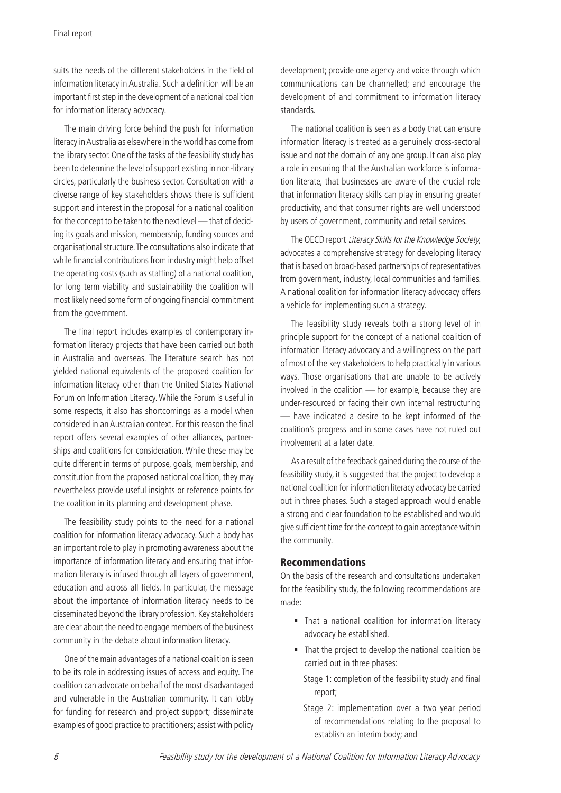suits the needs of the different stakeholders in the field of information literacy in Australia. Such a definition will be an important first step in the development of a national coalition for information literacy advocacy.

The main driving force behind the push for information literacy in Australia as elsewhere in the world has come from the library sector. One of the tasks of the feasibility study has been to determine the level of support existing in non-library circles, particularly the business sector. Consultation with a diverse range of key stakeholders shows there is sufficient support and interest in the proposal for a national coalition for the concept to be taken to the next level — that of deciding its goals and mission, membership, funding sources and organisational structure. The consultations also indicate that while financial contributions from industry might help offset the operating costs (such as staffing) of a national coalition, for long term viability and sustainability the coalition will most likely need some form of ongoing financial commitment from the government.

The final report includes examples of contemporary information literacy projects that have been carried out both in Australia and overseas. The literature search has not yielded national equivalents of the proposed coalition for information literacy other than the United States National Forum on Information Literacy. While the Forum is useful in some respects, it also has shortcomings as a model when considered in an Australian context. For this reason the final report offers several examples of other alliances, partnerships and coalitions for consideration. While these may be quite different in terms of purpose, goals, membership, and constitution from the proposed national coalition, they may nevertheless provide useful insights or reference points for the coalition in its planning and development phase.

The feasibility study points to the need for a national coalition for information literacy advocacy. Such a body has an important role to play in promoting awareness about the importance of information literacy and ensuring that information literacy is infused through all layers of government, education and across all fields. In particular, the message about the importance of information literacy needs to be disseminated beyond the library profession. Key stakeholders are clear about the need to engage members of the business community in the debate about information literacy.

One of the main advantages of a national coalition is seen to be its role in addressing issues of access and equity. The coalition can advocate on behalf of the most disadvantaged and vulnerable in the Australian community. It can lobby for funding for research and project support; disseminate examples of good practice to practitioners; assist with policy development; provide one agency and voice through which communications can be channelled; and encourage the development of and commitment to information literacy standards.

The national coalition is seen as a body that can ensure information literacy is treated as a genuinely cross-sectoral issue and not the domain of any one group. It can also play a role in ensuring that the Australian workforce is information literate, that businesses are aware of the crucial role that information literacy skills can play in ensuring greater productivity, and that consumer rights are well understood by users of government, community and retail services.

The OECD report Literacy Skills for the Knowledge Society, advocates a comprehensive strategy for developing literacy that is based on broad-based partnerships of representatives from government, industry, local communities and families. A national coalition for information literacy advocacy offers a vehicle for implementing such a strategy.

The feasibility study reveals both a strong level of in principle support for the concept of a national coalition of information literacy advocacy and a willingness on the part of most of the key stakeholders to help practically in various ways. Those organisations that are unable to be actively involved in the coalition — for example, because they are under-resourced or facing their own internal restructuring — have indicated a desire to be kept informed of the coalition's progress and in some cases have not ruled out involvement at a later date.

As a result of the feedback gained during the course of the feasibility study, it is suggested that the project to develop a national coalition for information literacy advocacy be carried out in three phases. Such a staged approach would enable a strong and clear foundation to be established and would give sufficient time for the concept to gain acceptance within the community.

#### Recommendations

On the basis of the research and consultations undertaken for the feasibility study, the following recommendations are made:

- That a national coalition for information literacy advocacy be established.
- § That the project to develop the national coalition be carried out in three phases:
	- Stage 1: completion of the feasibility study and final report;
	- Stage 2: implementation over a two year period of recommendations relating to the proposal to establish an interim body; and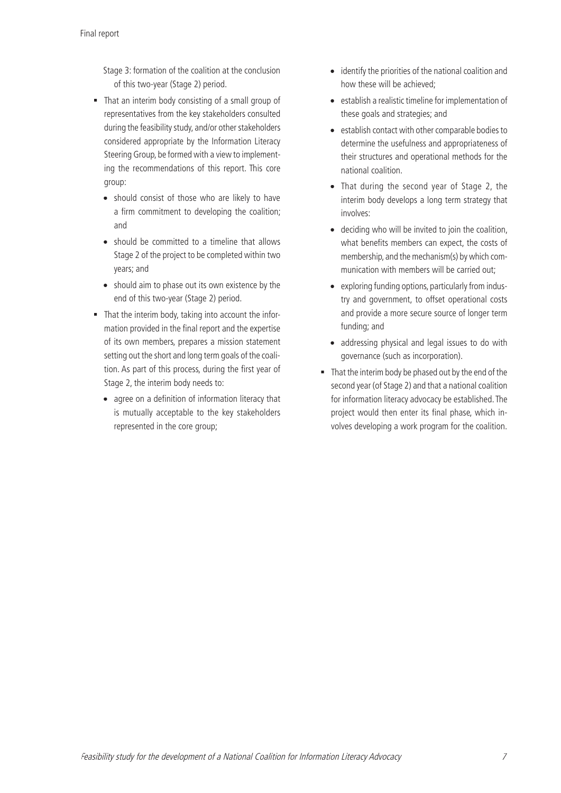Stage 3: formation of the coalition at the conclusion of this two-year (Stage 2) period.

- That an interim body consisting of a small group of representatives from the key stakeholders consulted during the feasibility study, and/or other stakeholders considered appropriate by the Information Literacy Steering Group, be formed with a view to implementing the recommendations of this report. This core group:
	- should consist of those who are likely to have a firm commitment to developing the coalition; and
	- should be committed to a timeline that allows Stage 2 of the project to be completed within two years; and
	- should aim to phase out its own existence by the end of this two-year (Stage 2) period.
- That the interim body, taking into account the information provided in the final report and the expertise of its own members, prepares a mission statement setting out the short and long term goals of the coalition. As part of this process, during the first year of Stage 2, the interim body needs to:
	- agree on a definition of information literacy that is mutually acceptable to the key stakeholders represented in the core group;
- identify the priorities of the national coalition and how these will be achieved;
- establish a realistic timeline for implementation of these goals and strategies; and
- establish contact with other comparable bodies to determine the usefulness and appropriateness of their structures and operational methods for the national coalition.
- That during the second year of Stage 2, the interim body develops a long term strategy that involves:
- deciding who will be invited to join the coalition, what benefits members can expect, the costs of membership, and the mechanism(s) by which communication with members will be carried out;
- exploring funding options, particularly from industry and government, to offset operational costs and provide a more secure source of longer term funding; and
- addressing physical and legal issues to do with governance (such as incorporation).
- That the interim body be phased out by the end of the second year (of Stage 2) and that a national coalition for information literacy advocacy be established. The project would then enter its final phase, which involves developing a work program for the coalition.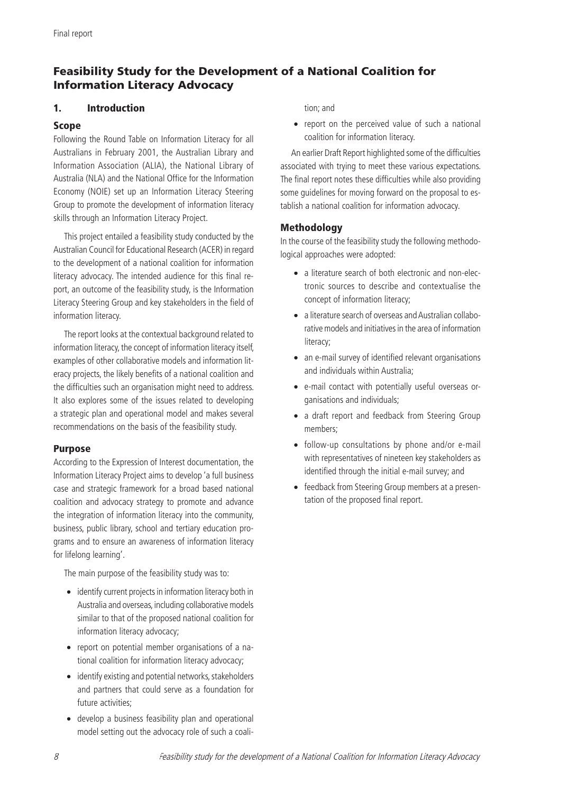# Feasibility Study for the Development of a National Coalition for Information Literacy Advocacy

## 1. Introduction

## Scope

Following the Round Table on Information Literacy for all Australians in February 2001, the Australian Library and Information Association (ALIA), the National Library of Australia (NLA) and the National Office for the Information Economy (NOIE) set up an Information Literacy Steering Group to promote the development of information literacy skills through an Information Literacy Project.

This project entailed a feasibility study conducted by the Australian Council for Educational Research (ACER) in regard to the development of a national coalition for information literacy advocacy. The intended audience for this final report, an outcome of the feasibility study, is the Information Literacy Steering Group and key stakeholders in the field of information literacy.

The report looks at the contextual background related to information literacy, the concept of information literacy itself, examples of other collaborative models and information literacy projects, the likely benefits of a national coalition and the difficulties such an organisation might need to address. It also explores some of the issues related to developing a strategic plan and operational model and makes several recommendations on the basis of the feasibility study.

## Purpose

According to the Expression of Interest documentation, the Information Literacy Project aims to develop 'a full business case and strategic framework for a broad based national coalition and advocacy strategy to promote and advance the integration of information literacy into the community, business, public library, school and tertiary education programs and to ensure an awareness of information literacy for lifelong learning'.

The main purpose of the feasibility study was to:

- identify current projects in information literacy both in Australia and overseas, including collaborative models similar to that of the proposed national coalition for information literacy advocacy;
- report on potential member organisations of a national coalition for information literacy advocacy;
- identify existing and potential networks, stakeholders and partners that could serve as a foundation for future activities;
- develop a business feasibility plan and operational model setting out the advocacy role of such a coali-

tion; and

• report on the perceived value of such a national coalition for information literacy.

An earlier Draft Report highlighted some of the difficulties associated with trying to meet these various expectations. The final report notes these difficulties while also providing some guidelines for moving forward on the proposal to establish a national coalition for information advocacy.

## Methodology

In the course of the feasibility study the following methodological approaches were adopted:

- a literature search of both electronic and non-electronic sources to describe and contextualise the concept of information literacy;
- a literature search of overseas and Australian collaborative models and initiatives in the area of information literacy;
- $\bullet$  an e-mail survey of identified relevant organisations and individuals within Australia;
- e-mail contact with potentially useful overseas organisations and individuals;
- a draft report and feedback from Steering Group members;
- follow-up consultations by phone and/or e-mail with representatives of nineteen key stakeholders as identified through the initial e-mail survey; and
- feedback from Steering Group members at a presentation of the proposed final report.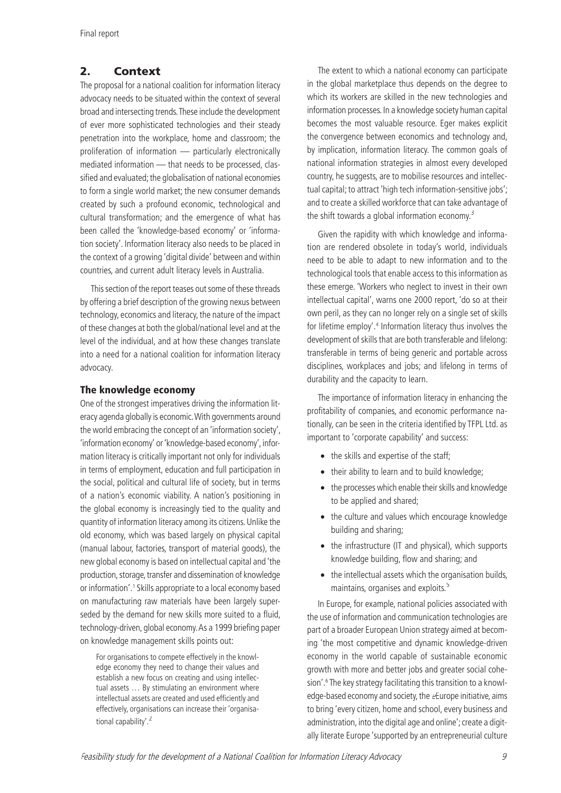# 2. Context

The proposal for a national coalition for information literacy advocacy needs to be situated within the context of several broad and intersecting trends. These include the development of ever more sophisticated technologies and their steady penetration into the workplace, home and classroom; the proliferation of information — particularly electronically mediated information — that needs to be processed, classified and evaluated; the globalisation of national economies to form a single world market; the new consumer demands created by such a profound economic, technological and cultural transformation; and the emergence of what has been called the 'knowledge-based economy' or 'information society'. Information literacy also needs to be placed in the context of a growing 'digital divide' between and within countries, and current adult literacy levels in Australia.

This section of the report teases out some of these threads by offering a brief description of the growing nexus between technology, economics and literacy, the nature of the impact of these changes at both the global/national level and at the level of the individual, and at how these changes translate into a need for a national coalition for information literacy advocacy.

## The knowledge economy

One of the strongest imperatives driving the information literacy agenda globally is economic. With governments around the world embracing the concept of an 'information society', 'information economy' or 'knowledge-based economy', information literacy is critically important not only for individuals in terms of employment, education and full participation in the social, political and cultural life of society, but in terms of a nation's economic viability. A nation's positioning in the global economy is increasingly tied to the quality and quantity of information literacy among its citizens. Unlike the old economy, which was based largely on physical capital (manual labour, factories, transport of material goods), the new global economy is based on intellectual capital and 'the production, storage, transfer and dissemination of knowledge or information'.<sup>1</sup> Skills appropriate to a local economy based on manufacturing raw materials have been largely superseded by the demand for new skills more suited to a fluid, technology-driven, global economy. As a 1999 briefing paper on knowledge management skills points out:

For organisations to compete effectively in the knowledge economy they need to change their values and establish a new focus on creating and using intellectual assets … By stimulating an environment where intellectual assets are created and used efficiently and effectively, organisations can increase their 'organisational capability'.<sup>2</sup>

The extent to which a national economy can participate in the global marketplace thus depends on the degree to which its workers are skilled in the new technologies and information processes. In a knowledge society human capital becomes the most valuable resource. Eger makes explicit the convergence between economics and technology and, by implication, information literacy. The common goals of national information strategies in almost every developed country, he suggests, are to mobilise resources and intellectual capital; to attract 'high tech information-sensitive jobs'; and to create a skilled workforce that can take advantage of the shift towards a global information economy. $3$ 

Given the rapidity with which knowledge and information are rendered obsolete in today's world, individuals need to be able to adapt to new information and to the technological tools that enable access to this information as these emerge. 'Workers who neglect to invest in their own intellectual capital', warns one 2000 report, 'do so at their own peril, as they can no longer rely on a single set of skills for lifetime employ'.<sup>4</sup> Information literacy thus involves the development of skills that are both transferable and lifelong: transferable in terms of being generic and portable across disciplines, workplaces and jobs; and lifelong in terms of durability and the capacity to learn.

The importance of information literacy in enhancing the profitability of companies, and economic performance nationally, can be seen in the criteria identified by TFPL Ltd. as important to 'corporate capability' and success:

- the skills and expertise of the staff;
- their ability to learn and to build knowledge;
- the processes which enable their skills and knowledge to be applied and shared;
- the culture and values which encourage knowledge building and sharing;
- the infrastructure (IT and physical), which supports knowledge building, flow and sharing; and
- the intellectual assets which the organisation builds, maintains, organises and exploits.<sup>5</sup>

In Europe, for example, national policies associated with the use of information and communication technologies are part of a broader European Union strategy aimed at becoming 'the most competitive and dynamic knowledge-driven economy in the world capable of sustainable economic growth with more and better jobs and greater social cohesion'.6 The key strategy facilitating this transition to a knowledge-based economy and society, the eEurope initiative, aims to bring 'every citizen, home and school, every business and administration, into the digital age and online'; create a digitally literate Europe 'supported by an entrepreneurial culture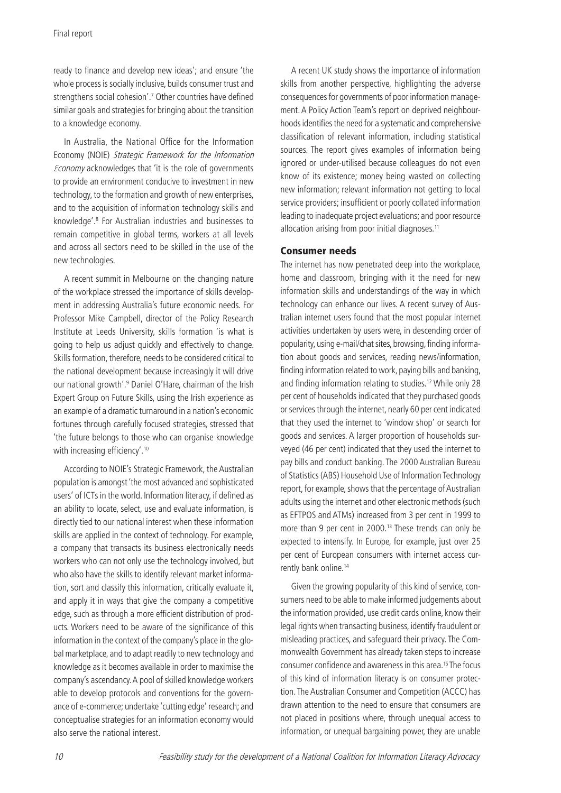ready to finance and develop new ideas'; and ensure 'the whole process is socially inclusive, builds consumer trust and strengthens social cohesion'.<sup>7</sup> Other countries have defined similar goals and strategies for bringing about the transition to a knowledge economy.

In Australia, the National Office for the Information Economy (NOIE) Strategic Framework for the Information Economy acknowledges that 'it is the role of governments to provide an environment conducive to investment in new technology, to the formation and growth of new enterprises, and to the acquisition of information technology skills and knowledge'.8 For Australian industries and businesses to remain competitive in global terms, workers at all levels and across all sectors need to be skilled in the use of the new technologies.

A recent summit in Melbourne on the changing nature of the workplace stressed the importance of skills development in addressing Australia's future economic needs. For Professor Mike Campbell, director of the Policy Research Institute at Leeds University, skills formation 'is what is going to help us adjust quickly and effectively to change. Skills formation, therefore, needs to be considered critical to the national development because increasingly it will drive our national growth'.<sup>9</sup> Daniel O'Hare, chairman of the Irish Expert Group on Future Skills, using the Irish experience as an example of a dramatic turnaround in a nation's economic fortunes through carefully focused strategies, stressed that 'the future belongs to those who can organise knowledge with increasing efficiency'.<sup>10</sup>

According to NOIE's Strategic Framework, the Australian population is amongst 'the most advanced and sophisticated users' of ICTs in the world. Information literacy, if defined as an ability to locate, select, use and evaluate information, is directly tied to our national interest when these information skills are applied in the context of technology. For example, a company that transacts its business electronically needs workers who can not only use the technology involved, but who also have the skills to identify relevant market information, sort and classify this information, critically evaluate it, and apply it in ways that give the company a competitive edge, such as through a more efficient distribution of products. Workers need to be aware of the significance of this information in the context of the company's place in the global marketplace, and to adapt readily to new technology and knowledge as it becomes available in order to maximise the company's ascendancy. A pool of skilled knowledge workers able to develop protocols and conventions for the governance of e-commerce; undertake 'cutting edge' research; and conceptualise strategies for an information economy would also serve the national interest.

A recent UK study shows the importance of information skills from another perspective, highlighting the adverse consequences for governments of poor information management. A Policy Action Team's report on deprived neighbourhoods identifies the need for a systematic and comprehensive classification of relevant information, including statistical sources. The report gives examples of information being ignored or under-utilised because colleagues do not even know of its existence; money being wasted on collecting new information; relevant information not getting to local service providers; insufficient or poorly collated information leading to inadequate project evaluations; and poor resource allocation arising from poor initial diagnoses.<sup>11</sup>

#### Consumer needs

The internet has now penetrated deep into the workplace, home and classroom, bringing with it the need for new information skills and understandings of the way in which technology can enhance our lives. A recent survey of Australian internet users found that the most popular internet activities undertaken by users were, in descending order of popularity, using e-mail/chat sites, browsing, finding information about goods and services, reading news/information, finding information related to work, paying bills and banking, and finding information relating to studies.<sup>12</sup> While only 28 per cent of households indicated that they purchased goods or services through the internet, nearly 60 per cent indicated that they used the internet to 'window shop' or search for goods and services. A larger proportion of households surveyed (46 per cent) indicated that they used the internet to pay bills and conduct banking. The 2000 Australian Bureau of Statistics (ABS) Household Use of Information Technology report, for example, shows that the percentage of Australian adults using the internet and other electronic methods (such as EFTPOS and ATMs) increased from 3 per cent in 1999 to more than 9 per cent in 2000.<sup>13</sup> These trends can only be expected to intensify. In Europe, for example, just over 25 per cent of European consumers with internet access currently bank online.14

Given the growing popularity of this kind of service, consumers need to be able to make informed judgements about the information provided, use credit cards online, know their legal rights when transacting business, identify fraudulent or misleading practices, and safeguard their privacy. The Commonwealth Government has already taken steps to increase consumer confidence and awareness in this area.<sup>15</sup> The focus of this kind of information literacy is on consumer protection. The Australian Consumer and Competition (ACCC) has drawn attention to the need to ensure that consumers are not placed in positions where, through unequal access to information, or unequal bargaining power, they are unable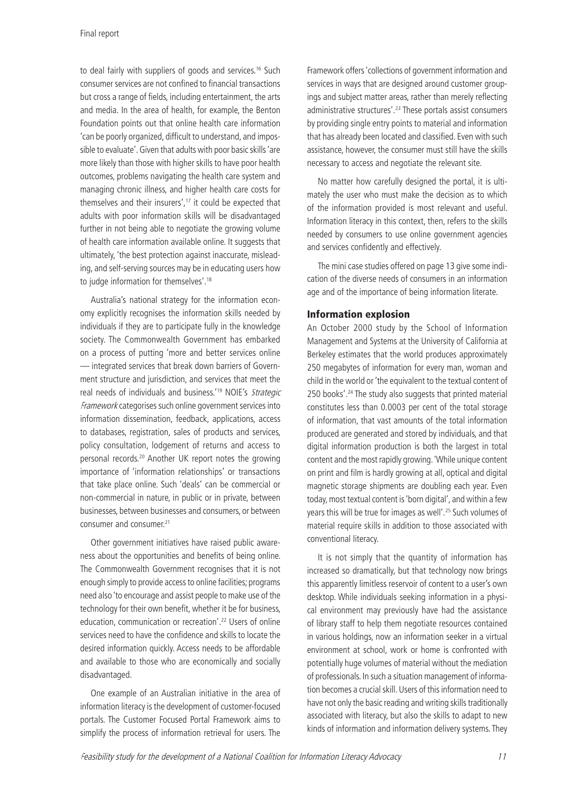to deal fairly with suppliers of goods and services.16 Such consumer services are not confined to financial transactions but cross a range of fields, including entertainment, the arts and media. In the area of health, for example, the Benton Foundation points out that online health care information 'can be poorly organized, difficult to understand, and impossible to evaluate'. Given that adults with poor basic skills 'are more likely than those with higher skills to have poor health outcomes, problems navigating the health care system and managing chronic illness, and higher health care costs for themselves and their insurers',<sup>17</sup> it could be expected that adults with poor information skills will be disadvantaged further in not being able to negotiate the growing volume of health care information available online. It suggests that ultimately, 'the best protection against inaccurate, misleading, and self-serving sources may be in educating users how to judge information for themselves'.18

Australia's national strategy for the information economy explicitly recognises the information skills needed by individuals if they are to participate fully in the knowledge society. The Commonwealth Government has embarked on a process of putting 'more and better services online — integrated services that break down barriers of Government structure and jurisdiction, and services that meet the real needs of individuals and business.'19 NOIE's Strategic Framework categorises such online government services into information dissemination, feedback, applications, access to databases, registration, sales of products and services, policy consultation, lodgement of returns and access to personal records.20 Another UK report notes the growing importance of 'information relationships' or transactions that take place online. Such 'deals' can be commercial or non-commercial in nature, in public or in private, between businesses, between businesses and consumers, or between consumer and consumer.21

Other government initiatives have raised public awareness about the opportunities and benefits of being online. The Commonwealth Government recognises that it is not enough simply to provide access to online facilities; programs need also 'to encourage and assist people to make use of the technology for their own benefit, whether it be for business, education, communication or recreation'.<sup>22</sup> Users of online services need to have the confidence and skills to locate the desired information quickly. Access needs to be affordable and available to those who are economically and socially disadvantaged.

One example of an Australian initiative in the area of information literacy is the development of customer-focused portals. The Customer Focused Portal Framework aims to simplify the process of information retrieval for users. The

Framework offers 'collections of government information and services in ways that are designed around customer groupings and subject matter areas, rather than merely reflecting administrative structures'.23 These portals assist consumers by providing single entry points to material and information that has already been located and classified. Even with such assistance, however, the consumer must still have the skills necessary to access and negotiate the relevant site.

No matter how carefully designed the portal, it is ultimately the user who must make the decision as to which of the information provided is most relevant and useful. Information literacy in this context, then, refers to the skills needed by consumers to use online government agencies and services confidently and effectively.

The mini case studies offered on page 13 give some indication of the diverse needs of consumers in an information age and of the importance of being information literate.

## Information explosion

An October 2000 study by the School of Information Management and Systems at the University of California at Berkeley estimates that the world produces approximately 250 megabytes of information for every man, woman and child in the world or 'the equivalent to the textual content of 250 books'.24 The study also suggests that printed material constitutes less than 0.0003 per cent of the total storage of information, that vast amounts of the total information produced are generated and stored by individuals, and that digital information production is both the largest in total content and the most rapidly growing. 'While unique content on print and film is hardly growing at all, optical and digital magnetic storage shipments are doubling each year. Even today, most textual content is 'born digital', and within a few years this will be true for images as well'.25 Such volumes of material require skills in addition to those associated with conventional literacy.

It is not simply that the quantity of information has increased so dramatically, but that technology now brings this apparently limitless reservoir of content to a user's own desktop. While individuals seeking information in a physical environment may previously have had the assistance of library staff to help them negotiate resources contained in various holdings, now an information seeker in a virtual environment at school, work or home is confronted with potentially huge volumes of material without the mediation of professionals. In such a situation management of information becomes a crucial skill. Users of this information need to have not only the basic reading and writing skills traditionally associated with literacy, but also the skills to adapt to new kinds of information and information delivery systems. They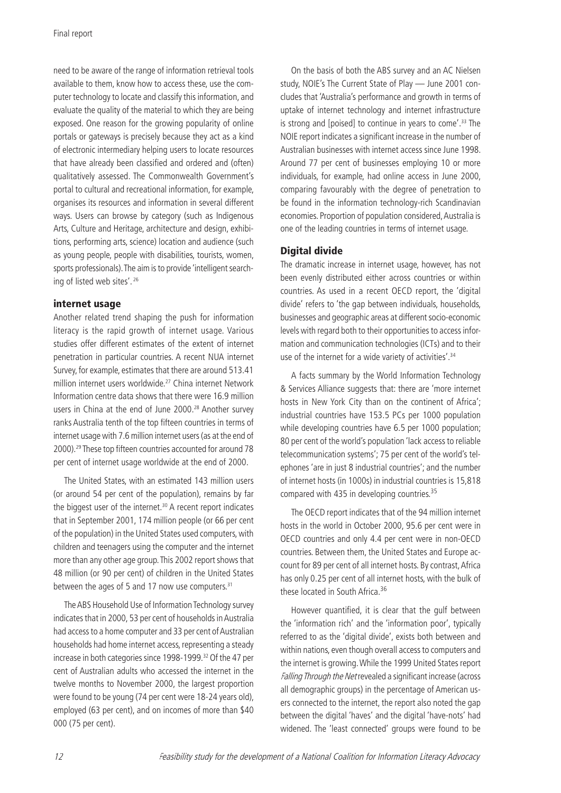need to be aware of the range of information retrieval tools available to them, know how to access these, use the computer technology to locate and classify this information, and evaluate the quality of the material to which they are being exposed. One reason for the growing popularity of online portals or gateways is precisely because they act as a kind of electronic intermediary helping users to locate resources that have already been classified and ordered and (often) qualitatively assessed. The Commonwealth Government's portal to cultural and recreational information, for example, organises its resources and information in several different ways. Users can browse by category (such as Indigenous Arts, Culture and Heritage, architecture and design, exhibitions, performing arts, science) location and audience (such as young people, people with disabilities, tourists, women, sports professionals). The aim is to provide 'intelligent searching of listed web sites'. 26

## internet usage

Another related trend shaping the push for information literacy is the rapid growth of internet usage. Various studies offer different estimates of the extent of internet penetration in particular countries. A recent NUA internet Survey, for example, estimates that there are around 513.41 million internet users worldwide.<sup>27</sup> China internet Network Information centre data shows that there were 16.9 million users in China at the end of June 2000.<sup>28</sup> Another survey ranks Australia tenth of the top fifteen countries in terms of internet usage with 7.6 million internet users (as at the end of 2000).<sup>29</sup> These top fifteen countries accounted for around 78 per cent of internet usage worldwide at the end of 2000.

The United States, with an estimated 143 million users (or around 54 per cent of the population), remains by far the biggest user of the internet.<sup>30</sup> A recent report indicates that in September 2001, 174 million people (or 66 per cent of the population) in the United States used computers, with children and teenagers using the computer and the internet more than any other age group. This 2002 report shows that 48 million (or 90 per cent) of children in the United States between the ages of 5 and 17 now use computers.<sup>31</sup>

The ABS Household Use of Information Technology survey indicates that in 2000, 53 per cent of households in Australia had access to a home computer and 33 per cent of Australian households had home internet access, representing a steady increase in both categories since 1998-1999.32 Of the 47 per cent of Australian adults who accessed the internet in the twelve months to November 2000, the largest proportion were found to be young (74 per cent were 18-24 years old), employed (63 per cent), and on incomes of more than \$40 000 (75 per cent).

On the basis of both the ABS survey and an AC Nielsen study, NOIE's The Current State of Play — June 2001 concludes that 'Australia's performance and growth in terms of uptake of internet technology and internet infrastructure is strong and [poised] to continue in years to come'.33 The NOIE report indicates a significant increase in the number of Australian businesses with internet access since June 1998. Around 77 per cent of businesses employing 10 or more individuals, for example, had online access in June 2000, comparing favourably with the degree of penetration to be found in the information technology-rich Scandinavian economies. Proportion of population considered, Australia is one of the leading countries in terms of internet usage.

#### Digital divide

The dramatic increase in internet usage, however, has not been evenly distributed either across countries or within countries. As used in a recent OECD report, the 'digital divide' refers to 'the gap between individuals, households, businesses and geographic areas at different socio-economic levels with regard both to their opportunities to access information and communication technologies (ICTs) and to their use of the internet for a wide variety of activities'.<sup>34</sup>

A facts summary by the World Information Technology & Services Alliance suggests that: there are 'more internet hosts in New York City than on the continent of Africa'; industrial countries have 153.5 PCs per 1000 population while developing countries have 6.5 per 1000 population; 80 per cent of the world's population 'lack access to reliable telecommunication systems'; 75 per cent of the world's telephones 'are in just 8 industrial countries'; and the number of internet hosts (in 1000s) in industrial countries is 15,818 compared with 435 in developing countries.<sup>35</sup>

The OECD report indicates that of the 94 million internet hosts in the world in October 2000, 95.6 per cent were in OECD countries and only 4.4 per cent were in non-OECD countries. Between them, the United States and Europe account for 89 per cent of all internet hosts. By contrast, Africa has only 0.25 per cent of all internet hosts, with the bulk of these located in South Africa.<sup>36</sup>

However quantified, it is clear that the gulf between the 'information rich' and the 'information poor', typically referred to as the 'digital divide', exists both between and within nations, even though overall access to computers and the internet is growing. While the 1999 United States report Falling Through the Net revealed a significant increase (across all demographic groups) in the percentage of American users connected to the internet, the report also noted the gap between the digital 'haves' and the digital 'have-nots' had widened. The 'least connected' groups were found to be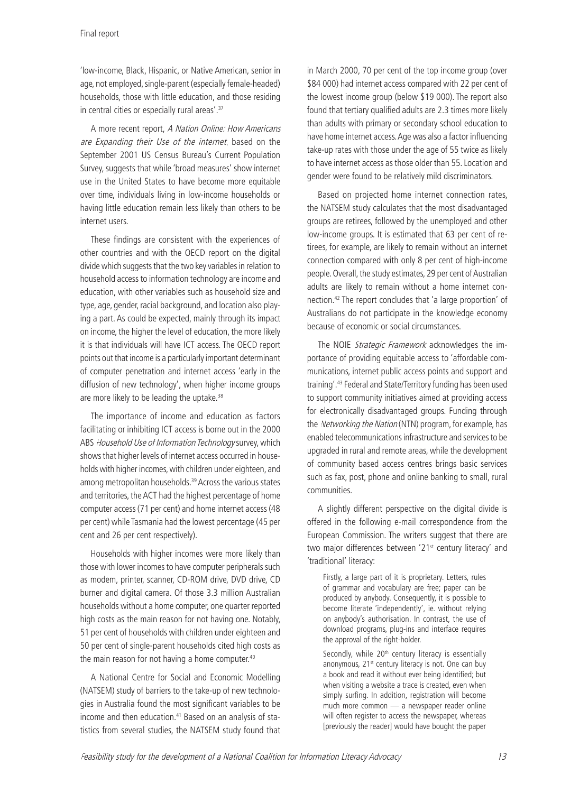'low-income, Black, Hispanic, or Native American, senior in age, not employed, single-parent (especially female-headed) households, those with little education, and those residing in central cities or especially rural areas'.<sup>37</sup>

A more recent report, A Nation Online: How Americans are Expanding their Use of the internet, based on the September 2001 US Census Bureau's Current Population Survey, suggests that while 'broad measures' show internet use in the United States to have become more equitable over time, individuals living in low-income households or having little education remain less likely than others to be internet users.

These findings are consistent with the experiences of other countries and with the OECD report on the digital divide which suggests that the two key variables in relation to household access to information technology are income and education, with other variables such as household size and type, age, gender, racial background, and location also playing a part. As could be expected, mainly through its impact on income, the higher the level of education, the more likely it is that individuals will have ICT access. The OECD report points out that income is a particularly important determinant of computer penetration and internet access 'early in the diffusion of new technology', when higher income groups are more likely to be leading the uptake.<sup>38</sup>

The importance of income and education as factors facilitating or inhibiting ICT access is borne out in the 2000 ABS Household Use of Information Technology survey, which shows that higher levels of internet access occurred in households with higher incomes, with children under eighteen, and among metropolitan households.39 Across the various states and territories, the ACT had the highest percentage of home computer access (71 per cent) and home internet access (48 per cent) while Tasmania had the lowest percentage (45 per cent and 26 per cent respectively).

Households with higher incomes were more likely than those with lower incomes to have computer peripherals such as modem, printer, scanner, CD-ROM drive, DVD drive, CD burner and digital camera. Of those 3.3 million Australian households without a home computer, one quarter reported high costs as the main reason for not having one. Notably, 51 per cent of households with children under eighteen and 50 per cent of single-parent households cited high costs as the main reason for not having a home computer.<sup>40</sup>

A National Centre for Social and Economic Modelling (NATSEM) study of barriers to the take-up of new technologies in Australia found the most significant variables to be income and then education.<sup>41</sup> Based on an analysis of statistics from several studies, the NATSEM study found that

in March 2000, 70 per cent of the top income group (over \$84 000) had internet access compared with 22 per cent of the lowest income group (below \$19 000). The report also found that tertiary qualified adults are 2.3 times more likely than adults with primary or secondary school education to have home internet access. Age was also a factor influencing take-up rates with those under the age of 55 twice as likely to have internet access as those older than 55. Location and gender were found to be relatively mild discriminators.

Based on projected home internet connection rates, the NATSEM study calculates that the most disadvantaged groups are retirees, followed by the unemployed and other low-income groups. It is estimated that 63 per cent of retirees, for example, are likely to remain without an internet connection compared with only 8 per cent of high-income people. Overall, the study estimates, 29 per cent of Australian adults are likely to remain without a home internet connection.42 The report concludes that 'a large proportion' of Australians do not participate in the knowledge economy because of economic or social circumstances.

The NOIE Strategic Framework acknowledges the importance of providing equitable access to 'affordable communications, internet public access points and support and training'.43 Federal and State/Territory funding has been used to support community initiatives aimed at providing access for electronically disadvantaged groups. Funding through the Networking the Nation (NTN) program, for example, has enabled telecommunications infrastructure and services to be upgraded in rural and remote areas, while the development of community based access centres brings basic services such as fax, post, phone and online banking to small, rural communities.

A slightly different perspective on the digital divide is offered in the following e-mail correspondence from the European Commission. The writers suggest that there are two major differences between '21<sup>st</sup> century literacy' and 'traditional' literacy:

Firstly, a large part of it is proprietary. Letters, rules of grammar and vocabulary are free; paper can be produced by anybody. Consequently, it is possible to become literate 'independently', ie. without relying on anybody's authorisation. In contrast, the use of download programs, plug-ins and interface requires the approval of the right-holder.

Secondly, while 20<sup>th</sup> century literacy is essentially anonymous, 21<sup>st</sup> century literacy is not. One can buy a book and read it without ever being identified; but when visiting a website a trace is created, even when simply surfing. In addition, registration will become much more common — a newspaper reader online will often register to access the newspaper, whereas [previously the reader] would have bought the paper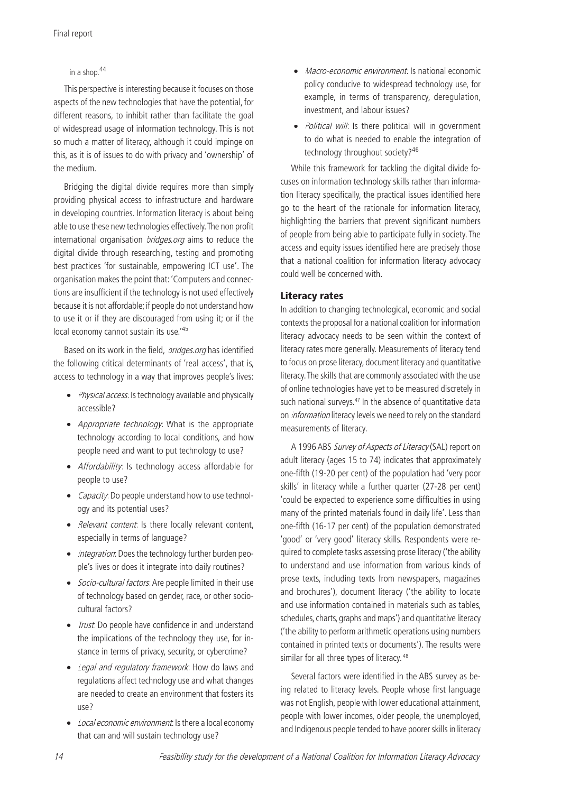## in a shop.<sup>44</sup>

This perspective is interesting because it focuses on those aspects of the new technologies that have the potential, for different reasons, to inhibit rather than facilitate the goal of widespread usage of information technology. This is not so much a matter of literacy, although it could impinge on this, as it is of issues to do with privacy and 'ownership' of the medium.

Bridging the digital divide requires more than simply providing physical access to infrastructure and hardware in developing countries. Information literacy is about being able to use these new technologies effectively. The non profit international organisation bridges.org aims to reduce the digital divide through researching, testing and promoting best practices 'for sustainable, empowering ICT use'. The organisation makes the point that: 'Computers and connections are insufficient if the technology is not used effectively because it is not affordable; if people do not understand how to use it or if they are discouraged from using it; or if the local economy cannot sustain its use.'45

Based on its work in the field, bridges.org has identified the following critical determinants of 'real access', that is, access to technology in a way that improves people's lives:

- Physical access: Is technology available and physically accessible?
- Appropriate technology: What is the appropriate technology according to local conditions, and how people need and want to put technology to use?
- Affordability: Is technology access affordable for people to use?
- *Capacity*. Do people understand how to use technology and its potential uses?
- Relevant content. Is there locally relevant content, especially in terms of language?
- Integration: Does the technology further burden people's lives or does it integrate into daily routines?
- Socio-cultural factors: Are people limited in their use of technology based on gender, race, or other sociocultural factors?
- Trust: Do people have confidence in and understand the implications of the technology they use, for instance in terms of privacy, security, or cybercrime?
- Legal and regulatory framework: How do laws and regulations affect technology use and what changes are needed to create an environment that fosters its use?
- Local economic environment. Is there a local economy that can and will sustain technology use?
- Macro-economic environment: Is national economic policy conducive to widespread technology use, for example, in terms of transparency, deregulation, investment, and labour issues?
- Political will: Is there political will in government to do what is needed to enable the integration of technology throughout society?<sup>46</sup>

While this framework for tackling the digital divide focuses on information technology skills rather than information literacy specifically, the practical issues identified here go to the heart of the rationale for information literacy, highlighting the barriers that prevent significant numbers of people from being able to participate fully in society. The access and equity issues identified here are precisely those that a national coalition for information literacy advocacy could well be concerned with.

## Literacy rates

In addition to changing technological, economic and social contexts the proposal for a national coalition for information literacy advocacy needs to be seen within the context of literacy rates more generally. Measurements of literacy tend to focus on prose literacy, document literacy and quantitative literacy. The skills that are commonly associated with the use of online technologies have yet to be measured discretely in such national surveys.<sup>47</sup> In the absence of quantitative data on *information* literacy levels we need to rely on the standard measurements of literacy.

A 1996 ABS Survey of Aspects of Literacy (SAL) report on adult literacy (ages 15 to 74) indicates that approximately one-fifth (19-20 per cent) of the population had 'very poor skills' in literacy while a further quarter (27-28 per cent) 'could be expected to experience some difficulties in using many of the printed materials found in daily life'. Less than one-fifth (16-17 per cent) of the population demonstrated 'good' or 'very good' literacy skills. Respondents were required to complete tasks assessing prose literacy ('the ability to understand and use information from various kinds of prose texts, including texts from newspapers, magazines and brochures'), document literacy ('the ability to locate and use information contained in materials such as tables, schedules, charts, graphs and maps') and quantitative literacy ('the ability to perform arithmetic operations using numbers contained in printed texts or documents'). The results were similar for all three types of literacy.<sup>48</sup>

Several factors were identified in the ABS survey as being related to literacy levels. People whose first language was not English, people with lower educational attainment, people with lower incomes, older people, the unemployed, and Indigenous people tended to have poorer skills in literacy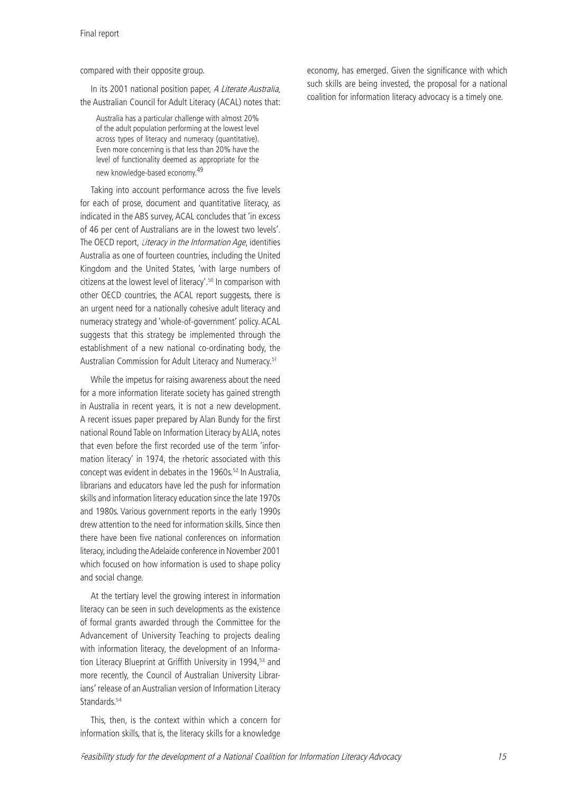compared with their opposite group.

In its 2001 national position paper, A Literate Australia, the Australian Council for Adult Literacy (ACAL) notes that:

Australia has a particular challenge with almost 20% of the adult population performing at the lowest level across types of literacy and numeracy (quantitative). Even more concerning is that less than 20% have the level of functionality deemed as appropriate for the new knowledge-based economy.49

Taking into account performance across the five levels for each of prose, document and quantitative literacy, as indicated in the ABS survey, ACAL concludes that 'in excess of 46 per cent of Australians are in the lowest two levels'. The OECD report, Literacy in the Information Age, identifies Australia as one of fourteen countries, including the United Kingdom and the United States, 'with large numbers of citizens at the lowest level of literacy'.50 In comparison with other OECD countries, the ACAL report suggests, there is an urgent need for a nationally cohesive adult literacy and numeracy strategy and 'whole-of-government' policy. ACAL suggests that this strategy be implemented through the establishment of a new national co-ordinating body, the Australian Commission for Adult Literacy and Numeracy.51

While the impetus for raising awareness about the need for a more information literate society has gained strength in Australia in recent years, it is not a new development. A recent issues paper prepared by Alan Bundy for the first national Round Table on Information Literacy by ALIA, notes that even before the first recorded use of the term 'information literacy' in 1974, the rhetoric associated with this concept was evident in debates in the 1960s.<sup>52</sup> In Australia, librarians and educators have led the push for information skills and information literacy education since the late 1970s and 1980s. Various government reports in the early 1990s drew attention to the need for information skills. Since then there have been five national conferences on information literacy, including the Adelaide conference in November 2001 which focused on how information is used to shape policy and social change.

At the tertiary level the growing interest in information literacy can be seen in such developments as the existence of formal grants awarded through the Committee for the Advancement of University Teaching to projects dealing with information literacy, the development of an Information Literacy Blueprint at Griffith University in 1994,<sup>53</sup> and more recently, the Council of Australian University Librarians' release of an Australian version of Information Literacy Standards.<sup>54</sup>

This, then, is the context within which a concern for information skills, that is, the literacy skills for a knowledge economy, has emerged. Given the significance with which such skills are being invested, the proposal for a national coalition for information literacy advocacy is a timely one.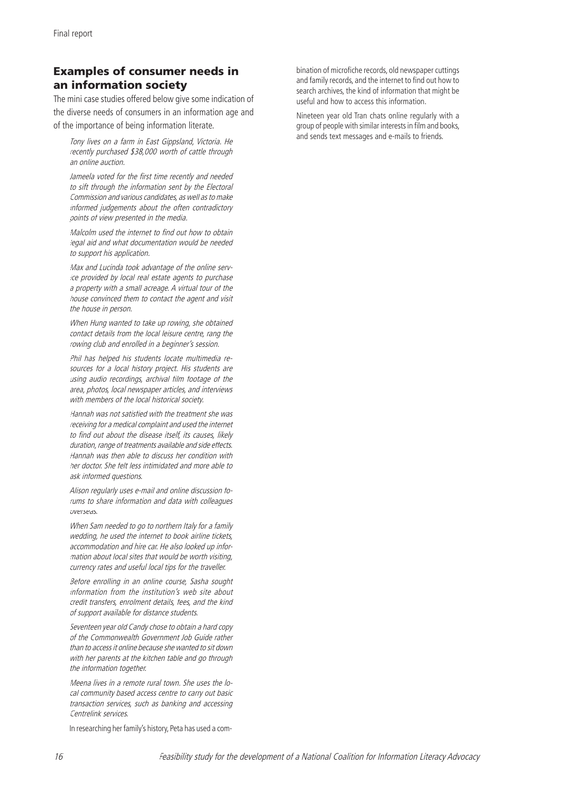# Examples of consumer needs in an information society

The mini case studies offered below give some indication of the diverse needs of consumers in an information age and of the importance of being information literate.

Tony lives on a farm in East Gippsland, Victoria. He recently purchased \$38,000 worth of cattle through an online auction.

Jameela voted for the first time recently and needed to sift through the information sent by the Electoral Commission and various candidates, as well as to make informed judgements about the often contradictory points of view presented in the media.

Malcolm used the internet to find out how to obtain legal aid and what documentation would be needed to support his application.

Max and Lucinda took advantage of the online service provided by local real estate agents to purchase a property with a small acreage. A virtual tour of the house convinced them to contact the agent and visit the house in person.

When Hung wanted to take up rowing, she obtained contact details from the local leisure centre, rang the rowing club and enrolled in a beginner's session.

Phil has helped his students locate multimedia resources for a local history project. His students are using audio recordings, archival film footage of the area, photos, local newspaper articles, and interviews with members of the local historical society.

Hannah was not satisfied with the treatment she was receiving for a medical complaint and used the internet to find out about the disease itself, its causes, likely duration, range of treatments available and side effects. Hannah was then able to discuss her condition with her doctor. She felt less intimidated and more able to ask informed questions.

Alison regularly uses e-mail and online discussion forums to share information and data with colleagues overseas.

When Sam needed to go to northern Italy for a family wedding, he used the internet to book airline tickets, accommodation and hire car. He also looked up information about local sites that would be worth visiting, currency rates and useful local tips for the traveller.

Before enrolling in an online course, Sasha sought information from the institution's web site about credit transfers, enrolment details, fees, and the kind of support available for distance students.

Seventeen year old Candy chose to obtain a hard copy of the Commonwealth Government Job Guide rather than to access it online because she wanted to sit down with her parents at the kitchen table and go through the information together.

Meena lives in a remote rural town. She uses the local community based access centre to carry out basic transaction services, such as banking and accessing Centrelink services.

In researching her family's history, Peta has used a com-

bination of microfiche records, old newspaper cuttings and family records, and the internet to find out how to search archives, the kind of information that might be useful and how to access this information.

Nineteen year old Tran chats online regularly with a group of people with similar interests in film and books, and sends text messages and e-mails to friends.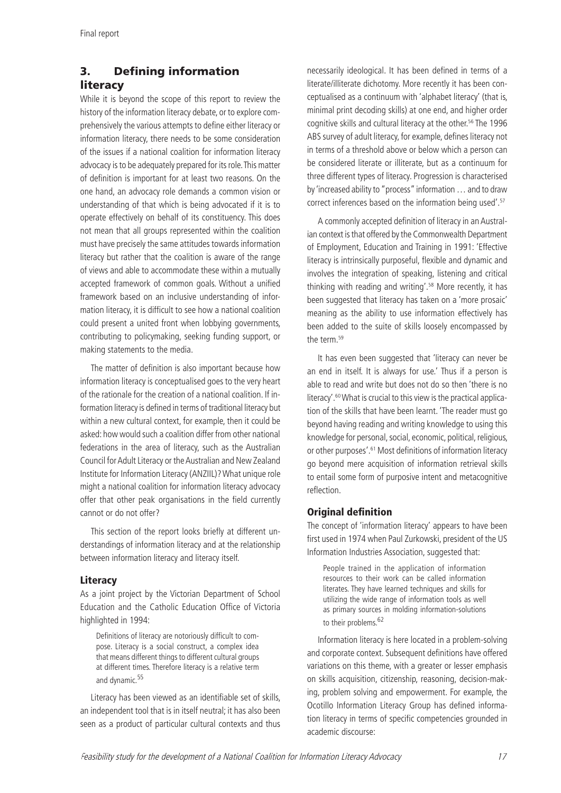# 3. Defining information **literacy**

While it is beyond the scope of this report to review the history of the information literacy debate, or to explore comprehensively the various attempts to define either literacy or information literacy, there needs to be some consideration of the issues if a national coalition for information literacy advocacy is to be adequately prepared for its role. This matter of definition is important for at least two reasons. On the one hand, an advocacy role demands a common vision or understanding of that which is being advocated if it is to operate effectively on behalf of its constituency. This does not mean that all groups represented within the coalition must have precisely the same attitudes towards information literacy but rather that the coalition is aware of the range of views and able to accommodate these within a mutually accepted framework of common goals. Without a unified framework based on an inclusive understanding of information literacy, it is difficult to see how a national coalition could present a united front when lobbying governments, contributing to policymaking, seeking funding support, or making statements to the media.

The matter of definition is also important because how information literacy is conceptualised goes to the very heart of the rationale for the creation of a national coalition. If information literacy is defined in terms of traditional literacy but within a new cultural context, for example, then it could be asked: how would such a coalition differ from other national federations in the area of literacy, such as the Australian Council for Adult Literacy or the Australian and New Zealand Institute for Information Literacy (ANZIIL)? What unique role might a national coalition for information literacy advocacy offer that other peak organisations in the field currently cannot or do not offer?

This section of the report looks briefly at different understandings of information literacy and at the relationship between information literacy and literacy itself.

## **Literacy**

As a joint project by the Victorian Department of School Education and the Catholic Education Office of Victoria highlighted in 1994:

Definitions of literacy are notoriously difficult to compose. Literacy is a social construct, a complex idea that means different things to different cultural groups at different times. Therefore literacy is a relative term and dynamic.<sup>55</sup>

Literacy has been viewed as an identifiable set of skills, an independent tool that is in itself neutral; it has also been seen as a product of particular cultural contexts and thus necessarily ideological. It has been defined in terms of a literate/illiterate dichotomy. More recently it has been conceptualised as a continuum with 'alphabet literacy' (that is, minimal print decoding skills) at one end, and higher order cognitive skills and cultural literacy at the other.<sup>56</sup> The 1996 ABS survey of adult literacy, for example, defines literacy not in terms of a threshold above or below which a person can be considered literate or illiterate, but as a continuum for three different types of literacy. Progression is characterised by 'increased ability to "process" information … and to draw correct inferences based on the information being used'.57

A commonly accepted definition of literacy in an Australian context is that offered by the Commonwealth Department of Employment, Education and Training in 1991: 'Effective literacy is intrinsically purposeful, flexible and dynamic and involves the integration of speaking, listening and critical thinking with reading and writing'.58 More recently, it has been suggested that literacy has taken on a 'more prosaic' meaning as the ability to use information effectively has been added to the suite of skills loosely encompassed by the term.59

It has even been suggested that 'literacy can never be an end in itself. It is always for use.' Thus if a person is able to read and write but does not do so then 'there is no literacy'.<sup>60</sup> What is crucial to this view is the practical application of the skills that have been learnt. 'The reader must go beyond having reading and writing knowledge to using this knowledge for personal, social, economic, political, religious, or other purposes'.<sup>61</sup> Most definitions of information literacy go beyond mere acquisition of information retrieval skills to entail some form of purposive intent and metacognitive reflection.

## **Original definition**

The concept of 'information literacy' appears to have been first used in 1974 when Paul Zurkowski, president of the US Information Industries Association, suggested that:

People trained in the application of information resources to their work can be called information literates. They have learned techniques and skills for utilizing the wide range of information tools as well as primary sources in molding information-solutions to their problems.<sup>62</sup>

Information literacy is here located in a problem-solving and corporate context. Subsequent definitions have offered variations on this theme, with a greater or lesser emphasis on skills acquisition, citizenship, reasoning, decision-making, problem solving and empowerment. For example, the Ocotillo Information Literacy Group has defined information literacy in terms of specific competencies grounded in academic discourse: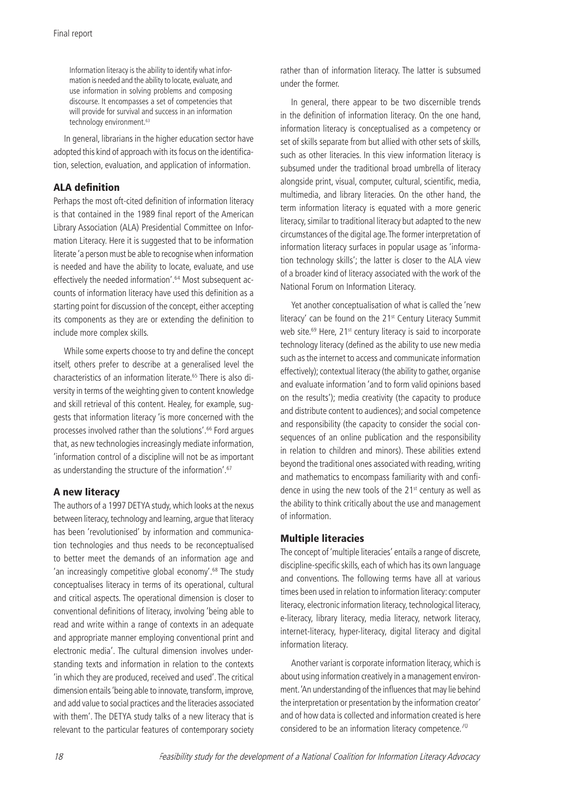Information literacy is the ability to identify what information is needed and the ability to locate, evaluate, and use information in solving problems and composing discourse. It encompasses a set of competencies that will provide for survival and success in an information technology environment.<sup>63</sup>

In general, librarians in the higher education sector have adopted this kind of approach with its focus on the identification, selection, evaluation, and application of information.

## **ALA definition**

Perhaps the most oft-cited definition of information literacy is that contained in the 1989 final report of the American Library Association (ALA) Presidential Committee on Information Literacy. Here it is suggested that to be information literate 'a person must be able to recognise when information is needed and have the ability to locate, evaluate, and use effectively the needed information'.64 Most subsequent accounts of information literacy have used this definition as a starting point for discussion of the concept, either accepting its components as they are or extending the definition to include more complex skills.

While some experts choose to try and define the concept itself, others prefer to describe at a generalised level the characteristics of an information literate.65 There is also diversity in terms of the weighting given to content knowledge and skill retrieval of this content. Healey, for example, suggests that information literacy 'is more concerned with the processes involved rather than the solutions'.66 Ford argues that, as new technologies increasingly mediate information, 'information control of a discipline will not be as important as understanding the structure of the information'.67

## A new literacy

The authors of a 1997 DETYA study, which looks at the nexus between literacy, technology and learning, argue that literacy has been 'revolutionised' by information and communication technologies and thus needs to be reconceptualised to better meet the demands of an information age and 'an increasingly competitive global economy'.68 The study conceptualises literacy in terms of its operational, cultural and critical aspects. The operational dimension is closer to conventional definitions of literacy, involving 'being able to read and write within a range of contexts in an adequate and appropriate manner employing conventional print and electronic media'. The cultural dimension involves understanding texts and information in relation to the contexts 'in which they are produced, received and used'. The critical dimension entails 'being able to innovate, transform, improve, and add value to social practices and the literacies associated with them'. The DETYA study talks of a new literacy that is relevant to the particular features of contemporary society

rather than of information literacy. The latter is subsumed under the former.

In general, there appear to be two discernible trends in the definition of information literacy. On the one hand, information literacy is conceptualised as a competency or set of skills separate from but allied with other sets of skills, such as other literacies. In this view information literacy is subsumed under the traditional broad umbrella of literacy alongside print, visual, computer, cultural, scientific, media, multimedia, and library literacies. On the other hand, the term information literacy is equated with a more generic literacy, similar to traditional literacy but adapted to the new circumstances of the digital age. The former interpretation of information literacy surfaces in popular usage as 'information technology skills'; the latter is closer to the ALA view of a broader kind of literacy associated with the work of the National Forum on Information Literacy.

Yet another conceptualisation of what is called the 'new literacy' can be found on the 21<sup>st</sup> Century Literacy Summit web site.<sup>69</sup> Here, 21<sup>st</sup> century literacy is said to incorporate technology literacy (defined as the ability to use new media such as the internet to access and communicate information effectively); contextual literacy (the ability to gather, organise and evaluate information 'and to form valid opinions based on the results'); media creativity (the capacity to produce and distribute content to audiences); and social competence and responsibility (the capacity to consider the social consequences of an online publication and the responsibility in relation to children and minors). These abilities extend beyond the traditional ones associated with reading, writing and mathematics to encompass familiarity with and confidence in using the new tools of the  $21<sup>st</sup>$  century as well as the ability to think critically about the use and management of information.

## Multiple literacies

The concept of 'multiple literacies' entails a range of discrete, discipline-specific skills, each of which has its own language and conventions. The following terms have all at various times been used in relation to information literacy: computer literacy, electronic information literacy, technological literacy, e-literacy, library literacy, media literacy, network literacy, internet-literacy, hyper-literacy, digital literacy and digital information literacy.

Another variant is corporate information literacy, which is about using information creatively in a management environment. 'An understanding of the influences that may lie behind the interpretation or presentation by the information creator' and of how data is collected and information created is here considered to be an information literacy competence.<sup>70</sup>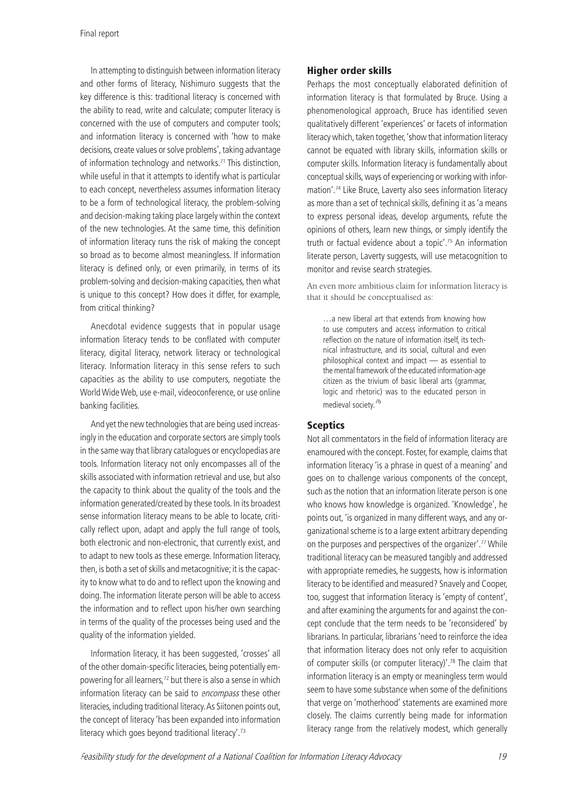In attempting to distinguish between information literacy and other forms of literacy, Nishimuro suggests that the key difference is this: traditional literacy is concerned with the ability to read, write and calculate; computer literacy is concerned with the use of computers and computer tools; and information literacy is concerned with 'how to make decisions, create values or solve problems', taking advantage of information technology and networks.<sup>71</sup> This distinction, while useful in that it attempts to identify what is particular to each concept, nevertheless assumes information literacy to be a form of technological literacy, the problem-solving and decision-making taking place largely within the context of the new technologies. At the same time, this definition of information literacy runs the risk of making the concept so broad as to become almost meaningless. If information literacy is defined only, or even primarily, in terms of its problem-solving and decision-making capacities, then what is unique to this concept? How does it differ, for example, from critical thinking?

Anecdotal evidence suggests that in popular usage information literacy tends to be conflated with computer literacy, digital literacy, network literacy or technological literacy. Information literacy in this sense refers to such capacities as the ability to use computers, negotiate the World Wide Web, use e-mail, videoconference, or use online banking facilities.

And yet the new technologies that are being used increasingly in the education and corporate sectors are simply tools in the same way that library catalogues or encyclopedias are tools. Information literacy not only encompasses all of the skills associated with information retrieval and use, but also the capacity to think about the quality of the tools and the information generated/created by these tools. In its broadest sense information literacy means to be able to locate, critically reflect upon, adapt and apply the full range of tools, both electronic and non-electronic, that currently exist, and to adapt to new tools as these emerge. Information literacy, then, is both a set of skills and metacognitive; it is the capacity to know what to do and to reflect upon the knowing and doing. The information literate person will be able to access the information and to reflect upon his/her own searching in terms of the quality of the processes being used and the quality of the information yielded.

Information literacy, it has been suggested, 'crosses' all of the other domain-specific literacies, being potentially empowering for all learners,<sup>72</sup> but there is also a sense in which information literacy can be said to encompass these other literacies, including traditional literacy. As Siitonen points out, the concept of literacy 'has been expanded into information literacy which goes beyond traditional literacy'.<sup>73</sup>

## Higher order skills

Perhaps the most conceptually elaborated definition of information literacy is that formulated by Bruce. Using a phenomenological approach, Bruce has identified seven qualitatively different 'experiences' or facets of information literacy which, taken together, 'show that information literacy cannot be equated with library skills, information skills or computer skills. Information literacy is fundamentally about conceptual skills, ways of experiencing or working with information'.74 Like Bruce, Laverty also sees information literacy as more than a set of technical skills, defining it as 'a means to express personal ideas, develop arguments, refute the opinions of others, learn new things, or simply identify the truth or factual evidence about a topic'.75 An information literate person, Laverty suggests, will use metacognition to monitor and revise search strategies.

An even more ambitious claim for information literacy is that it should be conceptualised as:

…a new liberal art that extends from knowing how to use computers and access information to critical reflection on the nature of information itself, its technical infrastructure, and its social, cultural and even philosophical context and impact — as essential to the mental framework of the educated information-age citizen as the trivium of basic liberal arts (grammar, logic and rhetoric) was to the educated person in medieval society.<sup>76</sup>

#### **Sceptics**

Not all commentators in the field of information literacy are enamoured with the concept. Foster, for example, claims that information literacy 'is a phrase in quest of a meaning' and goes on to challenge various components of the concept, such as the notion that an information literate person is one who knows how knowledge is organized. 'Knowledge', he points out, 'is organized in many different ways, and any organizational scheme is to a large extent arbitrary depending on the purposes and perspectives of the organizer'.77 While traditional literacy can be measured tangibly and addressed with appropriate remedies, he suggests, how is information literacy to be identified and measured? Snavely and Cooper. too, suggest that information literacy is 'empty of content', and after examining the arguments for and against the concept conclude that the term needs to be 'reconsidered' by librarians. In particular, librarians 'need to reinforce the idea that information literacy does not only refer to acquisition of computer skills (or computer literacy)'.78 The claim that information literacy is an empty or meaningless term would seem to have some substance when some of the definitions that verge on 'motherhood' statements are examined more closely. The claims currently being made for information literacy range from the relatively modest, which generally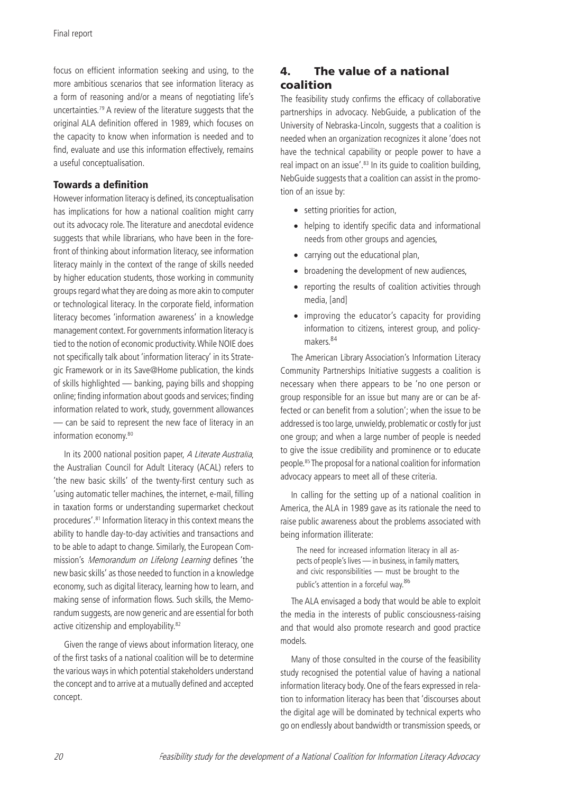focus on efficient information seeking and using, to the more ambitious scenarios that see information literacy as a form of reasoning and/or a means of negotiating life's uncertainties.79 A review of the literature suggests that the original ALA definition offered in 1989, which focuses on the capacity to know when information is needed and to find, evaluate and use this information effectively, remains a useful conceptualisation.

## **Towards a definition**

However information literacy is defined, its conceptualisation has implications for how a national coalition might carry out its advocacy role. The literature and anecdotal evidence suggests that while librarians, who have been in the forefront of thinking about information literacy, see information literacy mainly in the context of the range of skills needed by higher education students, those working in community groups regard what they are doing as more akin to computer or technological literacy. In the corporate field, information literacy becomes 'information awareness' in a knowledge management context. For governments information literacy is tied to the notion of economic productivity. While NOIE does not specifically talk about 'information literacy' in its Strategic Framework or in its Save@Home publication, the kinds of skills highlighted — banking, paying bills and shopping online; finding information about goods and services; finding information related to work, study, government allowances — can be said to represent the new face of literacy in an information economy.80

In its 2000 national position paper, A Literate Australia, the Australian Council for Adult Literacy (ACAL) refers to 'the new basic skills' of the twenty-first century such as 'using automatic teller machines, the internet, e-mail, filling in taxation forms or understanding supermarket checkout procedures'.81 Information literacy in this context means the ability to handle day-to-day activities and transactions and to be able to adapt to change. Similarly, the European Commission's Memorandum on Lifelong Learning defines 'the new basic skills' as those needed to function in a knowledge economy, such as digital literacy, learning how to learn, and making sense of information flows. Such skills, the Memorandum suggests, are now generic and are essential for both active citizenship and employability.<sup>82</sup>

Given the range of views about information literacy, one of the first tasks of a national coalition will be to determine the various ways in which potential stakeholders understand the concept and to arrive at a mutually defined and accepted concept.

# 4. The value of a national coalition

The feasibility study confirms the efficacy of collaborative partnerships in advocacy. NebGuide, a publication of the University of Nebraska-Lincoln, suggests that a coalition is needed when an organization recognizes it alone 'does not have the technical capability or people power to have a real impact on an issue'.<sup>83</sup> In its quide to coalition building, NebGuide suggests that a coalition can assist in the promotion of an issue by:

- setting priorities for action,
- $\bullet$  helping to identify specific data and informational needs from other groups and agencies,
- carrying out the educational plan,
- broadening the development of new audiences,
- reporting the results of coalition activities through media, [and]
- improving the educator's capacity for providing information to citizens, interest group, and policymakers.<sup>84</sup>

The American Library Association's Information Literacy Community Partnerships Initiative suggests a coalition is necessary when there appears to be 'no one person or group responsible for an issue but many are or can be affected or can benefit from a solution'; when the issue to be addressed is too large, unwieldy, problematic or costly for just one group; and when a large number of people is needed to give the issue credibility and prominence or to educate people.85 The proposal for a national coalition for information advocacy appears to meet all of these criteria.

In calling for the setting up of a national coalition in America, the ALA in 1989 gave as its rationale the need to raise public awareness about the problems associated with being information illiterate:

The need for increased information literacy in all aspects of people's lives — in business, in family matters, and civic responsibilities — must be brought to the public's attention in a forceful way.<sup>86</sup>

The ALA envisaged a body that would be able to exploit the media in the interests of public consciousness-raising and that would also promote research and good practice models.

Many of those consulted in the course of the feasibility study recognised the potential value of having a national information literacy body. One of the fears expressed in relation to information literacy has been that 'discourses about the digital age will be dominated by technical experts who go on endlessly about bandwidth or transmission speeds, or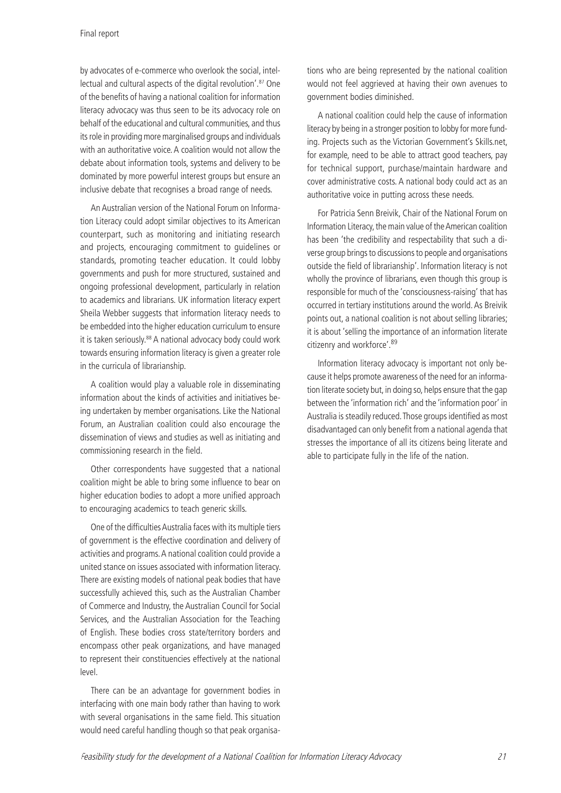by advocates of e-commerce who overlook the social, intellectual and cultural aspects of the digital revolution'.87 One of the benefits of having a national coalition for information literacy advocacy was thus seen to be its advocacy role on behalf of the educational and cultural communities, and thus its role in providing more marginalised groups and individuals with an authoritative voice. A coalition would not allow the debate about information tools, systems and delivery to be dominated by more powerful interest groups but ensure an inclusive debate that recognises a broad range of needs.

An Australian version of the National Forum on Information Literacy could adopt similar objectives to its American counterpart, such as monitoring and initiating research and projects, encouraging commitment to guidelines or standards, promoting teacher education. It could lobby governments and push for more structured, sustained and ongoing professional development, particularly in relation to academics and librarians. UK information literacy expert Sheila Webber suggests that information literacy needs to be embedded into the higher education curriculum to ensure it is taken seriously.88 A national advocacy body could work towards ensuring information literacy is given a greater role in the curricula of librarianship.

A coalition would play a valuable role in disseminating information about the kinds of activities and initiatives being undertaken by member organisations. Like the National Forum, an Australian coalition could also encourage the dissemination of views and studies as well as initiating and commissioning research in the field.

Other correspondents have suggested that a national coalition might be able to bring some influence to bear on higher education bodies to adopt a more unified approach to encouraging academics to teach generic skills.

One of the difficulties Australia faces with its multiple tiers of government is the effective coordination and delivery of activities and programs. A national coalition could provide a united stance on issues associated with information literacy. There are existing models of national peak bodies that have successfully achieved this, such as the Australian Chamber of Commerce and Industry, the Australian Council for Social Services, and the Australian Association for the Teaching of English. These bodies cross state/territory borders and encompass other peak organizations, and have managed to represent their constituencies effectively at the national level.

There can be an advantage for government bodies in interfacing with one main body rather than having to work with several organisations in the same field. This situation would need careful handling though so that peak organisations who are being represented by the national coalition would not feel aggrieved at having their own avenues to government bodies diminished.

A national coalition could help the cause of information literacy by being in a stronger position to lobby for more funding. Projects such as the Victorian Government's Skills.net, for example, need to be able to attract good teachers, pay for technical support, purchase/maintain hardware and cover administrative costs. A national body could act as an authoritative voice in putting across these needs.

For Patricia Senn Breivik, Chair of the National Forum on Information Literacy, the main value of the American coalition has been 'the credibility and respectability that such a diverse group brings to discussions to people and organisations outside the field of librarianship'. Information literacy is not wholly the province of librarians, even though this group is responsible for much of the 'consciousness-raising' that has occurred in tertiary institutions around the world. As Breivik points out, a national coalition is not about selling libraries; it is about 'selling the importance of an information literate citizenry and workforce'.89

Information literacy advocacy is important not only because it helps promote awareness of the need for an information literate society but, in doing so, helps ensure that the gap between the 'information rich' and the 'information poor' in Australia is steadily reduced. Those groups identified as most disadvantaged can only benefit from a national agenda that stresses the importance of all its citizens being literate and able to participate fully in the life of the nation.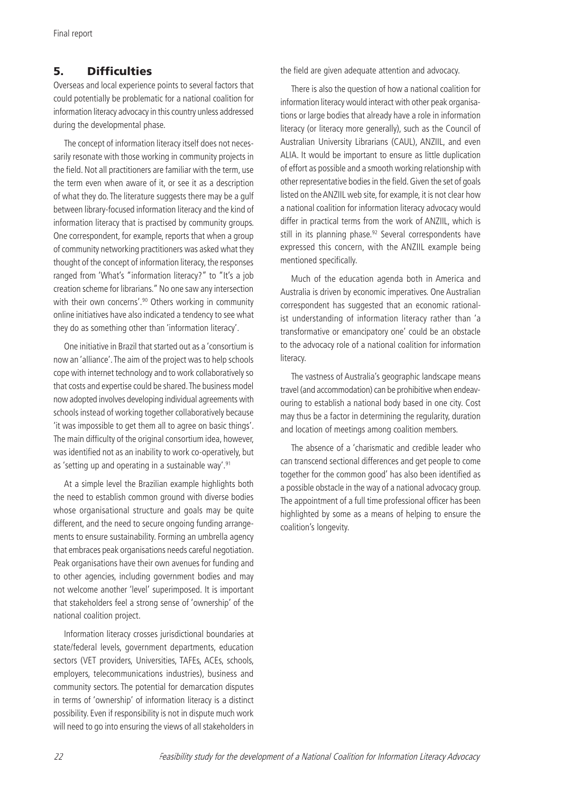## 5. Difficulties

Overseas and local experience points to several factors that could potentially be problematic for a national coalition for information literacy advocacy in this country unless addressed during the developmental phase.

The concept of information literacy itself does not necessarily resonate with those working in community projects in the field. Not all practitioners are familiar with the term, use the term even when aware of it, or see it as a description of what they do. The literature suggests there may be a gulf between library-focused information literacy and the kind of information literacy that is practised by community groups. One correspondent, for example, reports that when a group of community networking practitioners was asked what they thought of the concept of information literacy, the responses ranged from 'What's "information literacy?" to "It's a job creation scheme for librarians." No one saw any intersection with their own concerns'.<sup>90</sup> Others working in community online initiatives have also indicated a tendency to see what they do as something other than 'information literacy'.

One initiative in Brazil that started out as a 'consortium is now an 'alliance'. The aim of the project was to help schools cope with internet technology and to work collaboratively so that costs and expertise could be shared. The business model now adopted involves developing individual agreements with schools instead of working together collaboratively because 'it was impossible to get them all to agree on basic things'. The main difficulty of the original consortium idea, however, was identified not as an inability to work co-operatively, but as 'setting up and operating in a sustainable way'.91

At a simple level the Brazilian example highlights both the need to establish common ground with diverse bodies whose organisational structure and goals may be quite different, and the need to secure ongoing funding arrangements to ensure sustainability. Forming an umbrella agency that embraces peak organisations needs careful negotiation. Peak organisations have their own avenues for funding and to other agencies, including government bodies and may not welcome another 'level' superimposed. It is important that stakeholders feel a strong sense of 'ownership' of the national coalition project.

Information literacy crosses jurisdictional boundaries at state/federal levels, government departments, education sectors (VET providers, Universities, TAFEs, ACEs, schools, employers, telecommunications industries), business and community sectors. The potential for demarcation disputes in terms of 'ownership' of information literacy is a distinct possibility. Even if responsibility is not in dispute much work will need to go into ensuring the views of all stakeholders in the field are given adequate attention and advocacy.

There is also the question of how a national coalition for information literacy would interact with other peak organisations or large bodies that already have a role in information literacy (or literacy more generally), such as the Council of Australian University Librarians (CAUL), ANZIIL, and even ALIA. It would be important to ensure as little duplication of effort as possible and a smooth working relationship with other representative bodies in the field. Given the set of goals listed on the ANZIIL web site, for example, it is not clear how a national coalition for information literacy advocacy would differ in practical terms from the work of ANZIIL, which is still in its planning phase.<sup>92</sup> Several correspondents have expressed this concern, with the ANZIIL example being mentioned specifically.

Much of the education agenda both in America and Australia is driven by economic imperatives. One Australian correspondent has suggested that an economic rationalist understanding of information literacy rather than 'a transformative or emancipatory one' could be an obstacle to the advocacy role of a national coalition for information literacy.

The vastness of Australia's geographic landscape means travel (and accommodation) can be prohibitive when endeavouring to establish a national body based in one city. Cost may thus be a factor in determining the regularity, duration and location of meetings among coalition members.

The absence of a 'charismatic and credible leader who can transcend sectional differences and get people to come together for the common good' has also been identified as a possible obstacle in the way of a national advocacy group. The appointment of a full time professional officer has been highlighted by some as a means of helping to ensure the coalition's longevity.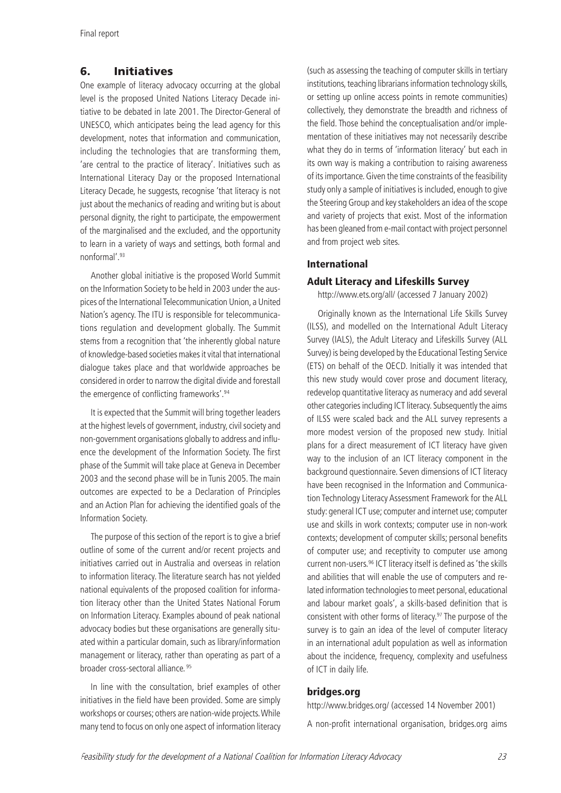# 6. Initiatives

One example of literacy advocacy occurring at the global level is the proposed United Nations Literacy Decade initiative to be debated in late 2001. The Director-General of UNESCO, which anticipates being the lead agency for this development, notes that information and communication, including the technologies that are transforming them, 'are central to the practice of literacy'. Initiatives such as International Literacy Day or the proposed International Literacy Decade, he suggests, recognise 'that literacy is not just about the mechanics of reading and writing but is about personal dignity, the right to participate, the empowerment of the marginalised and the excluded, and the opportunity to learn in a variety of ways and settings, both formal and nonformal'<sup>93</sup>

Another global initiative is the proposed World Summit on the Information Society to be held in 2003 under the auspices of the International Telecommunication Union, a United Nation's agency. The ITU is responsible for telecommunications regulation and development globally. The Summit stems from a recognition that 'the inherently global nature of knowledge-based societies makes it vital that international dialogue takes place and that worldwide approaches be considered in order to narrow the digital divide and forestall the emergence of conflicting frameworks'.<sup>94</sup>

It is expected that the Summit will bring together leaders at the highest levels of government, industry, civil society and non-government organisations globally to address and influence the development of the Information Society. The first phase of the Summit will take place at Geneva in December 2003 and the second phase will be in Tunis 2005. The main outcomes are expected to be a Declaration of Principles and an Action Plan for achieving the identified goals of the Information Society.

The purpose of this section of the report is to give a brief outline of some of the current and/or recent projects and initiatives carried out in Australia and overseas in relation to information literacy. The literature search has not yielded national equivalents of the proposed coalition for information literacy other than the United States National Forum on Information Literacy. Examples abound of peak national advocacy bodies but these organisations are generally situated within a particular domain, such as library/information management or literacy, rather than operating as part of a broader cross-sectoral alliance. 95

In line with the consultation, brief examples of other initiatives in the field have been provided. Some are simply workshops or courses; others are nation-wide projects. While many tend to focus on only one aspect of information literacy (such as assessing the teaching of computer skills in tertiary institutions, teaching librarians information technology skills, or setting up online access points in remote communities) collectively, they demonstrate the breadth and richness of the field. Those behind the conceptualisation and/or implementation of these initiatives may not necessarily describe what they do in terms of 'information literacy' but each in its own way is making a contribution to raising awareness of its importance. Given the time constraints of the feasibility study only a sample of initiatives is included, enough to give the Steering Group and key stakeholders an idea of the scope and variety of projects that exist. Most of the information has been gleaned from e-mail contact with project personnel and from project web sites.

## International

## Adult Literacy and Lifeskills Survey

http://www.ets.org/all/ (accessed 7 January 2002)

Originally known as the International Life Skills Survey (ILSS), and modelled on the International Adult Literacy Survey (IALS), the Adult Literacy and Lifeskills Survey (ALL Survey) is being developed by the Educational Testing Service (ETS) on behalf of the OECD. Initially it was intended that this new study would cover prose and document literacy, redevelop quantitative literacy as numeracy and add several other categories including ICT literacy. Subsequently the aims of ILSS were scaled back and the ALL survey represents a more modest version of the proposed new study. Initial plans for a direct measurement of ICT literacy have given way to the inclusion of an ICT literacy component in the background questionnaire. Seven dimensions of ICT literacy have been recognised in the Information and Communication Technology Literacy Assessment Framework for the ALL study: general ICT use; computer and internet use; computer use and skills in work contexts; computer use in non-work contexts; development of computer skills; personal benefits of computer use; and receptivity to computer use among current non-users.<sup>96</sup> ICT literacy itself is defined as 'the skills and abilities that will enable the use of computers and related information technologies to meet personal, educational and labour market goals', a skills-based definition that is consistent with other forms of literacy.<sup>97</sup> The purpose of the survey is to gain an idea of the level of computer literacy in an international adult population as well as information about the incidence, frequency, complexity and usefulness of ICT in daily life.

## bridges.org

http://www.bridges.org/ (accessed 14 November 2001)

A non-profit international organisation, bridges.org aims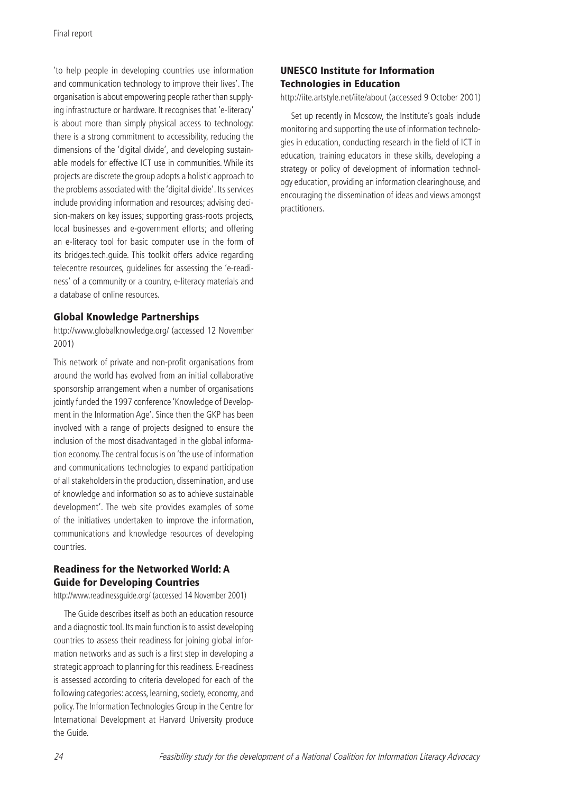'to help people in developing countries use information and communication technology to improve their lives'. The organisation is about empowering people rather than supplying infrastructure or hardware. It recognises that 'e-literacy' is about more than simply physical access to technology: there is a strong commitment to accessibility, reducing the dimensions of the 'digital divide', and developing sustainable models for effective ICT use in communities. While its projects are discrete the group adopts a holistic approach to the problems associated with the 'digital divide'. Its services include providing information and resources; advising decision-makers on key issues; supporting grass-roots projects, local businesses and e-government efforts; and offering an e-literacy tool for basic computer use in the form of its bridges.tech.guide. This toolkit offers advice regarding telecentre resources, guidelines for assessing the 'e-readiness' of a community or a country, e-literacy materials and a database of online resources.

## Global Knowledge Partnerships

http://www.globalknowledge.org/ (accessed 12 November 2001)

This network of private and non-profit organisations from around the world has evolved from an initial collaborative sponsorship arrangement when a number of organisations jointly funded the 1997 conference 'Knowledge of Development in the Information Age'. Since then the GKP has been involved with a range of projects designed to ensure the inclusion of the most disadvantaged in the global information economy. The central focus is on 'the use of information and communications technologies to expand participation of all stakeholders in the production, dissemination, and use of knowledge and information so as to achieve sustainable development'. The web site provides examples of some of the initiatives undertaken to improve the information, communications and knowledge resources of developing countries.

# Readiness for the Networked World: A Guide for Developing Countries

http://www.readinessguide.org/ (accessed 14 November 2001)

The Guide describes itself as both an education resource and a diagnostic tool. Its main function is to assist developing countries to assess their readiness for joining global information networks and as such is a first step in developing a strategic approach to planning for this readiness. E-readiness is assessed according to criteria developed for each of the following categories: access, learning, society, economy, and policy. The Information Technologies Group in the Centre for International Development at Harvard University produce the Guide.

# UNESCO Institute for Information Technologies in Education

http://iite.artstyle.net/iite/about (accessed 9 October 2001)

Set up recently in Moscow, the Institute's goals include monitoring and supporting the use of information technologies in education, conducting research in the field of ICT in education, training educators in these skills, developing a strategy or policy of development of information technology education, providing an information clearinghouse, and encouraging the dissemination of ideas and views amongst practitioners.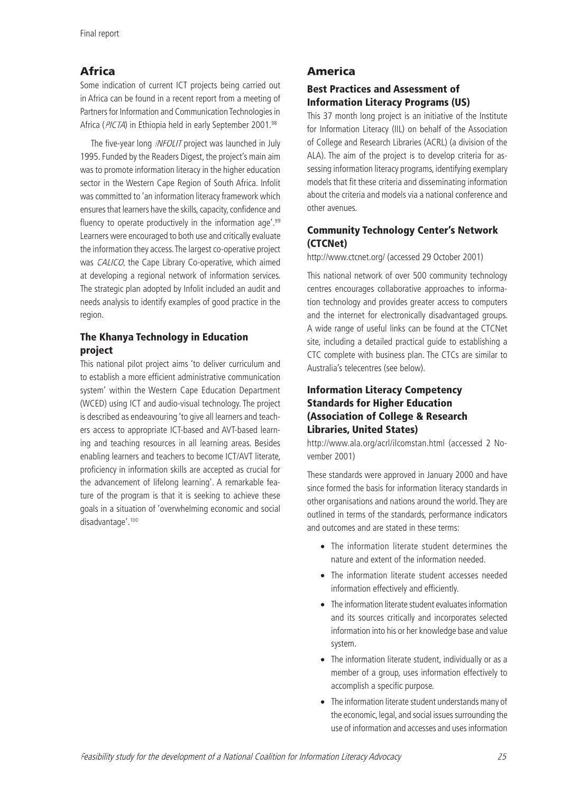# Africa

Some indication of current ICT projects being carried out in Africa can be found in a recent report from a meeting of Partners for Information and Communication Technologies in Africa (PICTA) in Ethiopia held in early September 2001.98

The five-year long *INFOLIT* project was launched in July 1995. Funded by the Readers Digest, the project's main aim was to promote information literacy in the higher education sector in the Western Cape Region of South Africa. Infolit was committed to 'an information literacy framework which ensures that learners have the skills, capacity, confidence and fluency to operate productively in the information age'. $99$ Learners were encouraged to both use and critically evaluate the information they access. The largest co-operative project was CALICO, the Cape Library Co-operative, which aimed at developing a regional network of information services. The strategic plan adopted by Infolit included an audit and needs analysis to identify examples of good practice in the region.

# The Khanya Technology in Education project

This national pilot project aims 'to deliver curriculum and to establish a more efficient administrative communication system' within the Western Cape Education Department (WCED) using ICT and audio-visual technology. The project is described as endeavouring 'to give all learners and teachers access to appropriate ICT-based and AVT-based learning and teaching resources in all learning areas. Besides enabling learners and teachers to become ICT/AVT literate, proficiency in information skills are accepted as crucial for the advancement of lifelong learning'. A remarkable feature of the program is that it is seeking to achieve these goals in a situation of 'overwhelming economic and social disadvantage'.100

# America

# Best Practices and Assessment of Information Literacy Programs (US)

This 37 month long project is an initiative of the Institute for Information Literacy (IIL) on behalf of the Association of College and Research Libraries (ACRL) (a division of the ALA). The aim of the project is to develop criteria for assessing information literacy programs, identifying exemplary models that fit these criteria and disseminating information about the criteria and models via a national conference and other avenues.

# Community Technology Center's Network (CTCNet)

http://www.ctcnet.org/ (accessed 29 October 2001)

This national network of over 500 community technology centres encourages collaborative approaches to information technology and provides greater access to computers and the internet for electronically disadvantaged groups. A wide range of useful links can be found at the CTCNet site, including a detailed practical guide to establishing a CTC complete with business plan. The CTCs are similar to Australia's telecentres (see below).

# Information Literacy Competency Standards for Higher Education (Association of College & Research Libraries, United States)

http://www.ala.org/acrl/ilcomstan.html (accessed 2 November 2001)

These standards were approved in January 2000 and have since formed the basis for information literacy standards in other organisations and nations around the world. They are outlined in terms of the standards, performance indicators and outcomes and are stated in these terms:

- The information literate student determines the nature and extent of the information needed.
- The information literate student accesses needed information effectively and efficiently.
- The information literate student evaluates information and its sources critically and incorporates selected information into his or her knowledge base and value system.
- The information literate student, individually or as a member of a group, uses information effectively to accomplish a specific purpose.
- The information literate student understands many of the economic, legal, and social issues surrounding the use of information and accesses and uses information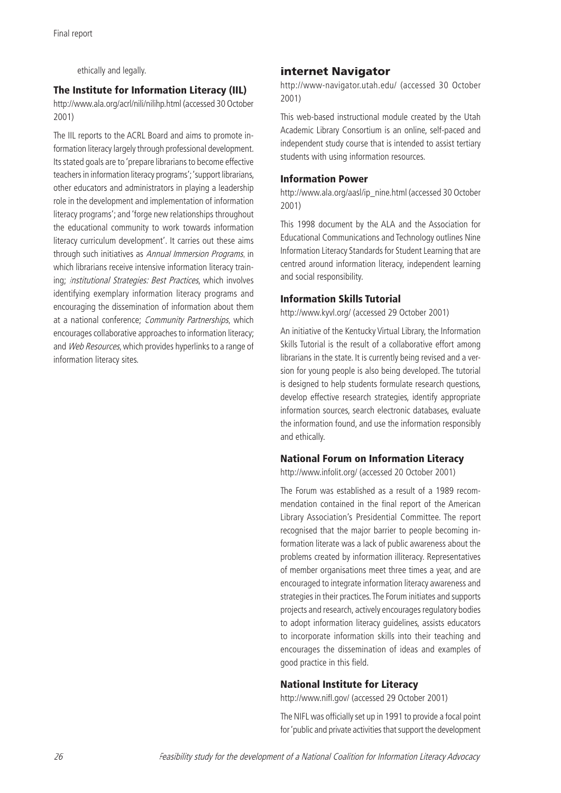ethically and legally.

## The Institute for Information Literacy (IIL)

http://www.ala.org/acrl/nili/nilihp.html (accessed 30 October 2001)

The IIL reports to the ACRL Board and aims to promote information literacy largely through professional development. Its stated goals are to 'prepare librarians to become effective teachers in information literacy programs'; 'support librarians, other educators and administrators in playing a leadership role in the development and implementation of information literacy programs'; and 'forge new relationships throughout the educational community to work towards information literacy curriculum development'. It carries out these aims through such initiatives as Annual Immersion Programs, in which librarians receive intensive information literacy training; Institutional Strategies: Best Practices, which involves identifying exemplary information literacy programs and encouraging the dissemination of information about them at a national conference; Community Partnerships, which encourages collaborative approaches to information literacy; and Web Resources, which provides hyperlinks to a range of information literacy sites.

# internet Navigator

http://www-navigator.utah.edu/ (accessed 30 October 2001)

This web-based instructional module created by the Utah Academic Library Consortium is an online, self-paced and independent study course that is intended to assist tertiary students with using information resources.

## Information Power

http://www.ala.org/aasl/ip\_nine.html (accessed 30 October 2001)

This 1998 document by the ALA and the Association for Educational Communications and Technology outlines Nine Information Literacy Standards for Student Learning that are centred around information literacy, independent learning and social responsibility.

# Information Skills Tutorial

http://www.kyvl.org/ (accessed 29 October 2001)

An initiative of the Kentucky Virtual Library, the Information Skills Tutorial is the result of a collaborative effort among librarians in the state. It is currently being revised and a version for young people is also being developed. The tutorial is designed to help students formulate research questions, develop effective research strategies, identify appropriate information sources, search electronic databases, evaluate the information found, and use the information responsibly and ethically.

# National Forum on Information Literacy

http://www.infolit.org/ (accessed 20 October 2001)

The Forum was established as a result of a 1989 recommendation contained in the final report of the American Library Association's Presidential Committee. The report recognised that the major barrier to people becoming information literate was a lack of public awareness about the problems created by information illiteracy. Representatives of member organisations meet three times a year, and are encouraged to integrate information literacy awareness and strategies in their practices. The Forum initiates and supports projects and research, actively encourages regulatory bodies to adopt information literacy guidelines, assists educators to incorporate information skills into their teaching and encourages the dissemination of ideas and examples of good practice in this field.

# National Institute for Literacy

http://www.nifl.gov/ (accessed 29 October 2001)

The NIFL was officially set up in 1991 to provide a focal point for 'public and private activities that support the development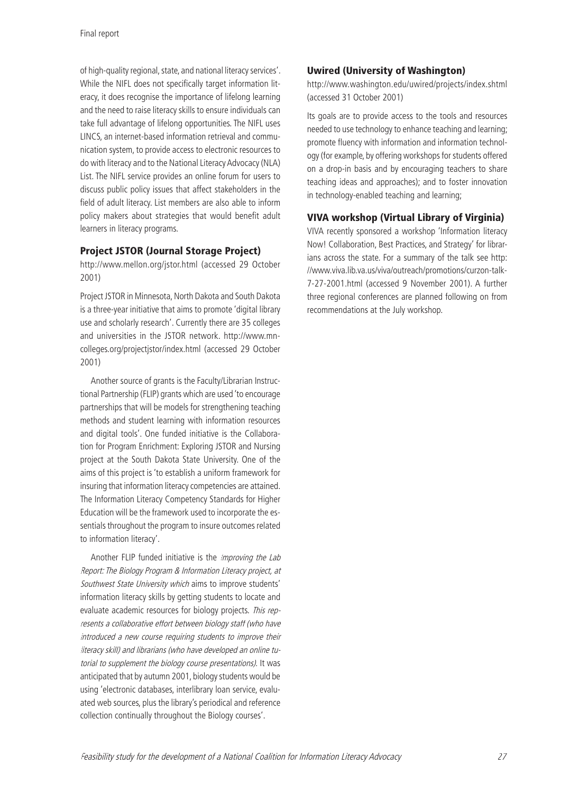of high-quality regional, state, and national literacy services'. While the NIFL does not specifically target information literacy, it does recognise the importance of lifelong learning and the need to raise literacy skills to ensure individuals can take full advantage of lifelong opportunities. The NIFL uses LINCS, an internet-based information retrieval and communication system, to provide access to electronic resources to do with literacy and to the National Literacy Advocacy (NLA) List. The NIFL service provides an online forum for users to discuss public policy issues that affect stakeholders in the field of adult literacy. List members are also able to inform policy makers about strategies that would benefit adult learners in literacy programs.

# Project JSTOR (Journal Storage Project)

http://www.mellon.org/jstor.html (accessed 29 October 2001)

Project JSTOR in Minnesota, North Dakota and South Dakota is a three-year initiative that aims to promote 'digital library use and scholarly research'. Currently there are 35 colleges and universities in the JSTOR network. http://www.mncolleges.org/projectjstor/index.html (accessed 29 October 2001)

Another source of grants is the Faculty/Librarian Instructional Partnership (FLIP) grants which are used 'to encourage partnerships that will be models for strengthening teaching methods and student learning with information resources and digital tools'. One funded initiative is the Collaboration for Program Enrichment: Exploring JSTOR and Nursing project at the South Dakota State University. One of the aims of this project is 'to establish a uniform framework for insuring that information literacy competencies are attained. The Information Literacy Competency Standards for Higher Education will be the framework used to incorporate the essentials throughout the program to insure outcomes related to information literacy'.

Another FLIP funded initiative is the *Improving the Lab* Report: The Biology Program & Information Literacy project, at Southwest State University which aims to improve students' information literacy skills by getting students to locate and evaluate academic resources for biology projects. This represents a collaborative effort between biology staff (who have introduced a new course requiring students to improve their literacy skill) and librarians (who have developed an online tutorial to supplement the biology course presentations). It was anticipated that by autumn 2001, biology students would be using 'electronic databases, interlibrary loan service, evaluated web sources, plus the library's periodical and reference collection continually throughout the Biology courses'.

## Uwired (University of Washington)

http://www.washington.edu/uwired/projects/index.shtml (accessed 31 October 2001)

Its goals are to provide access to the tools and resources needed to use technology to enhance teaching and learning; promote fluency with information and information technology (for example, by offering workshops for students offered on a drop-in basis and by encouraging teachers to share teaching ideas and approaches); and to foster innovation in technology-enabled teaching and learning;

# VIVA workshop (Virtual Library of Virginia)

VIVA recently sponsored a workshop 'Information literacy Now! Collaboration, Best Practices, and Strategy' for librarians across the state. For a summary of the talk see http: //www.viva.lib.va.us/viva/outreach/promotions/curzon-talk-7-27-2001.html (accessed 9 November 2001). A further three regional conferences are planned following on from recommendations at the July workshop.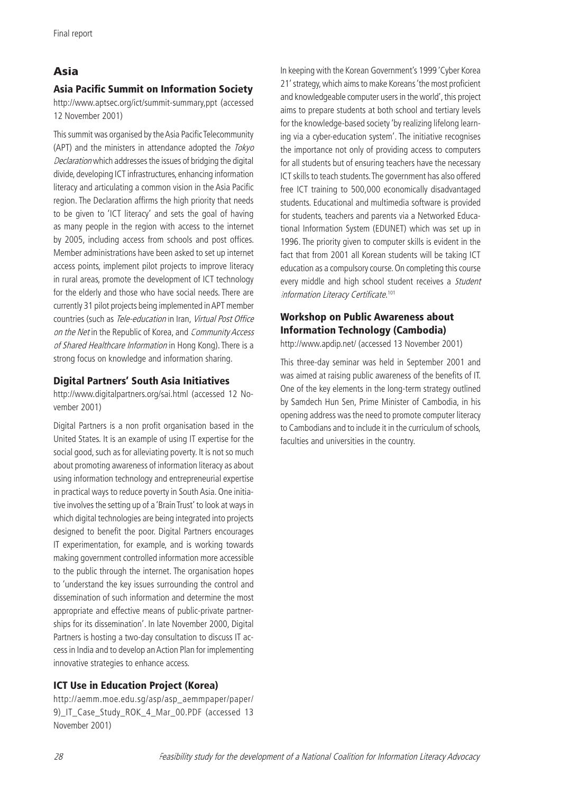# Asia

# Asia Pacific Summit on Information Society

http://www.aptsec.org/ict/summit-summary,ppt (accessed 12 November 2001)

This summit was organised by the Asia Pacific Telecommunity (APT) and the ministers in attendance adopted the Tokyo Declaration which addresses the issues of bridging the digital divide, developing ICT infrastructures, enhancing information literacy and articulating a common vision in the Asia Pacific region. The Declaration affirms the high priority that needs to be given to 'ICT literacy' and sets the goal of having as many people in the region with access to the internet by 2005, including access from schools and post offices. Member administrations have been asked to set up internet access points, implement pilot projects to improve literacy in rural areas, promote the development of ICT technology for the elderly and those who have social needs. There are currently 31 pilot projects being implemented in APT member countries (such as Tele-education in Iran, Virtual Post Office on the Net in the Republic of Korea, and Community Access of Shared Healthcare Information in Hong Kong). There is a strong focus on knowledge and information sharing.

# Digital Partners' South Asia Initiatives

http://www.digitalpartners.org/sai.html (accessed 12 November 2001)

Digital Partners is a non profit organisation based in the United States. It is an example of using IT expertise for the social good, such as for alleviating poverty. It is not so much about promoting awareness of information literacy as about using information technology and entrepreneurial expertise in practical ways to reduce poverty in South Asia. One initiative involves the setting up of a 'Brain Trust' to look at ways in which digital technologies are being integrated into projects designed to benefit the poor. Digital Partners encourages IT experimentation, for example, and is working towards making government controlled information more accessible to the public through the internet. The organisation hopes to 'understand the key issues surrounding the control and dissemination of such information and determine the most appropriate and effective means of public-private partnerships for its dissemination'. In late November 2000, Digital Partners is hosting a two-day consultation to discuss IT access in India and to develop an Action Plan for implementing innovative strategies to enhance access.

# ICT Use in Education Project (Korea)

http://aemm.moe.edu.sg/asp/asp\_aemmpaper/paper/ 9)\_IT\_Case\_Study\_ROK\_4\_Mar\_00.PDF (accessed 13 November 2001)

In keeping with the Korean Government's 1999 'Cyber Korea 21' strategy, which aims to make Koreans 'the most proficient and knowledgeable computer users in the world', this project aims to prepare students at both school and tertiary levels for the knowledge-based society 'by realizing lifelong learning via a cyber-education system'. The initiative recognises the importance not only of providing access to computers for all students but of ensuring teachers have the necessary ICT skills to teach students. The government has also offered free ICT training to 500,000 economically disadvantaged students. Educational and multimedia software is provided for students, teachers and parents via a Networked Educational Information System (EDUNET) which was set up in 1996. The priority given to computer skills is evident in the fact that from 2001 all Korean students will be taking ICT education as a compulsory course. On completing this course every middle and high school student receives a Student Information Literacy Certificate.101

# Workshop on Public Awareness about Information Technology (Cambodia)

http://www.apdip.net/ (accessed 13 November 2001)

This three-day seminar was held in September 2001 and was aimed at raising public awareness of the benefits of IT. One of the key elements in the long-term strategy outlined by Samdech Hun Sen, Prime Minister of Cambodia, in his opening address was the need to promote computer literacy to Cambodians and to include it in the curriculum of schools, faculties and universities in the country.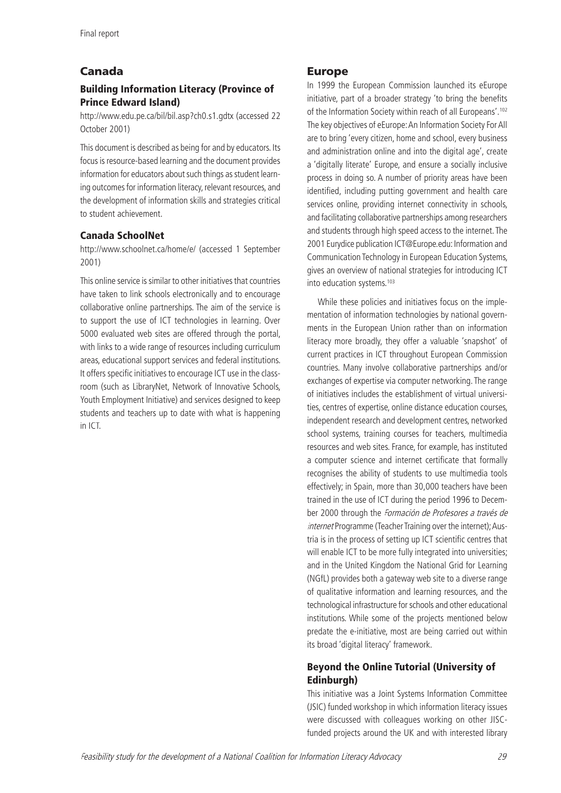# Canada

# Building Information Literacy (Province of Prince Edward Island)

http://www.edu.pe.ca/bil/bil.asp?ch0.s1.gdtx (accessed 22 October 2001)

This document is described as being for and by educators. Its focus is resource-based learning and the document provides information for educators about such things as student learning outcomes for information literacy, relevant resources, and the development of information skills and strategies critical to student achievement.

# Canada SchoolNet

http://www.schoolnet.ca/home/e/ (accessed 1 September 2001)

This online service is similar to other initiatives that countries have taken to link schools electronically and to encourage collaborative online partnerships. The aim of the service is to support the use of ICT technologies in learning. Over 5000 evaluated web sites are offered through the portal, with links to a wide range of resources including curriculum areas, educational support services and federal institutions. It offers specific initiatives to encourage ICT use in the classroom (such as LibraryNet, Network of Innovative Schools, Youth Employment Initiative) and services designed to keep students and teachers up to date with what is happening in ICT.

# Europe

In 1999 the European Commission launched its eEurope initiative, part of a broader strategy 'to bring the benefits of the Information Society within reach of all Europeans'.102 The key objectives of eEurope: An Information Society For All are to bring 'every citizen, home and school, every business and administration online and into the digital age', create a 'digitally literate' Europe, and ensure a socially inclusive process in doing so. A number of priority areas have been identified, including putting government and health care services online, providing internet connectivity in schools, and facilitating collaborative partnerships among researchers and students through high speed access to the internet. The 2001 Eurydice publication ICT@Europe.edu: Information and Communication Technology in European Education Systems, gives an overview of national strategies for introducing ICT into education systems.<sup>103</sup>

While these policies and initiatives focus on the implementation of information technologies by national governments in the European Union rather than on information literacy more broadly, they offer a valuable 'snapshot' of current practices in ICT throughout European Commission countries. Many involve collaborative partnerships and/or exchanges of expertise via computer networking. The range of initiatives includes the establishment of virtual universities, centres of expertise, online distance education courses, independent research and development centres, networked school systems, training courses for teachers, multimedia resources and web sites. France, for example, has instituted a computer science and internet certificate that formally recognises the ability of students to use multimedia tools effectively; in Spain, more than 30,000 teachers have been trained in the use of ICT during the period 1996 to December 2000 through the Formación de Profesores a través de internet Programme (Teacher Training over the internet); Austria is in the process of setting up ICT scientific centres that will enable ICT to be more fully integrated into universities; and in the United Kingdom the National Grid for Learning (NGfL) provides both a gateway web site to a diverse range of qualitative information and learning resources, and the technological infrastructure for schools and other educational institutions. While some of the projects mentioned below predate the e-initiative, most are being carried out within its broad 'digital literacy' framework.

# Beyond the Online Tutorial (University of Edinburgh)

This initiative was a Joint Systems Information Committee (JSIC) funded workshop in which information literacy issues were discussed with colleagues working on other JISCfunded projects around the UK and with interested library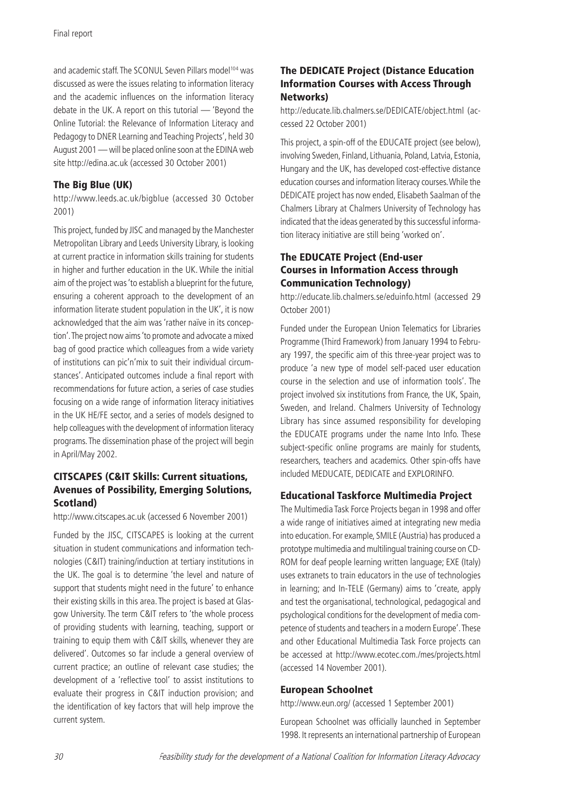and academic staff. The SCONUL Seven Pillars model<sup>104</sup> was discussed as were the issues relating to information literacy and the academic influences on the information literacy debate in the UK. A report on this tutorial — 'Beyond the Online Tutorial: the Relevance of Information Literacy and Pedagogy to DNER Learning and Teaching Projects', held 30 August 2001 — will be placed online soon at the EDINA web site http://edina.ac.uk (accessed 30 October 2001)

# The Big Blue (UK)

http://www.leeds.ac.uk/bigblue (accessed 30 October 2001)

This project, funded by JISC and managed by the Manchester Metropolitan Library and Leeds University Library, is looking at current practice in information skills training for students in higher and further education in the UK. While the initial aim of the project was 'to establish a blueprint for the future, ensuring a coherent approach to the development of an information literate student population in the UK', it is now acknowledged that the aim was 'rather naïve in its conception'. The project now aims 'to promote and advocate a mixed bag of good practice which colleagues from a wide variety of institutions can pic'n'mix to suit their individual circumstances'. Anticipated outcomes include a final report with recommendations for future action, a series of case studies focusing on a wide range of information literacy initiatives in the UK HE/FE sector, and a series of models designed to help colleagues with the development of information literacy programs. The dissemination phase of the project will begin in April/May 2002.

# CITSCAPES (C&IT Skills: Current situations, Avenues of Possibility, Emerging Solutions, Scotland)

http://www.citscapes.ac.uk (accessed 6 November 2001)

Funded by the JISC, CITSCAPES is looking at the current situation in student communications and information technologies (C&IT) training/induction at tertiary institutions in the UK. The goal is to determine 'the level and nature of support that students might need in the future' to enhance their existing skills in this area. The project is based at Glasgow University. The term C&IT refers to 'the whole process of providing students with learning, teaching, support or training to equip them with C&IT skills, whenever they are delivered'. Outcomes so far include a general overview of current practice; an outline of relevant case studies; the development of a 'reflective tool' to assist institutions to evaluate their progress in C&IT induction provision; and the identification of key factors that will help improve the current system.

# The DEDICATE Project (Distance Education Information Courses with Access Through Networks)

http://educate.lib.chalmers.se/DEDICATE/object.html (accessed 22 October 2001)

This project, a spin-off of the EDUCATE project (see below), involving Sweden, Finland, Lithuania, Poland, Latvia, Estonia, Hungary and the UK, has developed cost-effective distance education courses and information literacy courses. While the DEDICATE project has now ended, Elisabeth Saalman of the Chalmers Library at Chalmers University of Technology has indicated that the ideas generated by this successful information literacy initiative are still being 'worked on'.

# The EDUCATE Project (End-user Courses in Information Access through Communication Technology)

http://educate.lib.chalmers.se/eduinfo.html (accessed 29 October 2001)

Funded under the European Union Telematics for Libraries Programme (Third Framework) from January 1994 to February 1997, the specific aim of this three-year project was to produce 'a new type of model self-paced user education course in the selection and use of information tools'. The project involved six institutions from France, the UK, Spain, Sweden, and Ireland. Chalmers University of Technology Library has since assumed responsibility for developing the EDUCATE programs under the name Into Info. These subject-specific online programs are mainly for students, researchers, teachers and academics. Other spin-offs have included MEDUCATE, DEDICATE and EXPLORINFO.

# Educational Taskforce Multimedia Project

The Multimedia Task Force Projects began in 1998 and offer a wide range of initiatives aimed at integrating new media into education. For example, SMILE (Austria) has produced a prototype multimedia and multilingual training course on CD-ROM for deaf people learning written language; EXE (Italy) uses extranets to train educators in the use of technologies in learning; and In-TELE (Germany) aims to 'create, apply and test the organisational, technological, pedagogical and psychological conditions for the development of media competence of students and teachers in a modern Europe'. These and other Educational Multimedia Task Force projects can be accessed at http://www.ecotec.com./mes/projects.html (accessed 14 November 2001).

## European Schoolnet

http://www.eun.org/ (accessed 1 September 2001)

European Schoolnet was officially launched in September 1998. It represents an international partnership of European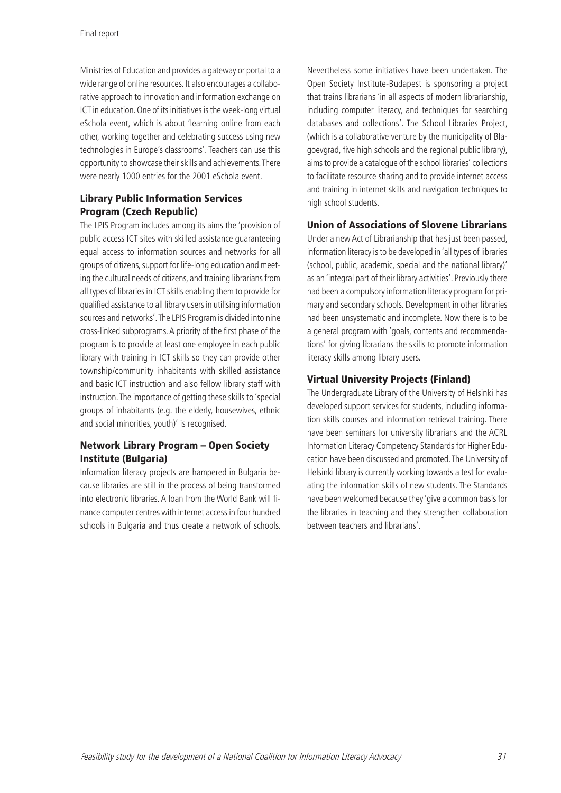Ministries of Education and provides a gateway or portal to a wide range of online resources. It also encourages a collaborative approach to innovation and information exchange on ICT in education. One of its initiatives is the week-long virtual eSchola event, which is about 'learning online from each other, working together and celebrating success using new technologies in Europe's classrooms'. Teachers can use this opportunity to showcase their skills and achievements. There were nearly 1000 entries for the 2001 eSchola event.

# Library Public Information Services Program (Czech Republic)

The LPIS Program includes among its aims the 'provision of public access ICT sites with skilled assistance guaranteeing equal access to information sources and networks for all groups of citizens, support for life-long education and meeting the cultural needs of citizens, and training librarians from all types of libraries in ICT skills enabling them to provide for qualified assistance to all library users in utilising information sources and networks'. The LPIS Program is divided into nine cross-linked subprograms. A priority of the first phase of the program is to provide at least one employee in each public library with training in ICT skills so they can provide other township/community inhabitants with skilled assistance and basic ICT instruction and also fellow library staff with instruction. The importance of getting these skills to 'special groups of inhabitants (e.g. the elderly, housewives, ethnic and social minorities, youth)' is recognised.

# Network Library Program – Open Society Institute (Bulgaria)

Information literacy projects are hampered in Bulgaria because libraries are still in the process of being transformed into electronic libraries. A loan from the World Bank will finance computer centres with internet access in four hundred schools in Bulgaria and thus create a network of schools.

Nevertheless some initiatives have been undertaken. The Open Society Institute-Budapest is sponsoring a project that trains librarians 'in all aspects of modern librarianship, including computer literacy, and techniques for searching databases and collections'. The School Libraries Project, (which is a collaborative venture by the municipality of Blagoevgrad, five high schools and the regional public library), aims to provide a catalogue of the school libraries' collections to facilitate resource sharing and to provide internet access and training in internet skills and navigation techniques to high school students.

## Union of Associations of Slovene Librarians

Under a new Act of Librarianship that has just been passed, information literacy is to be developed in 'all types of libraries (school, public, academic, special and the national library)' as an 'integral part of their library activities'. Previously there had been a compulsory information literacy program for primary and secondary schools. Development in other libraries had been unsystematic and incomplete. Now there is to be a general program with 'goals, contents and recommendations' for giving librarians the skills to promote information literacy skills among library users.

## Virtual University Projects (Finland)

The Undergraduate Library of the University of Helsinki has developed support services for students, including information skills courses and information retrieval training. There have been seminars for university librarians and the ACRL Information Literacy Competency Standards for Higher Education have been discussed and promoted. The University of Helsinki library is currently working towards a test for evaluating the information skills of new students. The Standards have been welcomed because they 'give a common basis for the libraries in teaching and they strengthen collaboration between teachers and librarians'.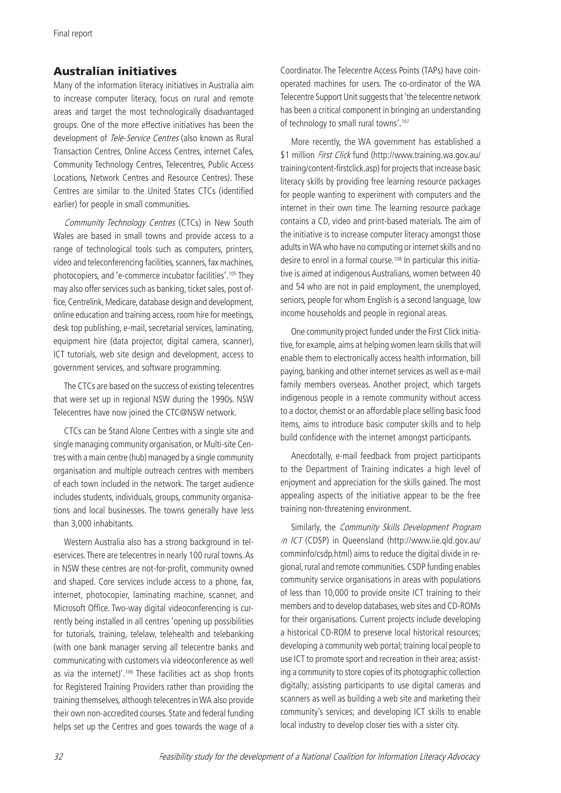# Australian initiatives

Many of the information literacy initiatives in Australia aim to increase computer literacy, focus on rural and remote areas and target the most technologically disadvantaged groups. One of the more effective initiatives has been the development of Tele-Service Centres (also known as Rural Transaction Centres, Online Access Centres, internet Cafes, Community Technology Centres, Telecentres, Public Access Locations, Network Centres and Resource Centres). These Centres are similar to the United States CTCs (identified earlier) for people in small communities.

Community Technology Centres (CTCs) in New South Wales are based in small towns and provide access to a range of technological tools such as computers, printers, video and teleconferencing facilities, scanners, fax machines, photocopiers, and 'e-commerce incubator facilities'.105 They may also offer services such as banking, ticket sales, post office, Centrelink, Medicare, database design and development, online education and training access, room hire for meetings, desk top publishing, e-mail, secretarial services, laminating, equipment hire (data projector, digital camera, scanner), ICT tutorials, web site design and development, access to government services, and software programming.

The CTCs are based on the success of existing telecentres that were set up in regional NSW during the 1990s. NSW Telecentres have now joined the CTC@NSW network.

CTCs can be Stand Alone Centres with a single site and single managing community organisation, or Multi-site Centres with a main centre (hub) managed by a single community organisation and multiple outreach centres with members of each town included in the network. The target audience includes students, individuals, groups, community organisations and local businesses. The towns generally have less than 3,000 inhabitants.

Western Australia also has a strong background in teleservices. There are telecentres in nearly 100 rural towns. As in NSW these centres are not-for-profit, community owned and shaped. Core services include access to a phone, fax, internet, photocopier, laminating machine, scanner, and Microsoft Office. Two-way digital videoconferencing is currently being installed in all centres 'opening up possibilities for tutorials, training, telelaw, telehealth and telebanking (with one bank manager serving all telecentre banks and communicating with customers via videoconference as well as via the internet)'.106 These facilities act as shop fronts for Registered Training Providers rather than providing the training themselves, although telecentres in WA also provide their own non-accredited courses. State and federal funding helps set up the Centres and goes towards the wage of a Coordinator. The Telecentre Access Points (TAPs) have coinoperated machines for users. The co-ordinator of the WA Telecentre Support Unit suggests that 'the telecentre network has been a critical component in bringing an understanding of technology to small rural towns'.107

More recently, the WA government has established a \$1 million First Click fund (http://www.training.wa.gov.au/ training/content-firstclick.asp) for projects that increase basic literacy skills by providing free learning resource packages for people wanting to experiment with computers and the internet in their own time. The learning resource package contains a CD, video and print-based materials. The aim of the initiative is to increase computer literacy amongst those adults in WA who have no computing or internet skills and no desire to enrol in a formal course.<sup>108</sup> In particular this initiative is aimed at indigenous Australians, women between 40 and 54 who are not in paid employment, the unemployed, seniors, people for whom English is a second language, low income households and people in regional areas.

One community project funded under the First Click initiative, for example, aims at helping women learn skills that will enable them to electronically access health information, bill paying, banking and other internet services as well as e-mail family members overseas. Another project, which targets indigenous people in a remote community without access to a doctor, chemist or an affordable place selling basic food items, aims to introduce basic computer skills and to help build confidence with the internet amongst participants.

Anecdotally, e-mail feedback from project participants to the Department of Training indicates a high level of enjoyment and appreciation for the skills gained. The most appealing aspects of the initiative appear to be the free training non-threatening environment.

Similarly, the Community Skills Development Program in ICT (CDSP) in Queensland (http://www.iie.qld.gov.au/ comminfo/csdp.html) aims to reduce the digital divide in regional, rural and remote communities. CSDP funding enables community service organisations in areas with populations of less than 10,000 to provide onsite ICT training to their members and to develop databases, web sites and CD-ROMs for their organisations. Current projects include developing a historical CD-ROM to preserve local historical resources; developing a community web portal; training local people to use ICT to promote sport and recreation in their area; assisting a community to store copies of its photographic collection digitally; assisting participants to use digital cameras and scanners as well as building a web site and marketing their community's services; and developing ICT skills to enable local industry to develop closer ties with a sister city.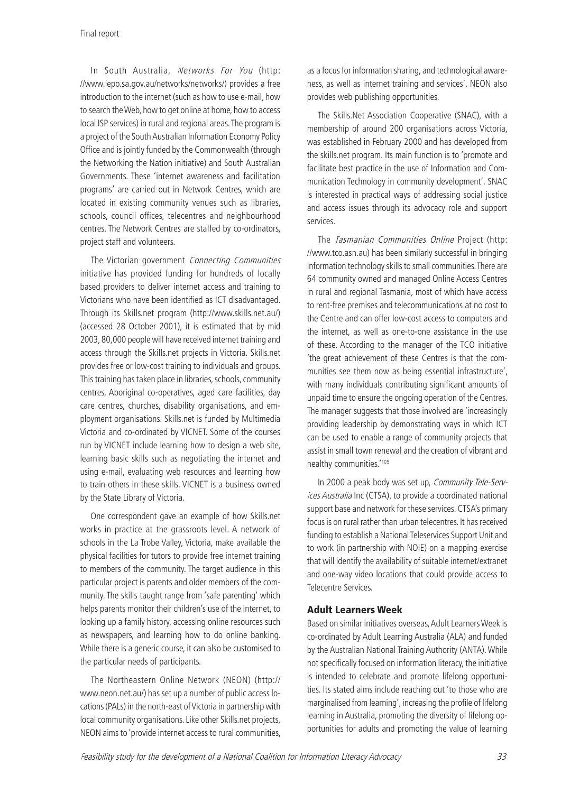In South Australia, Networks For You (http: //www.iepo.sa.gov.au/networks/networks/) provides a free introduction to the internet (such as how to use e-mail, how to search the Web, how to get online at home, how to access local ISP services) in rural and regional areas. The program is a project of the South Australian Information Economy Policy Office and is jointly funded by the Commonwealth (through the Networking the Nation initiative) and South Australian Governments. These 'internet awareness and facilitation programs' are carried out in Network Centres, which are located in existing community venues such as libraries, schools, council offices, telecentres and neighbourhood centres. The Network Centres are staffed by co-ordinators, project staff and volunteers.

The Victorian government Connecting Communities initiative has provided funding for hundreds of locally based providers to deliver internet access and training to Victorians who have been identified as ICT disadvantaged. Through its Skills.net program (http://www.skills.net.au/) (accessed 28 October 2001), it is estimated that by mid 2003, 80,000 people will have received internet training and access through the Skills.net projects in Victoria. Skills.net provides free or low-cost training to individuals and groups. This training has taken place in libraries, schools, community centres, Aboriginal co-operatives, aged care facilities, day care centres, churches, disability organisations, and employment organisations. Skills.net is funded by Multimedia Victoria and co-ordinated by VICNET. Some of the courses run by VICNET include learning how to design a web site, learning basic skills such as negotiating the internet and using e-mail, evaluating web resources and learning how to train others in these skills. VICNET is a business owned by the State Library of Victoria.

One correspondent gave an example of how Skills.net works in practice at the grassroots level. A network of schools in the La Trobe Valley, Victoria, make available the physical facilities for tutors to provide free internet training to members of the community. The target audience in this particular project is parents and older members of the community. The skills taught range from 'safe parenting' which helps parents monitor their children's use of the internet, to looking up a family history, accessing online resources such as newspapers, and learning how to do online banking. While there is a generic course, it can also be customised to the particular needs of participants.

The Northeastern Online Network (NEON) (http:// www.neon.net.au/) has set up a number of public access locations (PALs) in the north-east of Victoria in partnership with local community organisations. Like other Skills.net projects, NEON aims to 'provide internet access to rural communities,

as a focus for information sharing, and technological awareness, as well as internet training and services'. NEON also provides web publishing opportunities.

The Skills.Net Association Cooperative (SNAC), with a membership of around 200 organisations across Victoria, was established in February 2000 and has developed from the skills.net program. Its main function is to 'promote and facilitate best practice in the use of Information and Communication Technology in community development'. SNAC is interested in practical ways of addressing social justice and access issues through its advocacy role and support services.

The Tasmanian Communities Online Project (http: //www.tco.asn.au) has been similarly successful in bringing information technology skills to small communities. There are 64 community owned and managed Online Access Centres in rural and regional Tasmania, most of which have access to rent-free premises and telecommunications at no cost to the Centre and can offer low-cost access to computers and the internet, as well as one-to-one assistance in the use of these. According to the manager of the TCO initiative 'the great achievement of these Centres is that the communities see them now as being essential infrastructure', with many individuals contributing significant amounts of unpaid time to ensure the ongoing operation of the Centres. The manager suggests that those involved are 'increasingly providing leadership by demonstrating ways in which ICT can be used to enable a range of community projects that assist in small town renewal and the creation of vibrant and healthy communities.'109

In 2000 a peak body was set up, Community Tele-Services Australia Inc (CTSA), to provide a coordinated national support base and network for these services. CTSA's primary focus is on rural rather than urban telecentres. It has received funding to establish a National Teleservices Support Unit and to work (in partnership with NOIE) on a mapping exercise that will identify the availability of suitable internet/extranet and one-way video locations that could provide access to Telecentre Services.

## Adult Learners Week

Based on similar initiatives overseas, Adult Learners Week is co-ordinated by Adult Learning Australia (ALA) and funded by the Australian National Training Authority (ANTA). While not specifically focused on information literacy, the initiative is intended to celebrate and promote lifelong opportunities. Its stated aims include reaching out 'to those who are marginalised from learning', increasing the profile of lifelong learning in Australia, promoting the diversity of lifelong opportunities for adults and promoting the value of learning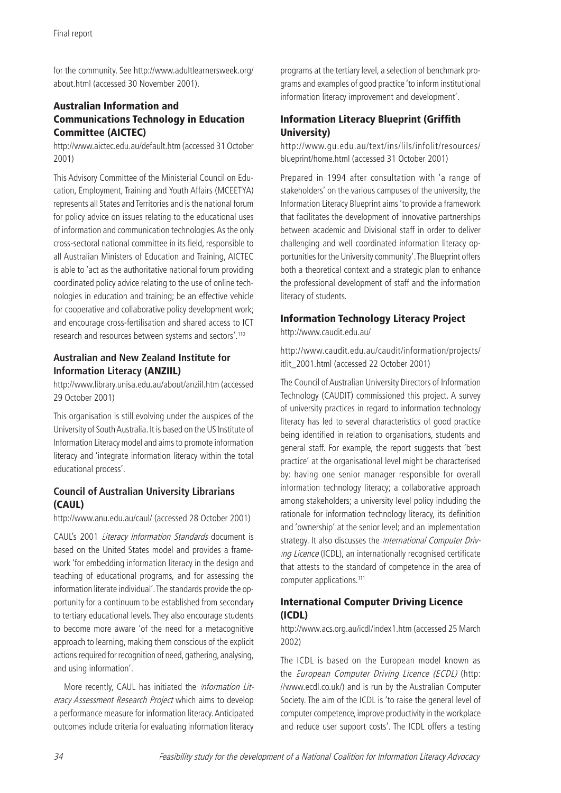for the community. See http://www.adultlearnersweek.org/ about.html (accessed 30 November 2001).

# Australian Information and Communications Technology in Education Committee (AICTEC)

http://www.aictec.edu.au/default.htm (accessed 31 October 2001)

This Advisory Committee of the Ministerial Council on Education, Employment, Training and Youth Affairs (MCEETYA) represents all States and Territories and is the national forum for policy advice on issues relating to the educational uses of information and communication technologies. As the only cross-sectoral national committee in its field, responsible to all Australian Ministers of Education and Training, AICTEC is able to 'act as the authoritative national forum providing coordinated policy advice relating to the use of online technologies in education and training; be an effective vehicle for cooperative and collaborative policy development work; and encourage cross-fertilisation and shared access to ICT research and resources between systems and sectors'.110

## **Australian and New Zealand Institute for Information Literacy** (ANZIIL)

http://www.library.unisa.edu.au/about/anziil.htm (accessed 29 October 2001)

This organisation is still evolving under the auspices of the University of South Australia. It is based on the US Institute of Information Literacy model and aims to promote information literacy and 'integrate information literacy within the total educational process'.

# **Council of Australian University Librarians** (CAUL)

http://www.anu.edu.au/caul/ (accessed 28 October 2001)

CAUL's 2001 Literacy Information Standards document is based on the United States model and provides a framework 'for embedding information literacy in the design and teaching of educational programs, and for assessing the information literate individual'. The standards provide the opportunity for a continuum to be established from secondary to tertiary educational levels. They also encourage students to become more aware 'of the need for a metacognitive approach to learning, making them conscious of the explicit actions required for recognition of need, gathering, analysing, and using information'.

More recently, CAUL has initiated the *Information Lit*eracy Assessment Research Project which aims to develop a performance measure for information literacy. Anticipated outcomes include criteria for evaluating information literacy

programs at the tertiary level, a selection of benchmark programs and examples of good practice 'to inform institutional information literacy improvement and development'.

# **Information Literacy Blueprint (Griffith** University)

http://www.gu.edu.au/text/ins/lils/infolit/resources/ blueprint/home.html (accessed 31 October 2001)

Prepared in 1994 after consultation with 'a range of stakeholders' on the various campuses of the university, the Information Literacy Blueprint aims 'to provide a framework that facilitates the development of innovative partnerships between academic and Divisional staff in order to deliver challenging and well coordinated information literacy opportunities for the University community'. The Blueprint offers both a theoretical context and a strategic plan to enhance the professional development of staff and the information literacy of students.

# Information Technology Literacy Project

http://www.caudit.edu.au/

http://www.caudit.edu.au/caudit/information/projects/ itlit\_2001.html (accessed 22 October 2001)

The Council of Australian University Directors of Information Technology (CAUDIT) commissioned this project. A survey of university practices in regard to information technology literacy has led to several characteristics of good practice being identified in relation to organisations, students and general staff. For example, the report suggests that 'best practice' at the organisational level might be characterised by: having one senior manager responsible for overall information technology literacy; a collaborative approach among stakeholders; a university level policy including the rationale for information technology literacy, its definition and 'ownership' at the senior level; and an implementation strategy. It also discusses the International Computer Driving Licence (ICDL), an internationally recognised certificate that attests to the standard of competence in the area of computer applications.<sup>111</sup>

# International Computer Driving Licence (ICDL)

http://www.acs.org.au/icdl/index1.htm (accessed 25 March 2002)

The ICDL is based on the European model known as the European Computer Driving Licence (ECDL) (http: //www.ecdl.co.uk/) and is run by the Australian Computer Society. The aim of the ICDL is 'to raise the general level of computer competence, improve productivity in the workplace and reduce user support costs'. The ICDL offers a testing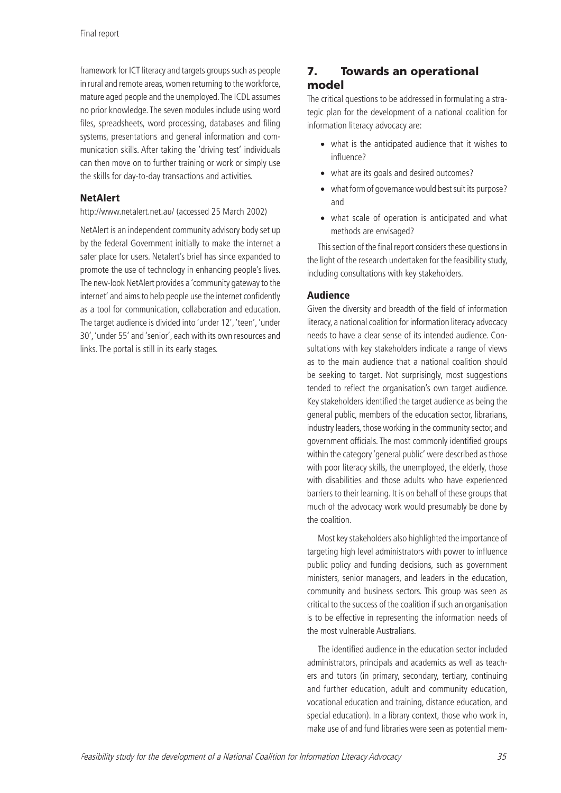framework for ICT literacy and targets groups such as people in rural and remote areas, women returning to the workforce, mature aged people and the unemployed. The ICDL assumes no prior knowledge. The seven modules include using word files, spreadsheets, word processing, databases and filing systems, presentations and general information and communication skills. After taking the 'driving test' individuals can then move on to further training or work or simply use the skills for day-to-day transactions and activities.

## NetAlert

http://www.netalert.net.au/ (accessed 25 March 2002)

NetAlert is an independent community advisory body set up by the federal Government initially to make the internet a safer place for users. Netalert's brief has since expanded to promote the use of technology in enhancing people's lives. The new-look NetAlert provides a 'community gateway to the internet' and aims to help people use the internet confidently as a tool for communication, collaboration and education. The target audience is divided into 'under 12', 'teen', 'under 30', 'under 55' and 'senior', each with its own resources and links. The portal is still in its early stages.

# 7. Towards an operational model

The critical questions to be addressed in formulating a strategic plan for the development of a national coalition for information literacy advocacy are:

- what is the anticipated audience that it wishes to influence?
- what are its goals and desired outcomes?
- what form of governance would best suit its purpose? and
- what scale of operation is anticipated and what methods are envisaged?

This section of the final report considers these questions in the light of the research undertaken for the feasibility study, including consultations with key stakeholders.

## Audience

Given the diversity and breadth of the field of information literacy, a national coalition for information literacy advocacy needs to have a clear sense of its intended audience. Consultations with key stakeholders indicate a range of views as to the main audience that a national coalition should be seeking to target. Not surprisingly, most suggestions tended to reflect the organisation's own target audience. Key stakeholders identified the target audience as being the general public, members of the education sector, librarians, industry leaders, those working in the community sector, and government officials. The most commonly identified groups within the category 'general public' were described as those with poor literacy skills, the unemployed, the elderly, those with disabilities and those adults who have experienced barriers to their learning. It is on behalf of these groups that much of the advocacy work would presumably be done by the coalition.

Most key stakeholders also highlighted the importance of targeting high level administrators with power to influence public policy and funding decisions, such as government ministers, senior managers, and leaders in the education, community and business sectors. This group was seen as critical to the success of the coalition if such an organisation is to be effective in representing the information needs of the most vulnerable Australians.

The identified audience in the education sector included administrators, principals and academics as well as teachers and tutors (in primary, secondary, tertiary, continuing and further education, adult and community education, vocational education and training, distance education, and special education). In a library context, those who work in, make use of and fund libraries were seen as potential mem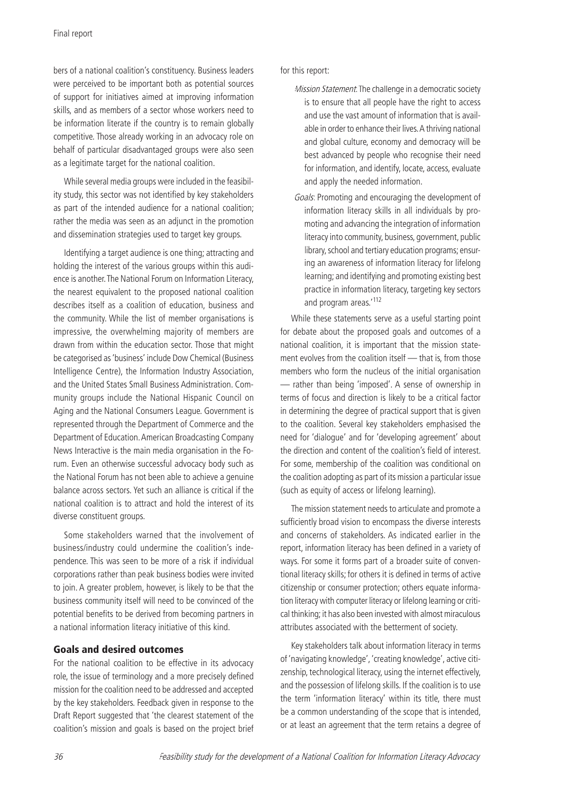bers of a national coalition's constituency. Business leaders were perceived to be important both as potential sources of support for initiatives aimed at improving information skills, and as members of a sector whose workers need to be information literate if the country is to remain globally competitive. Those already working in an advocacy role on behalf of particular disadvantaged groups were also seen as a legitimate target for the national coalition.

While several media groups were included in the feasibility study, this sector was not identified by key stakeholders as part of the intended audience for a national coalition; rather the media was seen as an adjunct in the promotion and dissemination strategies used to target key groups.

Identifying a target audience is one thing; attracting and holding the interest of the various groups within this audience is another. The National Forum on Information Literacy, the nearest equivalent to the proposed national coalition describes itself as a coalition of education, business and the community. While the list of member organisations is impressive, the overwhelming majority of members are drawn from within the education sector. Those that might be categorised as 'business' include Dow Chemical (Business Intelligence Centre), the Information Industry Association, and the United States Small Business Administration. Community groups include the National Hispanic Council on Aging and the National Consumers League. Government is represented through the Department of Commerce and the Department of Education. American Broadcasting Company News Interactive is the main media organisation in the Forum. Even an otherwise successful advocacy body such as the National Forum has not been able to achieve a genuine balance across sectors. Yet such an alliance is critical if the national coalition is to attract and hold the interest of its diverse constituent groups.

Some stakeholders warned that the involvement of business/industry could undermine the coalition's independence. This was seen to be more of a risk if individual corporations rather than peak business bodies were invited to join. A greater problem, however, is likely to be that the business community itself will need to be convinced of the potential benefits to be derived from becoming partners in a national information literacy initiative of this kind.

#### Goals and desired outcomes

For the national coalition to be effective in its advocacy role, the issue of terminology and a more precisely defined mission for the coalition need to be addressed and accepted by the key stakeholders. Feedback given in response to the Draft Report suggested that 'the clearest statement of the coalition's mission and goals is based on the project brief for this report:

- Mission Statement. The challenge in a democratic society is to ensure that all people have the right to access and use the vast amount of information that is available in order to enhance their lives. A thriving national and global culture, economy and democracy will be best advanced by people who recognise their need for information, and identify, locate, access, evaluate and apply the needed information.
- Goals: Promoting and encouraging the development of information literacy skills in all individuals by promoting and advancing the integration of information literacy into community, business, government, public library, school and tertiary education programs; ensuring an awareness of information literacy for lifelong learning; and identifying and promoting existing best practice in information literacy, targeting key sectors and program areas.'<sup>112</sup>

While these statements serve as a useful starting point for debate about the proposed goals and outcomes of a national coalition, it is important that the mission statement evolves from the coalition itself — that is, from those members who form the nucleus of the initial organisation — rather than being 'imposed'. A sense of ownership in terms of focus and direction is likely to be a critical factor in determining the degree of practical support that is given to the coalition. Several key stakeholders emphasised the need for 'dialogue' and for 'developing agreement' about the direction and content of the coalition's field of interest. For some, membership of the coalition was conditional on the coalition adopting as part of its mission a particular issue (such as equity of access or lifelong learning).

The mission statement needs to articulate and promote a sufficiently broad vision to encompass the diverse interests and concerns of stakeholders. As indicated earlier in the report, information literacy has been defined in a variety of ways. For some it forms part of a broader suite of conventional literacy skills; for others it is defined in terms of active citizenship or consumer protection; others equate information literacy with computer literacy or lifelong learning or critical thinking; it has also been invested with almost miraculous attributes associated with the betterment of society.

Key stakeholders talk about information literacy in terms of 'navigating knowledge', 'creating knowledge', active citizenship, technological literacy, using the internet effectively, and the possession of lifelong skills. If the coalition is to use the term 'information literacy' within its title, there must be a common understanding of the scope that is intended, or at least an agreement that the term retains a degree of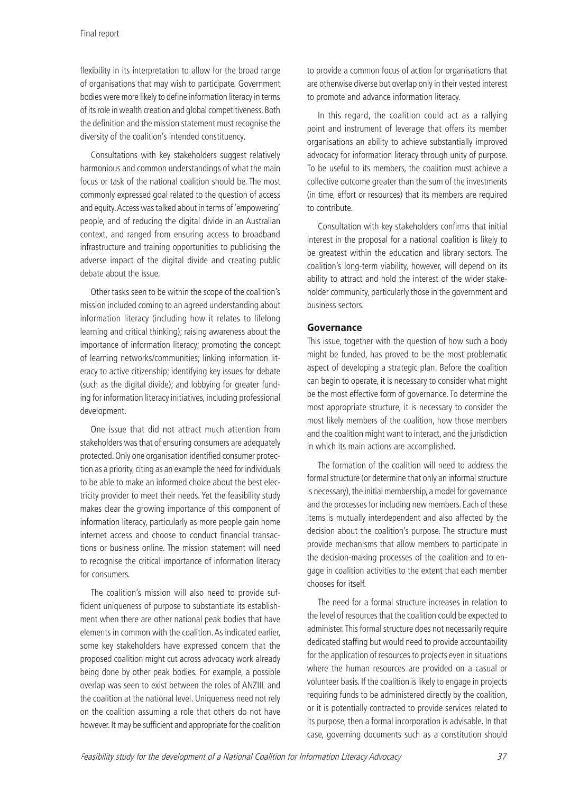flexibility in its interpretation to allow for the broad range of organisations that may wish to participate. Government bodies were more likely to define information literacy in terms of its role in wealth creation and global competitiveness. Both the definition and the mission statement must recognise the diversity of the coalition's intended constituency.

Consultations with key stakeholders suggest relatively harmonious and common understandings of what the main focus or task of the national coalition should be. The most commonly expressed goal related to the question of access and equity. Access was talked about in terms of 'empowering' people, and of reducing the digital divide in an Australian context, and ranged from ensuring access to broadband infrastructure and training opportunities to publicising the adverse impact of the digital divide and creating public debate about the issue.

Other tasks seen to be within the scope of the coalition's mission included coming to an agreed understanding about information literacy (including how it relates to lifelong learning and critical thinking); raising awareness about the importance of information literacy; promoting the concept of learning networks/communities; linking information literacy to active citizenship; identifying key issues for debate (such as the digital divide); and lobbying for greater funding for information literacy initiatives, including professional development.

One issue that did not attract much attention from stakeholders was that of ensuring consumers are adequately protected. Only one organisation identified consumer protection as a priority, citing as an example the need for individuals to be able to make an informed choice about the best electricity provider to meet their needs. Yet the feasibility study makes clear the growing importance of this component of information literacy, particularly as more people gain home internet access and choose to conduct financial transactions or business online. The mission statement will need to recognise the critical importance of information literacy for consumers.

The coalition's mission will also need to provide sufficient uniqueness of purpose to substantiate its establishment when there are other national peak bodies that have elements in common with the coalition. As indicated earlier, some key stakeholders have expressed concern that the proposed coalition might cut across advocacy work already being done by other peak bodies. For example, a possible overlap was seen to exist between the roles of ANZIIL and the coalition at the national level. Uniqueness need not rely on the coalition assuming a role that others do not have however. It may be sufficient and appropriate for the coalition to provide a common focus of action for organisations that are otherwise diverse but overlap only in their vested interest to promote and advance information literacy.

In this regard, the coalition could act as a rallying point and instrument of leverage that offers its member organisations an ability to achieve substantially improved advocacy for information literacy through unity of purpose. To be useful to its members, the coalition must achieve a collective outcome greater than the sum of the investments (in time, effort or resources) that its members are required to contribute.

Consultation with key stakeholders confirms that initial interest in the proposal for a national coalition is likely to be greatest within the education and library sectors. The coalition's long-term viability, however, will depend on its ability to attract and hold the interest of the wider stakeholder community, particularly those in the government and business sectors.

## Governance

This issue, together with the question of how such a body might be funded, has proved to be the most problematic aspect of developing a strategic plan. Before the coalition can begin to operate, it is necessary to consider what might be the most effective form of governance. To determine the most appropriate structure, it is necessary to consider the most likely members of the coalition, how those members and the coalition might want to interact, and the jurisdiction in which its main actions are accomplished.

The formation of the coalition will need to address the formal structure (or determine that only an informal structure is necessary), the initial membership, a model for governance and the processes for including new members. Each of these items is mutually interdependent and also affected by the decision about the coalition's purpose. The structure must provide mechanisms that allow members to participate in the decision-making processes of the coalition and to engage in coalition activities to the extent that each member chooses for itself.

The need for a formal structure increases in relation to the level of resources that the coalition could be expected to administer. This formal structure does not necessarily require dedicated staffing but would need to provide accountability for the application of resources to projects even in situations where the human resources are provided on a casual or volunteer basis. If the coalition is likely to engage in projects requiring funds to be administered directly by the coalition, or it is potentially contracted to provide services related to its purpose, then a formal incorporation is advisable. In that case, governing documents such as a constitution should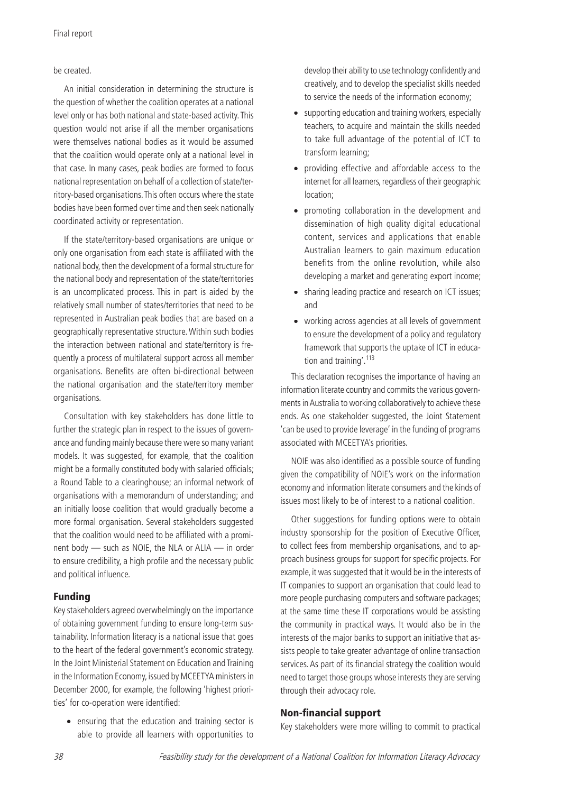#### be created.

An initial consideration in determining the structure is the question of whether the coalition operates at a national level only or has both national and state-based activity. This question would not arise if all the member organisations were themselves national bodies as it would be assumed that the coalition would operate only at a national level in that case. In many cases, peak bodies are formed to focus national representation on behalf of a collection of state/territory-based organisations. This often occurs where the state bodies have been formed over time and then seek nationally coordinated activity or representation.

If the state/territory-based organisations are unique or only one organisation from each state is affiliated with the national body, then the development of a formal structure for the national body and representation of the state/territories is an uncomplicated process. This in part is aided by the relatively small number of states/territories that need to be represented in Australian peak bodies that are based on a geographically representative structure. Within such bodies the interaction between national and state/territory is frequently a process of multilateral support across all member organisations. Benefits are often bi-directional between the national organisation and the state/territory member organisations.

Consultation with key stakeholders has done little to further the strategic plan in respect to the issues of governance and funding mainly because there were so many variant models. It was suggested, for example, that the coalition might be a formally constituted body with salaried officials; a Round Table to a clearinghouse; an informal network of organisations with a memorandum of understanding; and an initially loose coalition that would gradually become a more formal organisation. Several stakeholders suggested that the coalition would need to be affiliated with a prominent body — such as NOIE, the NLA or ALIA — in order to ensure credibility, a high profile and the necessary public and political influence.

#### Funding

Key stakeholders agreed overwhelmingly on the importance of obtaining government funding to ensure long-term sustainability. Information literacy is a national issue that goes to the heart of the federal government's economic strategy. In the Joint Ministerial Statement on Education and Training in the Information Economy, issued by MCEETYA ministers in December 2000, for example, the following 'highest priorities' for co-operation were identified:

• ensuring that the education and training sector is able to provide all learners with opportunities to develop their ability to use technology confidently and creatively, and to develop the specialist skills needed to service the needs of the information economy;

- supporting education and training workers, especially teachers, to acquire and maintain the skills needed to take full advantage of the potential of ICT to transform learning;
- providing effective and affordable access to the internet for all learners, regardless of their geographic location;
- promoting collaboration in the development and dissemination of high quality digital educational content, services and applications that enable Australian learners to gain maximum education benefits from the online revolution, while also developing a market and generating export income;
- sharing leading practice and research on ICT issues; and
- working across agencies at all levels of government to ensure the development of a policy and regulatory framework that supports the uptake of ICT in education and training'.<sup>113</sup>

This declaration recognises the importance of having an information literate country and commits the various governments in Australia to working collaboratively to achieve these ends. As one stakeholder suggested, the Joint Statement 'can be used to provide leverage' in the funding of programs associated with MCEETYA's priorities.

NOIE was also identified as a possible source of funding given the compatibility of NOIE's work on the information economy and information literate consumers and the kinds of issues most likely to be of interest to a national coalition.

Other suggestions for funding options were to obtain industry sponsorship for the position of Executive Officer, to collect fees from membership organisations, and to approach business groups for support for specific projects. For example, it was suggested that it would be in the interests of IT companies to support an organisation that could lead to more people purchasing computers and software packages; at the same time these IT corporations would be assisting the community in practical ways. It would also be in the interests of the major banks to support an initiative that assists people to take greater advantage of online transaction services. As part of its financial strategy the coalition would need to target those groups whose interests they are serving through their advocacy role.

#### **Non-financial support**

Key stakeholders were more willing to commit to practical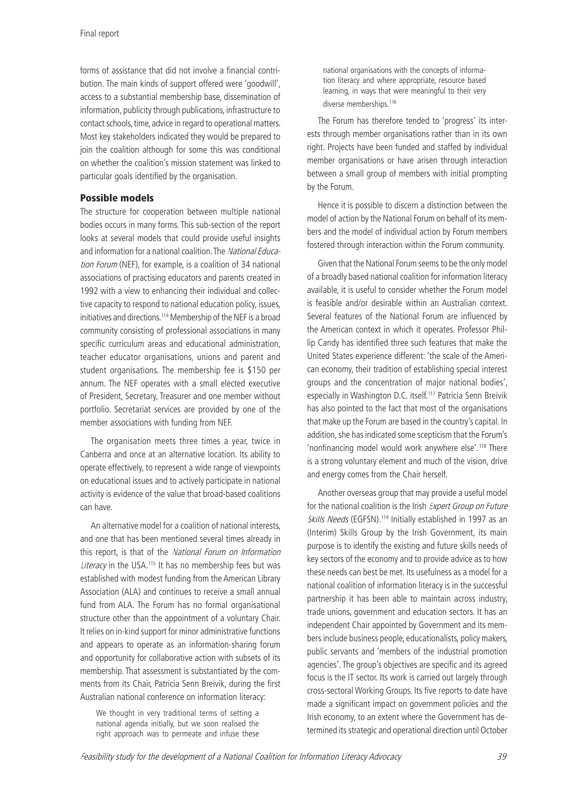forms of assistance that did not involve a financial contribution. The main kinds of support offered were 'goodwill', access to a substantial membership base, dissemination of information, publicity through publications, infrastructure to contact schools, time, advice in regard to operational matters. Most key stakeholders indicated they would be prepared to join the coalition although for some this was conditional on whether the coalition's mission statement was linked to particular goals identified by the organisation.

## Possible models

The structure for cooperation between multiple national bodies occurs in many forms. This sub-section of the report looks at several models that could provide useful insights and information for a national coalition. The National Education Forum (NEF), for example, is a coalition of 34 national associations of practising educators and parents created in 1992 with a view to enhancing their individual and collective capacity to respond to national education policy, issues, initiatives and directions.<sup>114</sup> Membership of the NEF is a broad community consisting of professional associations in many specific curriculum areas and educational administration, teacher educator organisations, unions and parent and student organisations. The membership fee is \$150 per annum. The NEF operates with a small elected executive of President, Secretary, Treasurer and one member without portfolio. Secretariat services are provided by one of the member associations with funding from NEF.

The organisation meets three times a year, twice in Canberra and once at an alternative location. Its ability to operate effectively, to represent a wide range of viewpoints on educational issues and to actively participate in national activity is evidence of the value that broad-based coalitions can have.

An alternative model for a coalition of national interests, and one that has been mentioned several times already in this report, is that of the National Forum on Information Literacy in the USA.<sup>115</sup> It has no membership fees but was established with modest funding from the American Library Association (ALA) and continues to receive a small annual fund from ALA. The Forum has no formal organisational structure other than the appointment of a voluntary Chair. It relies on in-kind support for minor administrative functions and appears to operate as an information-sharing forum and opportunity for collaborative action with subsets of its membership. That assessment is substantiated by the comments from its Chair, Patricia Senn Breivik, during the first Australian national conference on information literacy:

We thought in very traditional terms of setting a national agenda initially, but we soon realised the right approach was to permeate and infuse these national organisations with the concepts of information literacy and where appropriate, resource based learning, in ways that were meaningful to their very diverse memberships.<sup>116</sup>

The Forum has therefore tended to 'progress' its interests through member organisations rather than in its own right. Projects have been funded and staffed by individual member organisations or have arisen through interaction between a small group of members with initial prompting by the Forum.

Hence it is possible to discern a distinction between the model of action by the National Forum on behalf of its members and the model of individual action by Forum members fostered through interaction within the Forum community.

Given that the National Forum seems to be the only model of a broadly based national coalition for information literacy available, it is useful to consider whether the Forum model is feasible and/or desirable within an Australian context. Several features of the National Forum are influenced by the American context in which it operates. Professor Phillip Candy has identified three such features that make the United States experience different: 'the scale of the American economy, their tradition of establishing special interest groups and the concentration of major national bodies', especially in Washington D.C. itself.<sup>117</sup> Patricia Senn Breivik has also pointed to the fact that most of the organisations that make up the Forum are based in the country's capital. In addition, she has indicated some scepticism that the Forum's 'nonfinancing model would work anywhere else'.<sup>118</sup> There is a strong voluntary element and much of the vision, drive and energy comes from the Chair herself.

Another overseas group that may provide a useful model for the national coalition is the Irish Expert Group on Future Skills Needs (EGFSN).<sup>119</sup> Initially established in 1997 as an (Interim) Skills Group by the Irish Government, its main purpose is to identify the existing and future skills needs of key sectors of the economy and to provide advice as to how these needs can best be met. Its usefulness as a model for a national coalition of information literacy is in the successful partnership it has been able to maintain across industry, trade unions, government and education sectors. It has an independent Chair appointed by Government and its members include business people, educationalists, policy makers, public servants and 'members of the industrial promotion agencies'. The group's objectives are specific and its agreed focus is the IT sector. Its work is carried out largely through cross-sectoral Working Groups. Its five reports to date have made a significant impact on government policies and the Irish economy, to an extent where the Government has determined its strategic and operational direction until October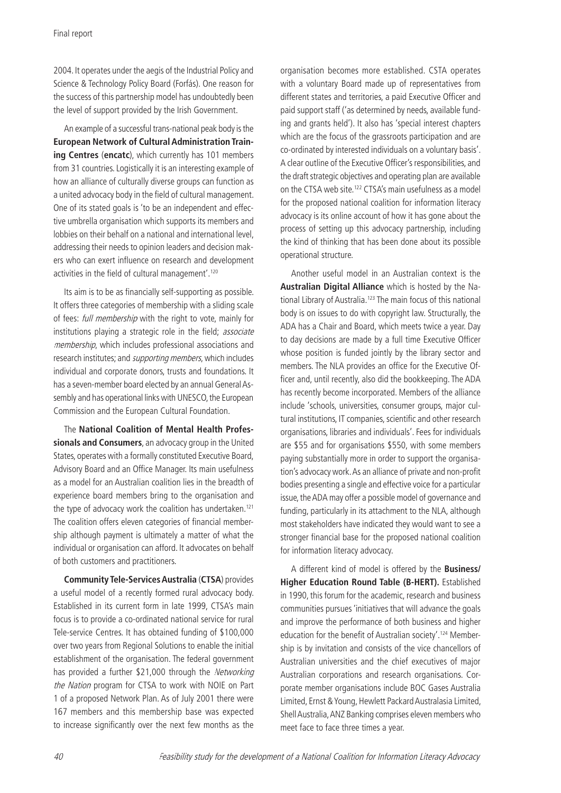2004. It operates under the aegis of the Industrial Policy and Science & Technology Policy Board (Forfás). One reason for the success of this partnership model has undoubtedly been the level of support provided by the Irish Government.

An example of a successful trans-national peak body is the **European Network of Cultural Administration Training Centres** (**encatc**), which currently has 101 members from 31 countries. Logistically it is an interesting example of how an alliance of culturally diverse groups can function as a united advocacy body in the field of cultural management. One of its stated goals is 'to be an independent and effective umbrella organisation which supports its members and lobbies on their behalf on a national and international level, addressing their needs to opinion leaders and decision makers who can exert influence on research and development activities in the field of cultural management'.<sup>120</sup>

Its aim is to be as financially self-supporting as possible. It offers three categories of membership with a sliding scale of fees: full membership with the right to vote, mainly for institutions playing a strategic role in the field; associate membership, which includes professional associations and research institutes; and *supporting members*, which includes individual and corporate donors, trusts and foundations. It has a seven-member board elected by an annual General Assembly and has operational links with UNESCO, the European Commission and the European Cultural Foundation.

The **National Coalition of Mental Health Professionals and Consumers**, an advocacy group in the United States, operates with a formally constituted Executive Board, Advisory Board and an Office Manager. Its main usefulness as a model for an Australian coalition lies in the breadth of experience board members bring to the organisation and the type of advocacy work the coalition has undertaken.<sup>121</sup> The coalition offers eleven categories of financial membership although payment is ultimately a matter of what the individual or organisation can afford. It advocates on behalf of both customers and practitioners.

**Community Tele-Services Australia** (**CTSA**) provides a useful model of a recently formed rural advocacy body. Established in its current form in late 1999, CTSA's main focus is to provide a co-ordinated national service for rural Tele-service Centres. It has obtained funding of \$100,000 over two years from Regional Solutions to enable the initial establishment of the organisation. The federal government has provided a further \$21,000 through the Networking the Nation program for CTSA to work with NOIE on Part 1 of a proposed Network Plan. As of July 2001 there were 167 members and this membership base was expected to increase significantly over the next few months as the

organisation becomes more established. CSTA operates with a voluntary Board made up of representatives from different states and territories, a paid Executive Officer and paid support staff ('as determined by needs, available funding and grants held'). It also has 'special interest chapters which are the focus of the grassroots participation and are co-ordinated by interested individuals on a voluntary basis'. A clear outline of the Executive Officer's responsibilities, and the draft strategic objectives and operating plan are available on the CTSA web site.122 CTSA's main usefulness as a model for the proposed national coalition for information literacy advocacy is its online account of how it has gone about the process of setting up this advocacy partnership, including the kind of thinking that has been done about its possible operational structure.

Another useful model in an Australian context is the **Australian Digital Alliance** which is hosted by the National Library of Australia.<sup>123</sup> The main focus of this national body is on issues to do with copyright law. Structurally, the ADA has a Chair and Board, which meets twice a year. Day to day decisions are made by a full time Executive Officer whose position is funded jointly by the library sector and members. The NLA provides an office for the Executive Officer and, until recently, also did the bookkeeping. The ADA has recently become incorporated. Members of the alliance include 'schools, universities, consumer groups, major cultural institutions, IT companies, scientific and other research organisations, libraries and individuals'. Fees for individuals are \$55 and for organisations \$550, with some members paying substantially more in order to support the organisation's advocacy work. As an alliance of private and non-profit bodies presenting a single and effective voice for a particular issue, the ADA may offer a possible model of governance and funding, particularly in its attachment to the NLA, although most stakeholders have indicated they would want to see a stronger financial base for the proposed national coalition for information literacy advocacy.

A different kind of model is offered by the **Business/ Higher Education Round Table (B-HERT).** Established in 1990, this forum for the academic, research and business communities pursues 'initiatives that will advance the goals and improve the performance of both business and higher education for the benefit of Australian society'.<sup>124</sup> Membership is by invitation and consists of the vice chancellors of Australian universities and the chief executives of major Australian corporations and research organisations. Corporate member organisations include BOC Gases Australia Limited, Ernst & Young, Hewlett Packard Australasia Limited, Shell Australia, ANZ Banking comprises eleven members who meet face to face three times a year.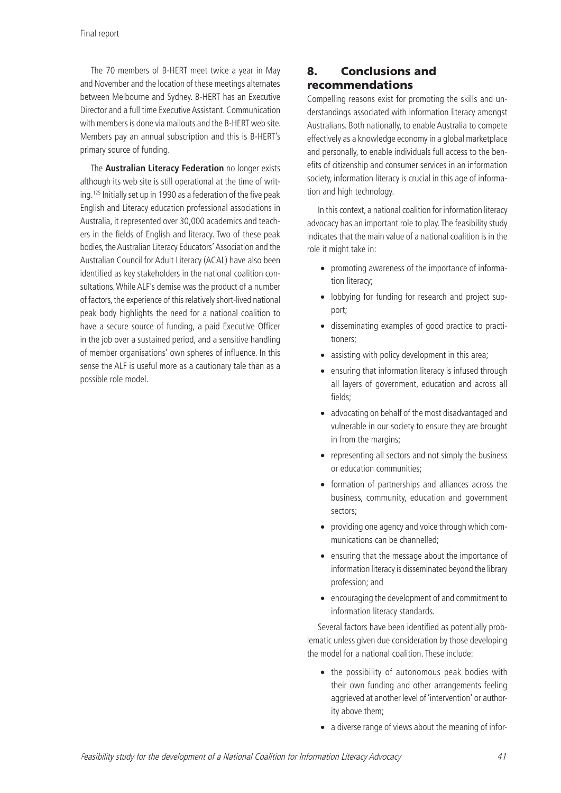The 70 members of B-HERT meet twice a year in May and November and the location of these meetings alternates between Melbourne and Sydney. B-HERT has an Executive Director and a full time Executive Assistant. Communication with members is done via mailouts and the B-HERT web site. Members pay an annual subscription and this is B-HERT's primary source of funding.

The **Australian Literacy Federation** no longer exists although its web site is still operational at the time of writing.<sup>125</sup> Initially set up in 1990 as a federation of the five peak English and Literacy education professional associations in Australia, it represented over 30,000 academics and teachers in the fields of English and literacy. Two of these peak bodies, the Australian Literacy Educators' Association and the Australian Council for Adult Literacy (ACAL) have also been identified as key stakeholders in the national coalition consultations. While ALF's demise was the product of a number of factors, the experience of this relatively short-lived national peak body highlights the need for a national coalition to have a secure source of funding, a paid Executive Officer in the job over a sustained period, and a sensitive handling of member organisations' own spheres of influence. In this sense the ALF is useful more as a cautionary tale than as a possible role model.

# 8. Conclusions and recommendations

Compelling reasons exist for promoting the skills and understandings associated with information literacy amongst Australians. Both nationally, to enable Australia to compete effectively as a knowledge economy in a global marketplace and personally, to enable individuals full access to the benefits of citizenship and consumer services in an information society, information literacy is crucial in this age of information and high technology.

In this context, a national coalition for information literacy advocacy has an important role to play. The feasibility study indicates that the main value of a national coalition is in the role it might take in:

- promoting awareness of the importance of information literacy;
- lobbying for funding for research and project support;
- disseminating examples of good practice to practitioners;
- assisting with policy development in this area;
- ensuring that information literacy is infused through all layers of government, education and across all fields:
- advocating on behalf of the most disadvantaged and vulnerable in our society to ensure they are brought in from the margins;
- representing all sectors and not simply the business or education communities;
- formation of partnerships and alliances across the business, community, education and government sectors;
- providing one agency and voice through which communications can be channelled;
- ensuring that the message about the importance of information literacy is disseminated beyond the library profession; and
- encouraging the development of and commitment to information literacy standards.

Several factors have been identified as potentially problematic unless given due consideration by those developing the model for a national coalition. These include:

- the possibility of autonomous peak bodies with their own funding and other arrangements feeling aggrieved at another level of 'intervention' or authority above them;
- a diverse range of views about the meaning of infor-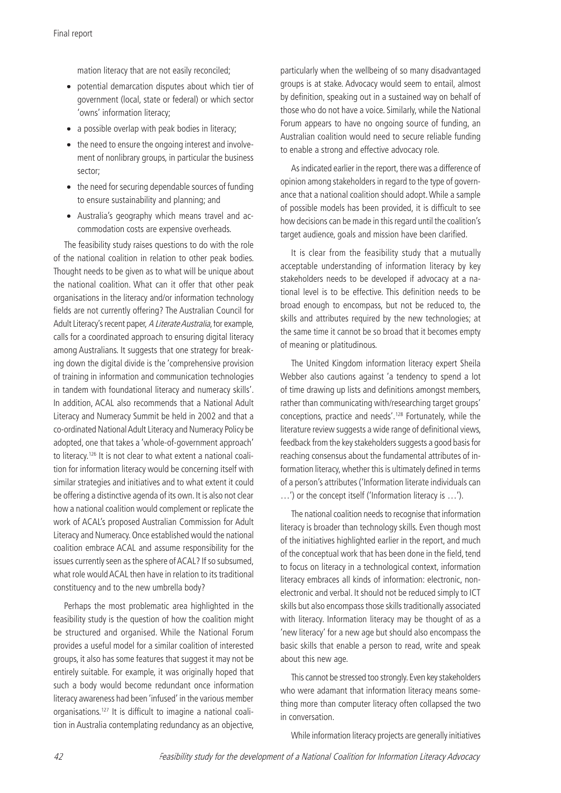mation literacy that are not easily reconciled;

- potential demarcation disputes about which tier of government (local, state or federal) or which sector 'owns' information literacy;
- a possible overlap with peak bodies in literacy;
- the need to ensure the ongoing interest and involvement of nonlibrary groups, in particular the business sector;
- the need for securing dependable sources of funding to ensure sustainability and planning; and
- Australia's geography which means travel and accommodation costs are expensive overheads.

The feasibility study raises questions to do with the role of the national coalition in relation to other peak bodies. Thought needs to be given as to what will be unique about the national coalition. What can it offer that other peak organisations in the literacy and/or information technology fields are not currently offering? The Australian Council for Adult Literacy's recent paper, A Literate Australia, for example, calls for a coordinated approach to ensuring digital literacy among Australians. It suggests that one strategy for breaking down the digital divide is the 'comprehensive provision of training in information and communication technologies in tandem with foundational literacy and numeracy skills'. In addition, ACAL also recommends that a National Adult Literacy and Numeracy Summit be held in 2002 and that a co-ordinated National Adult Literacy and Numeracy Policy be adopted, one that takes a 'whole-of-government approach' to literacy.126 It is not clear to what extent a national coalition for information literacy would be concerning itself with similar strategies and initiatives and to what extent it could be offering a distinctive agenda of its own. It is also not clear how a national coalition would complement or replicate the work of ACAL's proposed Australian Commission for Adult Literacy and Numeracy. Once established would the national coalition embrace ACAL and assume responsibility for the issues currently seen as the sphere of ACAL? If so subsumed, what role would ACAL then have in relation to its traditional constituency and to the new umbrella body?

Perhaps the most problematic area highlighted in the feasibility study is the question of how the coalition might be structured and organised. While the National Forum provides a useful model for a similar coalition of interested groups, it also has some features that suggest it may not be entirely suitable. For example, it was originally hoped that such a body would become redundant once information literacy awareness had been 'infused' in the various member organisations.<sup>127</sup> It is difficult to imagine a national coalition in Australia contemplating redundancy as an objective,

particularly when the wellbeing of so many disadvantaged groups is at stake. Advocacy would seem to entail, almost by definition, speaking out in a sustained way on behalf of those who do not have a voice. Similarly, while the National Forum appears to have no ongoing source of funding, an Australian coalition would need to secure reliable funding to enable a strong and effective advocacy role.

As indicated earlier in the report, there was a difference of opinion among stakeholders in regard to the type of governance that a national coalition should adopt. While a sample of possible models has been provided, it is difficult to see how decisions can be made in this regard until the coalition's target audience, goals and mission have been clarified.

It is clear from the feasibility study that a mutually acceptable understanding of information literacy by key stakeholders needs to be developed if advocacy at a national level is to be effective. This definition needs to be broad enough to encompass, but not be reduced to, the skills and attributes required by the new technologies; at the same time it cannot be so broad that it becomes empty of meaning or platitudinous.

The United Kingdom information literacy expert Sheila Webber also cautions against 'a tendency to spend a lot of time drawing up lists and definitions amongst members, rather than communicating with/researching target groups' conceptions, practice and needs'.128 Fortunately, while the literature review suggests a wide range of definitional views, feedback from the key stakeholders suggests a good basis for reaching consensus about the fundamental attributes of information literacy, whether this is ultimately defined in terms of a person's attributes ('Information literate individuals can …') or the concept itself ('Information literacy is …').

The national coalition needs to recognise that information literacy is broader than technology skills. Even though most of the initiatives highlighted earlier in the report, and much of the conceptual work that has been done in the field, tend to focus on literacy in a technological context, information literacy embraces all kinds of information: electronic, nonelectronic and verbal. It should not be reduced simply to ICT skills but also encompass those skills traditionally associated with literacy. Information literacy may be thought of as a 'new literacy' for a new age but should also encompass the basic skills that enable a person to read, write and speak about this new age.

This cannot be stressed too strongly. Even key stakeholders who were adamant that information literacy means something more than computer literacy often collapsed the two in conversation.

While information literacy projects are generally initiatives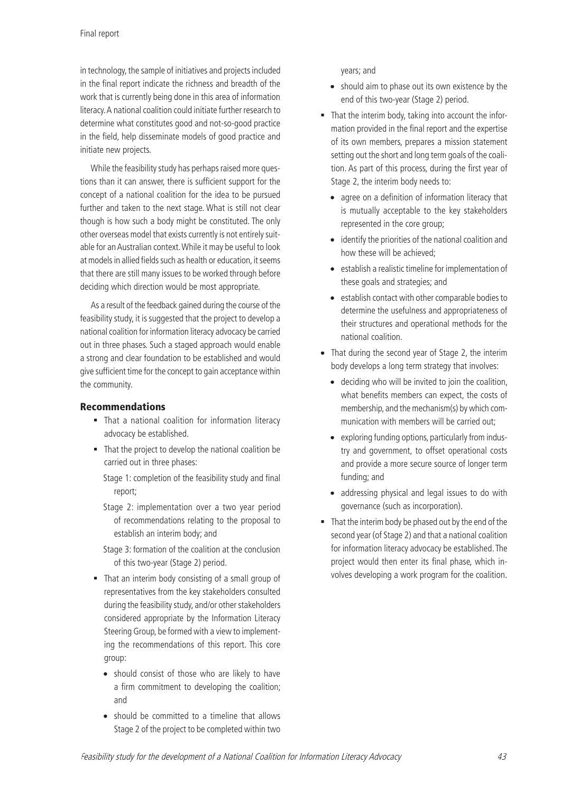in technology, the sample of initiatives and projects included in the final report indicate the richness and breadth of the work that is currently being done in this area of information literacy. A national coalition could initiate further research to determine what constitutes good and not-so-good practice in the field, help disseminate models of good practice and initiate new projects.

While the feasibility study has perhaps raised more questions than it can answer, there is sufficient support for the concept of a national coalition for the idea to be pursued further and taken to the next stage. What is still not clear though is how such a body might be constituted. The only other overseas model that exists currently is not entirely suitable for an Australian context. While it may be useful to look at models in allied fields such as health or education, it seems that there are still many issues to be worked through before deciding which direction would be most appropriate.

As a result of the feedback gained during the course of the feasibility study, it is suggested that the project to develop a national coalition for information literacy advocacy be carried out in three phases. Such a staged approach would enable a strong and clear foundation to be established and would give sufficient time for the concept to gain acceptance within the community.

## Recommendations

- That a national coalition for information literacy advocacy be established.
- That the project to develop the national coalition be carried out in three phases:
	- Stage 1: completion of the feasibility study and final report;
	- Stage 2: implementation over a two year period of recommendations relating to the proposal to establish an interim body; and
	- Stage 3: formation of the coalition at the conclusion of this two-year (Stage 2) period.
- That an interim body consisting of a small group of representatives from the key stakeholders consulted during the feasibility study, and/or other stakeholders considered appropriate by the Information Literacy Steering Group, be formed with a view to implementing the recommendations of this report. This core group:
	- should consist of those who are likely to have a firm commitment to developing the coalition: and
	- should be committed to a timeline that allows Stage 2 of the project to be completed within two

years; and

- should aim to phase out its own existence by the end of this two-year (Stage 2) period.
- That the interim body, taking into account the information provided in the final report and the expertise of its own members, prepares a mission statement setting out the short and long term goals of the coalition. As part of this process, during the first year of Stage 2, the interim body needs to:
	- agree on a definition of information literacy that is mutually acceptable to the key stakeholders represented in the core group;
	- identify the priorities of the national coalition and how these will be achieved;
	- establish a realistic timeline for implementation of these goals and strategies; and
	- establish contact with other comparable bodies to determine the usefulness and appropriateness of their structures and operational methods for the national coalition.
- That during the second year of Stage 2, the interim body develops a long term strategy that involves:
	- deciding who will be invited to join the coalition, what benefits members can expect, the costs of membership, and the mechanism(s) by which communication with members will be carried out;
	- exploring funding options, particularly from industry and government, to offset operational costs and provide a more secure source of longer term funding; and
	- addressing physical and legal issues to do with governance (such as incorporation).
- That the interim body be phased out by the end of the second year (of Stage 2) and that a national coalition for information literacy advocacy be established. The project would then enter its final phase, which involves developing a work program for the coalition.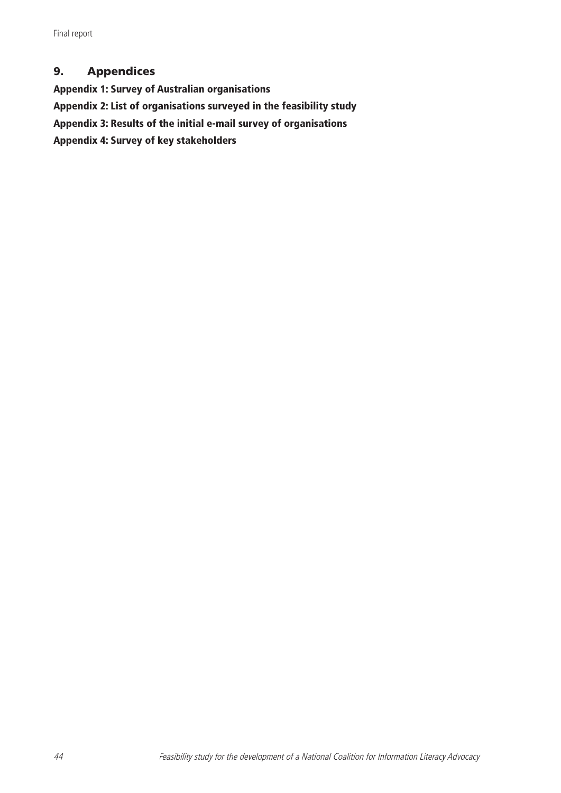# 9. Appendices

Appendix 1: Survey of Australian organisations Appendix 2: List of organisations surveyed in the feasibility study Appendix 3: Results of the initial e-mail survey of organisations Appendix 4: Survey of key stakeholders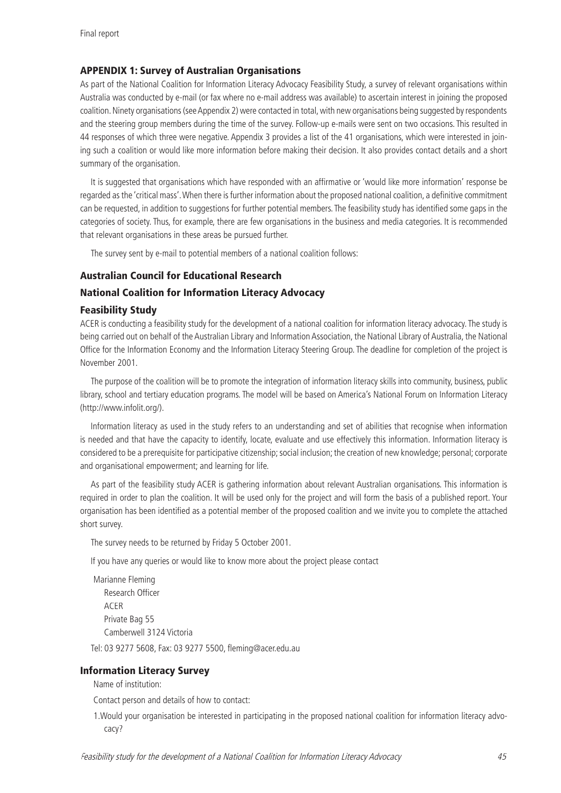## APPENDIX 1: Survey of Australian Organisations

As part of the National Coalition for Information Literacy Advocacy Feasibility Study, a survey of relevant organisations within Australia was conducted by e-mail (or fax where no e-mail address was available) to ascertain interest in joining the proposed coalition. Ninety organisations (see Appendix 2) were contacted in total, with new organisations being suggested by respondents and the steering group members during the time of the survey. Follow-up e-mails were sent on two occasions. This resulted in 44 responses of which three were negative. Appendix 3 provides a list of the 41 organisations, which were interested in joining such a coalition or would like more information before making their decision. It also provides contact details and a short summary of the organisation.

It is suggested that organisations which have responded with an affirmative or 'would like more information' response be regarded as the 'critical mass'. When there is further information about the proposed national coalition, a definitive commitment can be requested, in addition to suggestions for further potential members. The feasibility study has identified some gaps in the categories of society. Thus, for example, there are few organisations in the business and media categories. It is recommended that relevant organisations in these areas be pursued further.

The survey sent by e-mail to potential members of a national coalition follows:

## Australian Council for Educational Research

## National Coalition for Information Literacy Advocacy

## Feasibility Study

ACER is conducting a feasibility study for the development of a national coalition for information literacy advocacy. The study is being carried out on behalf of the Australian Library and Information Association, the National Library of Australia, the National Office for the Information Economy and the Information Literacy Steering Group. The deadline for completion of the project is November 2001.

The purpose of the coalition will be to promote the integration of information literacy skills into community, business, public library, school and tertiary education programs. The model will be based on America's National Forum on Information Literacy (http://www.infolit.org/).

Information literacy as used in the study refers to an understanding and set of abilities that recognise when information is needed and that have the capacity to identify, locate, evaluate and use effectively this information. Information literacy is considered to be a prerequisite for participative citizenship; social inclusion; the creation of new knowledge; personal; corporate and organisational empowerment; and learning for life.

As part of the feasibility study ACER is gathering information about relevant Australian organisations. This information is required in order to plan the coalition. It will be used only for the project and will form the basis of a published report. Your organisation has been identified as a potential member of the proposed coalition and we invite you to complete the attached short survey.

The survey needs to be returned by Friday 5 October 2001.

If you have any queries or would like to know more about the project please contact

Marianne Fleming Research Officer ACER Private Bag 55 Camberwell 3124 Victoria

Tel: 03 9277 5608, Fax: 03 9277 5500, fleming@acer.edu.au

## Information Literacy Survey

Name of institution:

Contact person and details of how to contact:

1.Would your organisation be interested in participating in the proposed national coalition for information literacy advocacy?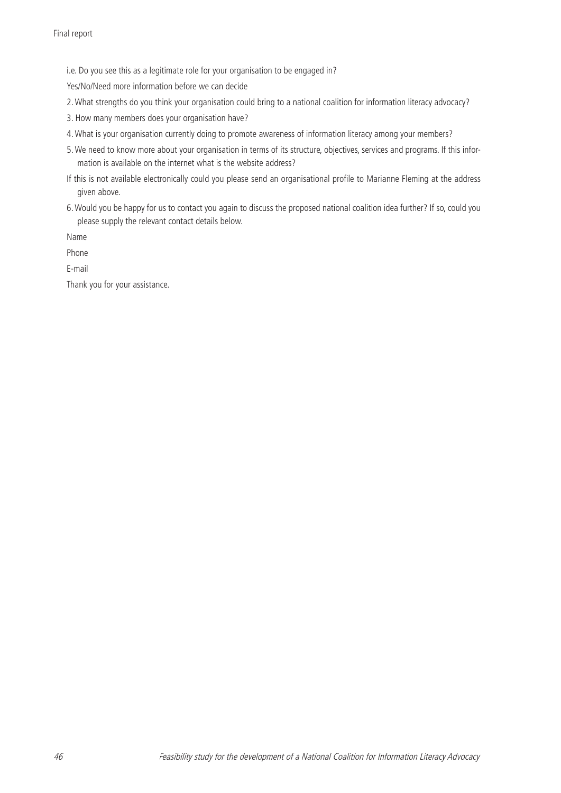i.e. Do you see this as a legitimate role for your organisation to be engaged in?

Yes/No/Need more information before we can decide

2. What strengths do you think your organisation could bring to a national coalition for information literacy advocacy?

- 3. How many members does your organisation have?
- 4. What is your organisation currently doing to promote awareness of information literacy among your members?
- 5. We need to know more about your organisation in terms of its structure, objectives, services and programs. If this information is available on the internet what is the website address?
- If this is not available electronically could you please send an organisational profile to Marianne Fleming at the address given above.
- 6. Would you be happy for us to contact you again to discuss the proposed national coalition idea further? If so, could you please supply the relevant contact details below.

Name

Phone

E-mail

Thank you for your assistance.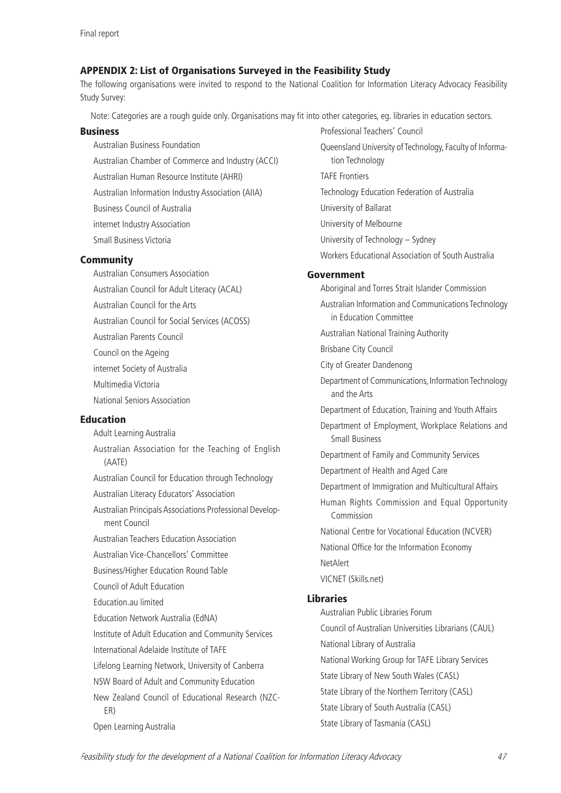## APPENDIX 2: List of Organisations Surveyed in the Feasibility Study

The following organisations were invited to respond to the National Coalition for Information Literacy Advocacy Feasibility Study Survey:

Note: Categories are a rough guide only. Organisations may fit into other categories, eg. libraries in education sectors.

#### **Business**

Australian Business Foundation Australian Chamber of Commerce and Industry (ACCI) Australian Human Resource Institute (AHRI) Australian Information Industry Association (AIIA) Business Council of Australia internet Industry Association Small Business Victoria

## **Community**

Australian Consumers Association Australian Council for Adult Literacy (ACAL) Australian Council for the Arts Australian Council for Social Services (ACOSS) Australian Parents Council Council on the Ageing internet Society of Australia Multimedia Victoria

National Seniors Association

## Education

Adult Learning Australia Australian Association for the Teaching of English (AATE) Australian Council for Education through Technology Australian Literacy Educators' Association Australian Principals Associations Professional Development Council Australian Teachers Education Association Australian Vice-Chancellors' Committee Business/Higher Education Round Table Council of Adult Education Education.au limited Education Network Australia (EdNA) Institute of Adult Education and Community Services International Adelaide Institute of TAFE Lifelong Learning Network, University of Canberra NSW Board of Adult and Community Education New Zealand Council of Educational Research (NZC-ER) Open Learning Australia

Professional Teachers' Council Queensland University of Technology, Faculty of Information Technology TAFE Frontiers Technology Education Federation of Australia University of Ballarat University of Melbourne University of Technology – Sydney Workers Educational Association of South Australia Government Aboriginal and Torres Strait Islander Commission Australian Information and Communications Technology in Education Committee Australian National Training Authority Brisbane City Council City of Greater Dandenong Department of Communications, Information Technology and the Arts Department of Education, Training and Youth Affairs Department of Employment, Workplace Relations and Small Business Department of Family and Community Services Department of Health and Aged Care Department of Immigration and Multicultural Affairs Human Rights Commission and Equal Opportunity Commission National Centre for Vocational Education (NCVER) National Office for the Information Economy NetAlert VICNET (Skills.net) Libraries Australian Public Libraries Forum

Council of Australian Universities Librarians (CAUL) National Library of Australia National Working Group for TAFE Library Services State Library of New South Wales (CASL) State Library of the Northern Territory (CASL) State Library of South Australia (CASL) State Library of Tasmania (CASL)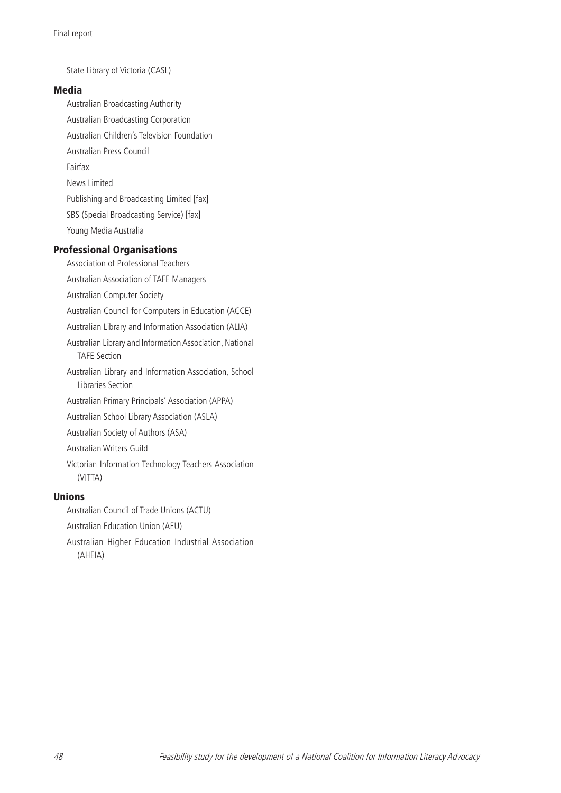State Library of Victoria (CASL)

#### Media

Australian Broadcasting Authority Australian Broadcasting Corporation Australian Children's Television Foundation Australian Press Council Fairfax News Limited Publishing and Broadcasting Limited [fax] SBS (Special Broadcasting Service) [fax] Young Media Australia

# Professional Organisations

Association of Professional Teachers Australian Association of TAFE Managers Australian Computer Society Australian Council for Computers in Education (ACCE) Australian Library and Information Association (ALIA) Australian Library and Information Association, National TAFE Section Australian Library and Information Association, School Libraries Section Australian Primary Principals' Association (APPA) Australian School Library Association (ASLA) Australian Society of Authors (ASA) Australian Writers Guild Victorian Information Technology Teachers Association (VITTA)

#### Unions

Australian Council of Trade Unions (ACTU) Australian Education Union (AEU) Australian Higher Education Industrial Association (AHEIA)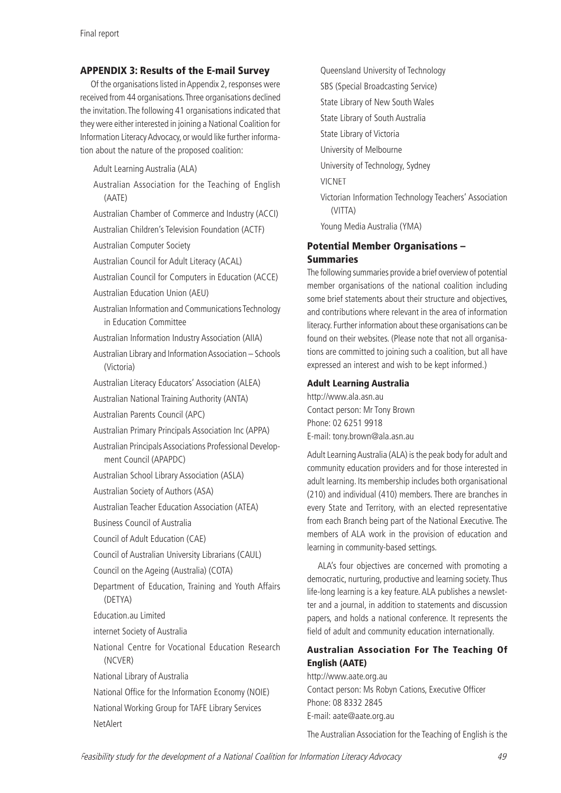#### APPENDIX 3: Results of the E-mail Survey

Of the organisations listed in Appendix 2, responses were received from 44 organisations. Three organisations declined the invitation. The following 41 organisations indicated that they were either interested in joining a National Coalition for Information Literacy Advocacy, or would like further information about the nature of the proposed coalition:

Adult Learning Australia (ALA)

Australian Association for the Teaching of English (AATE)

Australian Chamber of Commerce and Industry (ACCI)

Australian Children's Television Foundation (ACTF)

Australian Computer Society

Australian Council for Adult Literacy (ACAL)

Australian Council for Computers in Education (ACCE)

Australian Education Union (AEU)

Australian Information and Communications Technology in Education Committee

Australian Information Industry Association (AIIA)

Australian Library and Information Association – Schools (Victoria)

Australian Literacy Educators' Association (ALEA)

Australian National Training Authority (ANTA)

Australian Parents Council (APC)

Australian Primary Principals Association Inc (APPA)

- Australian Principals Associations Professional Development Council (APAPDC)
- Australian School Library Association (ASLA)

Australian Society of Authors (ASA)

Australian Teacher Education Association (ATEA)

Business Council of Australia

Council of Adult Education (CAE)

Council of Australian University Librarians (CAUL)

Council on the Ageing (Australia) (COTA)

Department of Education, Training and Youth Affairs (DETYA)

Education.au Limited

internet Society of Australia

National Centre for Vocational Education Research (NCVER)

National Library of Australia

National Office for the Information Economy (NOIE) National Working Group for TAFE Library Services NetAlert

Queensland University of Technology SBS (Special Broadcasting Service) State Library of New South Wales State Library of South Australia State Library of Victoria University of Melbourne University of Technology, Sydney VICNET Victorian Information Technology Teachers' Association (VITTA)

Young Media Australia (YMA)

## Potential Member Organisations – **Summaries**

The following summaries provide a brief overview of potential member organisations of the national coalition including some brief statements about their structure and objectives, and contributions where relevant in the area of information literacy. Further information about these organisations can be found on their websites. (Please note that not all organisations are committed to joining such a coalition, but all have expressed an interest and wish to be kept informed.)

#### Adult Learning Australia

http://www.ala.asn.au Contact person: Mr Tony Brown Phone: 02 6251 9918 E-mail: tony.brown@ala.asn.au

Adult Learning Australia (ALA) is the peak body for adult and community education providers and for those interested in adult learning. Its membership includes both organisational (210) and individual (410) members. There are branches in every State and Territory, with an elected representative from each Branch being part of the National Executive. The members of ALA work in the provision of education and learning in community-based settings.

ALA's four objectives are concerned with promoting a democratic, nurturing, productive and learning society. Thus life-long learning is a key feature. ALA publishes a newsletter and a journal, in addition to statements and discussion papers, and holds a national conference. It represents the field of adult and community education internationally.

## Australian Association For The Teaching Of English (AATE)

http://www.aate.org.au Contact person: Ms Robyn Cations, Executive Officer Phone: 08 8332 2845 E-mail: aate@aate.org.au

The Australian Association for the Teaching of English is the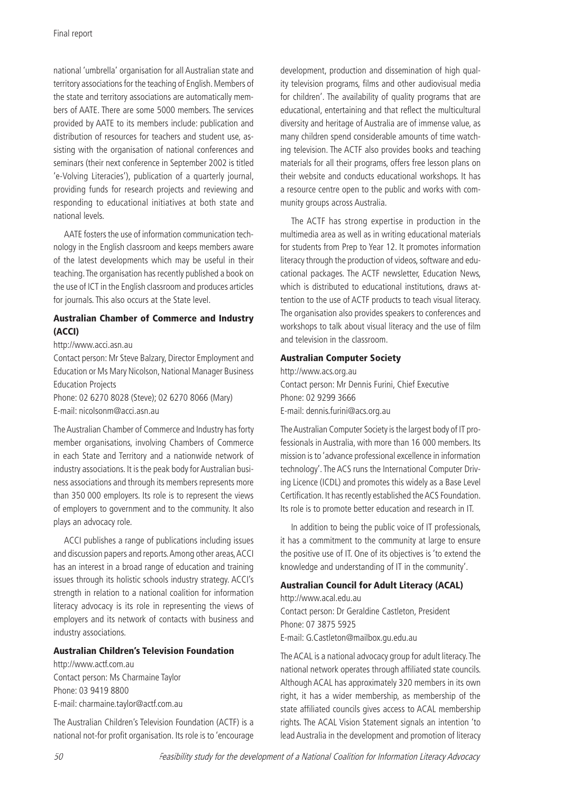national 'umbrella' organisation for all Australian state and territory associations for the teaching of English. Members of the state and territory associations are automatically members of AATE. There are some 5000 members. The services provided by AATE to its members include: publication and distribution of resources for teachers and student use, assisting with the organisation of national conferences and seminars (their next conference in September 2002 is titled 'e-Volving Literacies'), publication of a quarterly journal, providing funds for research projects and reviewing and responding to educational initiatives at both state and national levels.

AATE fosters the use of information communication technology in the English classroom and keeps members aware of the latest developments which may be useful in their teaching. The organisation has recently published a book on the use of ICT in the English classroom and produces articles for journals. This also occurs at the State level.

## Australian Chamber of Commerce and Industry (ACCI)

http://www.acci.asn.au

Contact person: Mr Steve Balzary, Director Employment and Education or Ms Mary Nicolson, National Manager Business Education Projects

Phone: 02 6270 8028 (Steve); 02 6270 8066 (Mary) E-mail: nicolsonm@acci.asn.au

The Australian Chamber of Commerce and Industry has forty member organisations, involving Chambers of Commerce in each State and Territory and a nationwide network of industry associations. It is the peak body for Australian business associations and through its members represents more than 350 000 employers. Its role is to represent the views of employers to government and to the community. It also plays an advocacy role.

ACCI publishes a range of publications including issues and discussion papers and reports. Among other areas, ACCI has an interest in a broad range of education and training issues through its holistic schools industry strategy. ACCI's strength in relation to a national coalition for information literacy advocacy is its role in representing the views of employers and its network of contacts with business and industry associations.

## Australian Children's Television Foundation

http://www.actf.com.au Contact person: Ms Charmaine Taylor Phone: 03 9419 8800 E-mail: charmaine.taylor@actf.com.au

The Australian Children's Television Foundation (ACTF) is a national not-for profit organisation. Its role is to 'encourage development, production and dissemination of high quality television programs, films and other audiovisual media for children'. The availability of quality programs that are educational, entertaining and that reflect the multicultural diversity and heritage of Australia are of immense value, as many children spend considerable amounts of time watching television. The ACTF also provides books and teaching materials for all their programs, offers free lesson plans on their website and conducts educational workshops. It has a resource centre open to the public and works with community groups across Australia.

The ACTF has strong expertise in production in the multimedia area as well as in writing educational materials for students from Prep to Year 12. It promotes information literacy through the production of videos, software and educational packages. The ACTF newsletter, Education News, which is distributed to educational institutions, draws attention to the use of ACTF products to teach visual literacy. The organisation also provides speakers to conferences and workshops to talk about visual literacy and the use of film and television in the classroom.

#### Australian Computer Society

http://www.acs.org.au Contact person: Mr Dennis Furini, Chief Executive Phone: 02 9299 3666 E-mail: dennis.furini@acs.org.au

The Australian Computer Society is the largest body of IT professionals in Australia, with more than 16 000 members. Its mission is to 'advance professional excellence in information technology'. The ACS runs the International Computer Driving Licence (ICDL) and promotes this widely as a Base Level Certification. It has recently established the ACS Foundation. Its role is to promote better education and research in IT.

In addition to being the public voice of IT professionals, it has a commitment to the community at large to ensure the positive use of IT. One of its objectives is 'to extend the knowledge and understanding of IT in the community'.

## Australian Council for Adult Literacy (ACAL)

http://www.acal.edu.au Contact person: Dr Geraldine Castleton, President Phone: 07 3875 5925 E-mail: G.Castleton@mailbox.gu.edu.au

The ACAL is a national advocacy group for adult literacy. The national network operates through affiliated state councils. Although ACAL has approximately 320 members in its own right, it has a wider membership, as membership of the state affiliated councils gives access to ACAL membership rights. The ACAL Vision Statement signals an intention 'to lead Australia in the development and promotion of literacy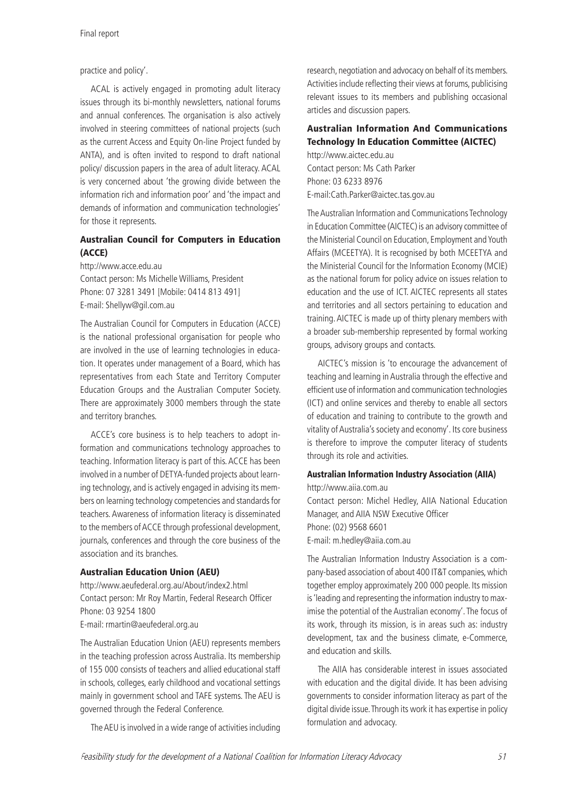practice and policy'.

ACAL is actively engaged in promoting adult literacy issues through its bi-monthly newsletters, national forums and annual conferences. The organisation is also actively involved in steering committees of national projects (such as the current Access and Equity On-line Project funded by ANTA), and is often invited to respond to draft national policy/ discussion papers in the area of adult literacy. ACAL is very concerned about 'the growing divide between the information rich and information poor' and 'the impact and demands of information and communication technologies' for those it represents.

## Australian Council for Computers in Education (ACCE)

http://www.acce.edu.au Contact person: Ms Michelle Williams, President Phone: 07 3281 3491 [Mobile: 0414 813 491] E-mail: Shellyw@gil.com.au

The Australian Council for Computers in Education (ACCE) is the national professional organisation for people who are involved in the use of learning technologies in education. It operates under management of a Board, which has representatives from each State and Territory Computer Education Groups and the Australian Computer Society. There are approximately 3000 members through the state and territory branches.

ACCE's core business is to help teachers to adopt information and communications technology approaches to teaching. Information literacy is part of this. ACCE has been involved in a number of DETYA-funded projects about learning technology, and is actively engaged in advising its members on learning technology competencies and standards for teachers. Awareness of information literacy is disseminated to the members of ACCE through professional development, journals, conferences and through the core business of the association and its branches.

## Australian Education Union (AEU)

http://www.aeufederal.org.au/About/index2.html Contact person: Mr Roy Martin, Federal Research Officer Phone: 03 9254 1800 E-mail: rmartin@aeufederal.org.au

The Australian Education Union (AEU) represents members in the teaching profession across Australia. Its membership of 155 000 consists of teachers and allied educational staff in schools, colleges, early childhood and vocational settings mainly in government school and TAFE systems. The AEU is governed through the Federal Conference.

The AEU is involved in a wide range of activities including

research, negotiation and advocacy on behalf of its members. Activities include reflecting their views at forums, publicising relevant issues to its members and publishing occasional articles and discussion papers.

## Australian Information And Communications Technology In Education Committee (AICTEC)

http://www.aictec.edu.au Contact person: Ms Cath Parker Phone: 03 6233 8976 E-mail:Cath.Parker@aictec.tas.gov.au

The Australian Information and Communications Technology in Education Committee (AICTEC) is an advisory committee of the Ministerial Council on Education, Employment and Youth Affairs (MCEETYA). It is recognised by both MCEETYA and the Ministerial Council for the Information Economy (MCIE) as the national forum for policy advice on issues relation to education and the use of ICT. AICTEC represents all states and territories and all sectors pertaining to education and training. AICTEC is made up of thirty plenary members with a broader sub-membership represented by formal working groups, advisory groups and contacts.

AICTEC's mission is 'to encourage the advancement of teaching and learning in Australia through the effective and efficient use of information and communication technologies (ICT) and online services and thereby to enable all sectors of education and training to contribute to the growth and vitality of Australia's society and economy'. Its core business is therefore to improve the computer literacy of students through its role and activities.

## Australian Information Industry Association (AIIA)

http://www.aiia.com.au Contact person: Michel Hedley, AIIA National Education Manager, and AIIA NSW Executive Officer Phone: (02) 9568 6601 E-mail: m.hedley@aiia.com.au

The Australian Information Industry Association is a company-based association of about 400 IT&T companies, which together employ approximately 200 000 people. Its mission is 'leading and representing the information industry to maximise the potential of the Australian economy'. The focus of its work, through its mission, is in areas such as: industry development, tax and the business climate, e-Commerce, and education and skills.

The AIIA has considerable interest in issues associated with education and the digital divide. It has been advising governments to consider information literacy as part of the digital divide issue. Through its work it has expertise in policy formulation and advocacy.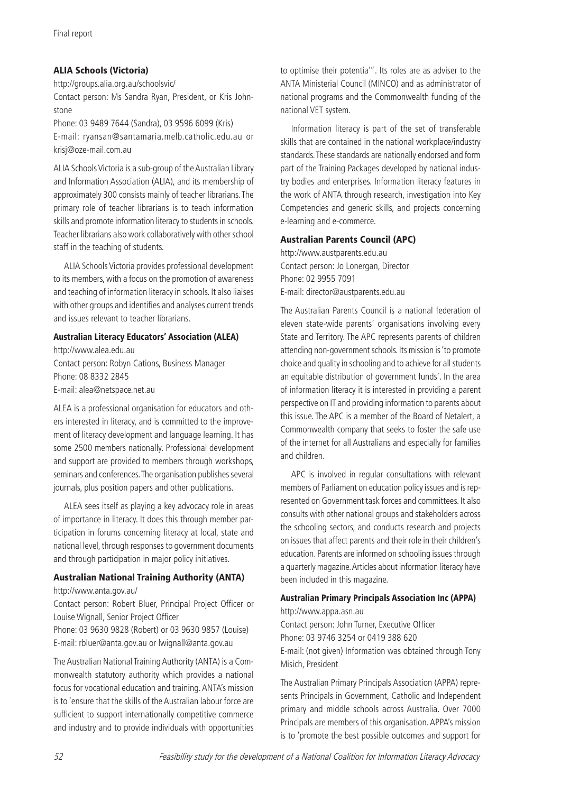# ALIA Schools (Victoria)

http://groups.alia.org.au/schoolsvic/

Contact person: Ms Sandra Ryan, President, or Kris Johnstone

Phone: 03 9489 7644 (Sandra), 03 9596 6099 (Kris) E-mail: ryansan@santamaria.melb.catholic.edu.au or krisj@oze-mail.com.au

ALIA Schools Victoria is a sub-group of the Australian Library and Information Association (ALIA), and its membership of approximately 300 consists mainly of teacher librarians. The primary role of teacher librarians is to teach information skills and promote information literacy to students in schools. Teacher librarians also work collaboratively with other school staff in the teaching of students.

ALIA Schools Victoria provides professional development to its members, with a focus on the promotion of awareness and teaching of information literacy in schools. It also liaises with other groups and identifies and analyses current trends and issues relevant to teacher librarians.

## Australian Literacy Educators' Association (ALEA)

http://www.alea.edu.au Contact person: Robyn Cations, Business Manager Phone: 08 8332 2845 E-mail: alea@netspace.net.au

ALEA is a professional organisation for educators and others interested in literacy, and is committed to the improvement of literacy development and language learning. It has some 2500 members nationally. Professional development and support are provided to members through workshops, seminars and conferences. The organisation publishes several journals, plus position papers and other publications.

ALEA sees itself as playing a key advocacy role in areas of importance in literacy. It does this through member participation in forums concerning literacy at local, state and national level, through responses to government documents and through participation in major policy initiatives.

# Australian National Training Authority (ANTA)

http://www.anta.gov.au/

Contact person: Robert Bluer, Principal Project Officer or Louise Wignall, Senior Project Officer

Phone: 03 9630 9828 (Robert) or 03 9630 9857 (Louise) E-mail: rbluer@anta.gov.au or lwignall@anta.gov.au

The Australian National Training Authority (ANTA) is a Commonwealth statutory authority which provides a national focus for vocational education and training. ANTA's mission is to 'ensure that the skills of the Australian labour force are sufficient to support internationally competitive commerce and industry and to provide individuals with opportunities

to optimise their potentia'". Its roles are as adviser to the ANTA Ministerial Council (MINCO) and as administrator of national programs and the Commonwealth funding of the national VET system.

Information literacy is part of the set of transferable skills that are contained in the national workplace/industry standards. These standards are nationally endorsed and form part of the Training Packages developed by national industry bodies and enterprises. Information literacy features in the work of ANTA through research, investigation into Key Competencies and generic skills, and projects concerning e-learning and e-commerce.

## Australian Parents Council (APC)

http://www.austparents.edu.au Contact person: Jo Lonergan, Director Phone: 02 9955 7091 E-mail: director@austparents.edu.au

The Australian Parents Council is a national federation of eleven state-wide parents' organisations involving every State and Territory. The APC represents parents of children attending non-government schools. Its mission is 'to promote choice and quality in schooling and to achieve for all students an equitable distribution of government funds'. In the area of information literacy it is interested in providing a parent perspective on IT and providing information to parents about this issue. The APC is a member of the Board of Netalert, a Commonwealth company that seeks to foster the safe use of the internet for all Australians and especially for families and children.

APC is involved in regular consultations with relevant members of Parliament on education policy issues and is represented on Government task forces and committees. It also consults with other national groups and stakeholders across the schooling sectors, and conducts research and projects on issues that affect parents and their role in their children's education. Parents are informed on schooling issues through a quarterly magazine. Articles about information literacy have been included in this magazine.

## Australian Primary Principals Association Inc (APPA)

http://www.appa.asn.au Contact person: John Turner, Executive Officer Phone: 03 9746 3254 or 0419 388 620 E-mail: (not given) Information was obtained through Tony Misich, President

The Australian Primary Principals Association (APPA) represents Principals in Government, Catholic and Independent primary and middle schools across Australia. Over 7000 Principals are members of this organisation. APPA's mission is to 'promote the best possible outcomes and support for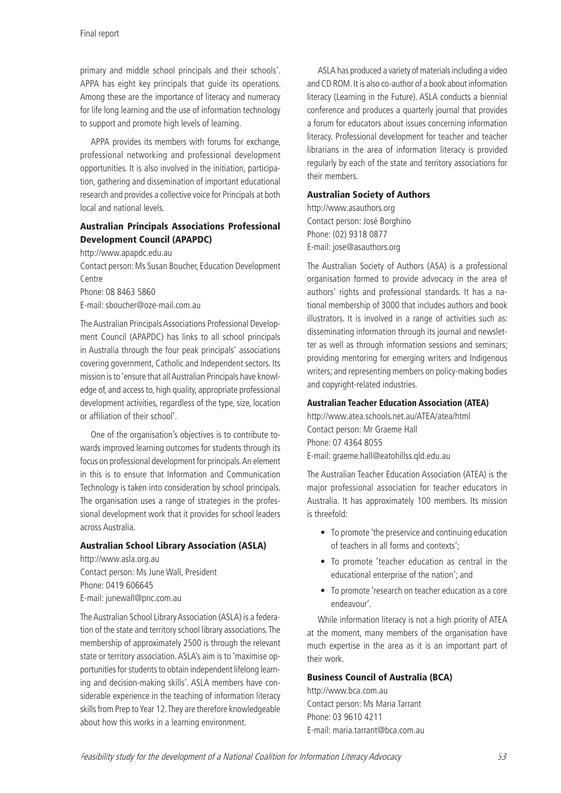primary and middle school principals and their schools'. APPA has eight key principals that guide its operations. Among these are the importance of literacy and numeracy for life long learning and the use of information technology to support and promote high levels of learning.

APPA provides its members with forums for exchange, professional networking and professional development opportunities. It is also involved in the initiation, participation, gathering and dissemination of important educational research and provides a collective voice for Principals at both local and national levels.

# Australian Principals Associations Professional Development Council (APAPDC)

http://www.apapdc.edu.au

Contact person: Ms Susan Boucher, Education Development Centre

Phone: 08 8463 5860

E-mail: sboucher@oze-mail.com.au

The Australian Principals Associations Professional Development Council (APAPDC) has links to all school principals in Australia through the four peak principals' associations covering government, Catholic and Independent sectors. Its mission is to 'ensure that all Australian Principals have knowledge of, and access to, high quality, appropriate professional development activities, regardless of the type, size, location or affiliation of their school'.

One of the organisation's objectives is to contribute towards improved learning outcomes for students through its focus on professional development for principals. An element in this is to ensure that Information and Communication Technology is taken into consideration by school principals. The organisation uses a range of strategies in the professional development work that it provides for school leaders across Australia.

## Australian School Library Association (ASLA)

http://www.asla.org.au Contact person: Ms June Wall, President Phone: 0419 606645 E-mail: junewall@pnc.com.au

The Australian School Library Association (ASLA) is a federation of the state and territory school library associations. The membership of approximately 2500 is through the relevant state or territory association. ASLA's aim is to 'maximise opportunities for students to obtain independent lifelong learning and decision-making skills'. ASLA members have considerable experience in the teaching of information literacy skills from Prep to Year 12. They are therefore knowledgeable about how this works in a learning environment.

ASLA has produced a variety of materials including a video and CD ROM. It is also co-author of a book about information literacy (Learning in the Future). ASLA conducts a biennial conference and produces a quarterly journal that provides a forum for educators about issues concerning information literacy. Professional development for teacher and teacher librarians in the area of information literacy is provided regularly by each of the state and territory associations for their members.

## Australian Society of Authors

http://www.asauthors.org Contact person: José Borghino Phone: (02) 9318 0877 E-mail: jose@asauthors.org

The Australian Society of Authors (ASA) is a professional organisation formed to provide advocacy in the area of authors' rights and professional standards. It has a national membership of 3000 that includes authors and book illustrators. It is involved in a range of activities such as: disseminating information through its journal and newsletter as well as through information sessions and seminars; providing mentoring for emerging writers and Indigenous writers; and representing members on policy-making bodies and copyright-related industries.

## Australian Teacher Education Association (ATEA)

http://www.atea.schools.net.au/ATEA/atea/html Contact person: Mr Graeme Hall Phone: 07 4364 8055 E-mail: graeme.hall@eatohillss.qld.edu.au

The Australian Teacher Education Association (ATEA) is the major professional association for teacher educators in Australia. It has approximately 100 members. Its mission is threefold:

- To promote 'the preservice and continuing education of teachers in all forms and contexts';
- To promote 'teacher education as central in the educational enterprise of the nation'; and
- To promote 'research on teacher education as a core endeavour'.

While information literacy is not a high priority of ATEA at the moment, many members of the organisation have much expertise in the area as it is an important part of their work.

## Business Council of Australia (BCA)

http://www.bca.com.au Contact person: Ms Maria Tarrant Phone: 03 9610 4211 E-mail: maria.tarrant@bca.com.au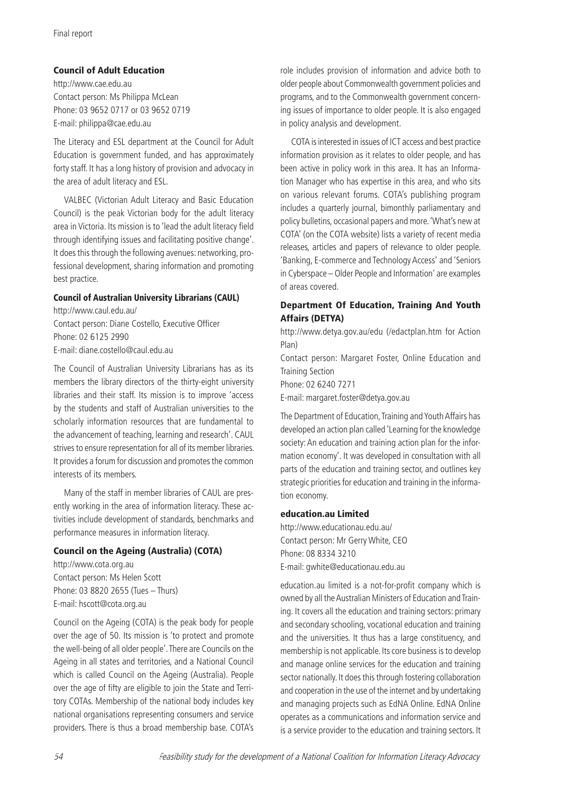## Council of Adult Education

http://www.cae.edu.au Contact person: Ms Philippa McLean Phone: 03 9652 0717 or 03 9652 0719 E-mail: philippa@cae.edu.au

The Literacy and ESL department at the Council for Adult Education is government funded, and has approximately forty staff. It has a long history of provision and advocacy in the area of adult literacy and ESL.

VALBEC (Victorian Adult Literacy and Basic Education Council) is the peak Victorian body for the adult literacy area in Victoria. Its mission is to 'lead the adult literacy field through identifying issues and facilitating positive change'. It does this through the following avenues: networking, professional development, sharing information and promoting best practice.

# Council of Australian University Librarians (CAUL)

http://www.caul.edu.au/ Contact person: Diane Costello, Executive Officer Phone: 02 6125 2990 E-mail: diane.costello@caul.edu.au

The Council of Australian University Librarians has as its members the library directors of the thirty-eight university libraries and their staff. Its mission is to improve 'access by the students and staff of Australian universities to the scholarly information resources that are fundamental to the advancement of teaching, learning and research'. CAUL strives to ensure representation for all of its member libraries. It provides a forum for discussion and promotes the common interests of its members.

Many of the staff in member libraries of CAUL are presently working in the area of information literacy. These activities include development of standards, benchmarks and performance measures in information literacy.

## Council on the Ageing (Australia) (COTA)

http://www.cota.org.au Contact person: Ms Helen Scott Phone: 03 8820 2655 (Tues – Thurs) E-mail: hscott@cota.org.au

Council on the Ageing (COTA) is the peak body for people over the age of 50. Its mission is 'to protect and promote the well-being of all older people'. There are Councils on the Ageing in all states and territories, and a National Council which is called Council on the Ageing (Australia). People over the age of fifty are eligible to join the State and Territory COTAs. Membership of the national body includes key national organisations representing consumers and service providers. There is thus a broad membership base. COTA's

role includes provision of information and advice both to older people about Commonwealth government policies and programs, and to the Commonwealth government concerning issues of importance to older people. It is also engaged in policy analysis and development.

COTA is interested in issues of ICT access and best practice information provision as it relates to older people, and has been active in policy work in this area. It has an Information Manager who has expertise in this area, and who sits on various relevant forums. COTA's publishing program includes a quarterly journal, bimonthly parliamentary and policy bulletins, occasional papers and more. 'What's new at COTA' (on the COTA website) lists a variety of recent media releases, articles and papers of relevance to older people. 'Banking, E-commerce and Technology Access' and 'Seniors in Cyberspace – Older People and Information' are examples of areas covered.

# Department Of Education, Training And Youth Affairs (DETYA)

http://www.detya.gov.au/edu (/edactplan.htm for Action Plan)

Contact person: Margaret Foster, Online Education and Training Section Phone: 02 6240 7271 E-mail: margaret.foster@detya.gov.au

The Department of Education, Training and Youth Affairs has developed an action plan called 'Learning for the knowledge society: An education and training action plan for the information economy'. It was developed in consultation with all parts of the education and training sector, and outlines key strategic priorities for education and training in the information economy.

## education.au Limited

http://www.educationau.edu.au/ Contact person: Mr Gerry White, CEO Phone: 08 8334 3210 E-mail: gwhite@educationau.edu.au

education.au limited is a not-for-profit company which is owned by all the Australian Ministers of Education and Training. It covers all the education and training sectors: primary and secondary schooling, vocational education and training and the universities. It thus has a large constituency, and membership is not applicable. Its core business is to develop and manage online services for the education and training sector nationally. It does this through fostering collaboration and cooperation in the use of the internet and by undertaking and managing projects such as EdNA Online. EdNA Online operates as a communications and information service and is a service provider to the education and training sectors. It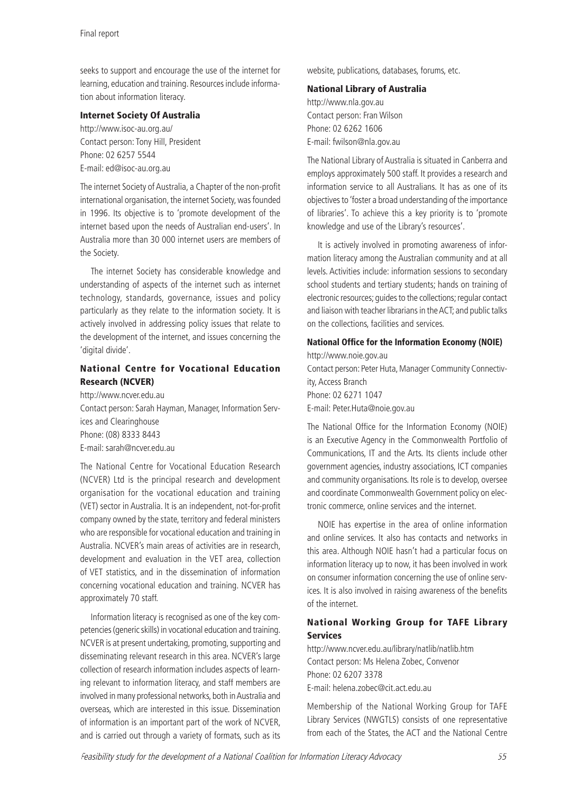seeks to support and encourage the use of the internet for learning, education and training. Resources include information about information literacy.

## Internet Society Of Australia

http://www.isoc-au.org.au/ Contact person: Tony Hill, President Phone: 02 6257 5544 E-mail: ed@isoc-au.org.au

The internet Society of Australia, a Chapter of the non-profit international organisation, the internet Society, was founded in 1996. Its objective is to 'promote development of the internet based upon the needs of Australian end-users'. In Australia more than 30 000 internet users are members of the Society.

The internet Society has considerable knowledge and understanding of aspects of the internet such as internet technology, standards, governance, issues and policy particularly as they relate to the information society. It is actively involved in addressing policy issues that relate to the development of the internet, and issues concerning the 'digital divide'.

## National Centre for Vocational Education Research (NCVER)

http://www.ncver.edu.au Contact person: Sarah Hayman, Manager, Information Services and Clearinghouse Phone: (08) 8333 8443 E-mail: sarah@ncver.edu.au

The National Centre for Vocational Education Research (NCVER) Ltd is the principal research and development organisation for the vocational education and training (VET) sector in Australia. It is an independent, not-for-profit company owned by the state, territory and federal ministers who are responsible for vocational education and training in Australia. NCVER's main areas of activities are in research, development and evaluation in the VET area, collection of VET statistics, and in the dissemination of information concerning vocational education and training. NCVER has approximately 70 staff.

Information literacy is recognised as one of the key competencies (generic skills) in vocational education and training. NCVER is at present undertaking, promoting, supporting and disseminating relevant research in this area. NCVER's large collection of research information includes aspects of learning relevant to information literacy, and staff members are involved in many professional networks, both in Australia and overseas, which are interested in this issue. Dissemination of information is an important part of the work of NCVER, and is carried out through a variety of formats, such as its website, publications, databases, forums, etc.

## National Library of Australia

http://www.nla.gov.au Contact person: Fran Wilson Phone: 02 6262 1606 E-mail: fwilson@nla.gov.au

The National Library of Australia is situated in Canberra and employs approximately 500 staff. It provides a research and information service to all Australians. It has as one of its objectives to 'foster a broad understanding of the importance of libraries'. To achieve this a key priority is to 'promote knowledge and use of the Library's resources'.

It is actively involved in promoting awareness of information literacy among the Australian community and at all levels. Activities include: information sessions to secondary school students and tertiary students; hands on training of electronic resources; guides to the collections; regular contact and liaison with teacher librarians in the ACT; and public talks on the collections, facilities and services.

# National Office for the Information Economy (NOIE)

http://www.noie.gov.au Contact person: Peter Huta, Manager Community Connectivity, Access Branch Phone: 02 6271 1047 E-mail: Peter.Huta@noie.gov.au

The National Office for the Information Economy (NOIE) is an Executive Agency in the Commonwealth Portfolio of Communications, IT and the Arts. Its clients include other government agencies, industry associations, ICT companies and community organisations. Its role is to develop, oversee and coordinate Commonwealth Government policy on electronic commerce, online services and the internet.

NOIE has expertise in the area of online information and online services. It also has contacts and networks in this area. Although NOIE hasn't had a particular focus on information literacy up to now, it has been involved in work on consumer information concerning the use of online services. It is also involved in raising awareness of the benefits of the internet.

# National Working Group for TAFE Library Services

http://www.ncver.edu.au/library/natlib/natlib.htm Contact person: Ms Helena Zobec, Convenor Phone: 02 6207 3378 E-mail: helena.zobec@cit.act.edu.au

Membership of the National Working Group for TAFE Library Services (NWGTLS) consists of one representative from each of the States, the ACT and the National Centre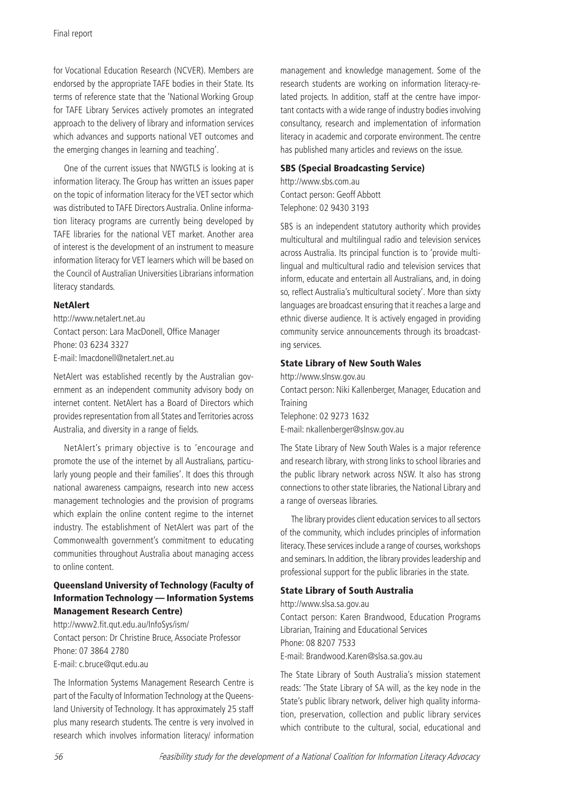for Vocational Education Research (NCVER). Members are endorsed by the appropriate TAFE bodies in their State. Its terms of reference state that the 'National Working Group for TAFE Library Services actively promotes an integrated approach to the delivery of library and information services which advances and supports national VET outcomes and the emerging changes in learning and teaching'.

One of the current issues that NWGTLS is looking at is information literacy. The Group has written an issues paper on the topic of information literacy for the VET sector which was distributed to TAFE Directors Australia. Online information literacy programs are currently being developed by TAFE libraries for the national VET market. Another area of interest is the development of an instrument to measure information literacy for VET learners which will be based on the Council of Australian Universities Librarians information literacy standards.

#### NetAlert

http://www.netalert.net.au Contact person: Lara MacDonell, Office Manager Phone: 03 6234 3327 E-mail: lmacdonell@netalert.net.au

NetAlert was established recently by the Australian government as an independent community advisory body on internet content. NetAlert has a Board of Directors which provides representation from all States and Territories across Australia, and diversity in a range of fields.

NetAlert's primary objective is to 'encourage and promote the use of the internet by all Australians, particularly young people and their families'. It does this through national awareness campaigns, research into new access management technologies and the provision of programs which explain the online content regime to the internet industry. The establishment of NetAlert was part of the Commonwealth government's commitment to educating communities throughout Australia about managing access to online content.

## Queensland University of Technology (Faculty of Information Technology — Information Systems Management Research Centre)

http://www2.fit.qut.edu.au/InfoSys/ism/ Contact person: Dr Christine Bruce, Associate Professor Phone: 07 3864 2780 E-mail: c.bruce@qut.edu.au

The Information Systems Management Research Centre is part of the Faculty of Information Technology at the Queensland University of Technology. It has approximately 25 staff plus many research students. The centre is very involved in research which involves information literacy/ information

management and knowledge management. Some of the research students are working on information literacy-related projects. In addition, staff at the centre have important contacts with a wide range of industry bodies involving consultancy, research and implementation of information literacy in academic and corporate environment. The centre has published many articles and reviews on the issue.

## SBS (Special Broadcasting Service)

http://www.sbs.com.au Contact person: Geoff Abbott Telephone: 02 9430 3193

SBS is an independent statutory authority which provides multicultural and multilingual radio and television services across Australia. Its principal function is to 'provide multilingual and multicultural radio and television services that inform, educate and entertain all Australians, and, in doing so, reflect Australia's multicultural society'. More than sixty languages are broadcast ensuring that it reaches a large and ethnic diverse audience. It is actively engaged in providing community service announcements through its broadcasting services.

#### State Library of New South Wales

http://www.slnsw.gov.au Contact person: Niki Kallenberger, Manager, Education and **Training** Telephone: 02 9273 1632 E-mail: nkallenberger@slnsw.gov.au

The State Library of New South Wales is a major reference and research library, with strong links to school libraries and the public library network across NSW. It also has strong connections to other state libraries, the National Library and a range of overseas libraries.

The library provides client education services to all sectors of the community, which includes principles of information literacy. These services include a range of courses, workshops and seminars. In addition, the library provides leadership and professional support for the public libraries in the state.

## State Library of South Australia

http://www.slsa.sa.gov.au

Contact person: Karen Brandwood, Education Programs Librarian, Training and Educational Services Phone: 08 8207 7533 E-mail: Brandwood.Karen@slsa.sa.gov.au

The State Library of South Australia's mission statement reads: 'The State Library of SA will, as the key node in the State's public library network, deliver high quality information, preservation, collection and public library services which contribute to the cultural, social, educational and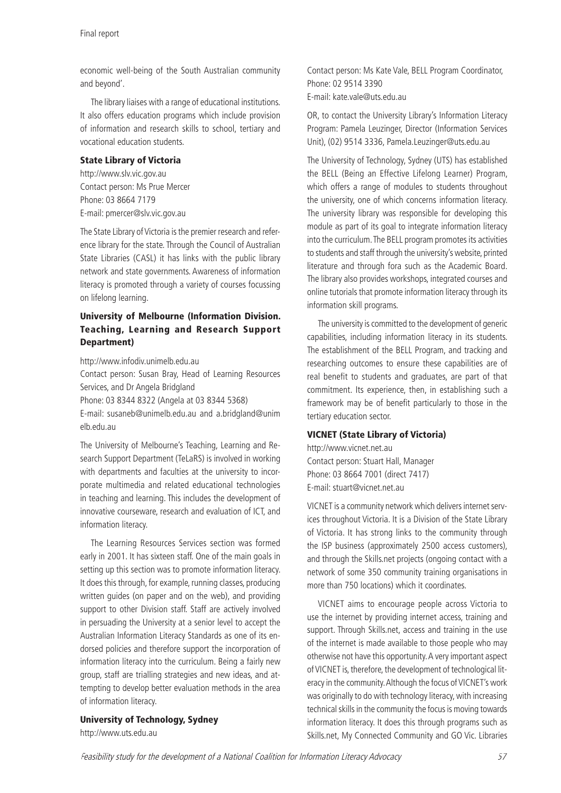elb.edu.au

economic well-being of the South Australian community and beyond'.

The library liaises with a range of educational institutions. It also offers education programs which include provision of information and research skills to school, tertiary and vocational education students.

#### State Library of Victoria

http://www.slv.vic.gov.au Contact person: Ms Prue Mercer Phone: 03 8664 7179 E-mail: pmercer@slv.vic.gov.au

The State Library of Victoria is the premier research and reference library for the state. Through the Council of Australian State Libraries (CASL) it has links with the public library network and state governments. Awareness of information literacy is promoted through a variety of courses focussing on lifelong learning.

# University of Melbourne (Information Division. Teaching, Learning and Research Support Department)

http://www.infodiv.unimelb.edu.au Contact person: Susan Bray, Head of Learning Resources Services, and Dr Angela Bridgland Phone: 03 8344 8322 (Angela at 03 8344 5368) E-mail: susaneb@unimelb.edu.au and a.bridgland@unim

The University of Melbourne's Teaching, Learning and Research Support Department (TeLaRS) is involved in working with departments and faculties at the university to incorporate multimedia and related educational technologies in teaching and learning. This includes the development of innovative courseware, research and evaluation of ICT, and information literacy.

The Learning Resources Services section was formed early in 2001. It has sixteen staff. One of the main goals in setting up this section was to promote information literacy. It does this through, for example, running classes, producing written guides (on paper and on the web), and providing support to other Division staff. Staff are actively involved in persuading the University at a senior level to accept the Australian Information Literacy Standards as one of its endorsed policies and therefore support the incorporation of information literacy into the curriculum. Being a fairly new group, staff are trialling strategies and new ideas, and attempting to develop better evaluation methods in the area of information literacy.

University of Technology, Sydney

http://www.uts.edu.au

Contact person: Ms Kate Vale, BELL Program Coordinator, Phone: 02 9514 3390 E-mail: kate.vale@uts.edu.au

OR, to contact the University Library's Information Literacy Program: Pamela Leuzinger, Director (Information Services Unit), (02) 9514 3336, Pamela.Leuzinger@uts.edu.au

The University of Technology, Sydney (UTS) has established the BELL (Being an Effective Lifelong Learner) Program, which offers a range of modules to students throughout the university, one of which concerns information literacy. The university library was responsible for developing this module as part of its goal to integrate information literacy into the curriculum. The BELL program promotes its activities to students and staff through the university's website, printed literature and through fora such as the Academic Board. The library also provides workshops, integrated courses and online tutorials that promote information literacy through its information skill programs.

The university is committed to the development of generic capabilities, including information literacy in its students. The establishment of the BELL Program, and tracking and researching outcomes to ensure these capabilities are of real benefit to students and graduates, are part of that commitment. Its experience, then, in establishing such a framework may be of benefit particularly to those in the tertiary education sector.

## VICNET (State Library of Victoria)

http://www.vicnet.net.au Contact person: Stuart Hall, Manager Phone: 03 8664 7001 (direct 7417) E-mail: stuart@vicnet.net.au

VICNET is a community network which delivers internet services throughout Victoria. It is a Division of the State Library of Victoria. It has strong links to the community through the ISP business (approximately 2500 access customers), and through the Skills.net projects (ongoing contact with a network of some 350 community training organisations in more than 750 locations) which it coordinates.

VICNET aims to encourage people across Victoria to use the internet by providing internet access, training and support. Through Skills.net, access and training in the use of the internet is made available to those people who may otherwise not have this opportunity. A very important aspect of VICNET is, therefore, the development of technological literacy in the community. Although the focus of VICNET's work was originally to do with technology literacy, with increasing technical skills in the community the focus is moving towards information literacy. It does this through programs such as Skills.net, My Connected Community and GO Vic. Libraries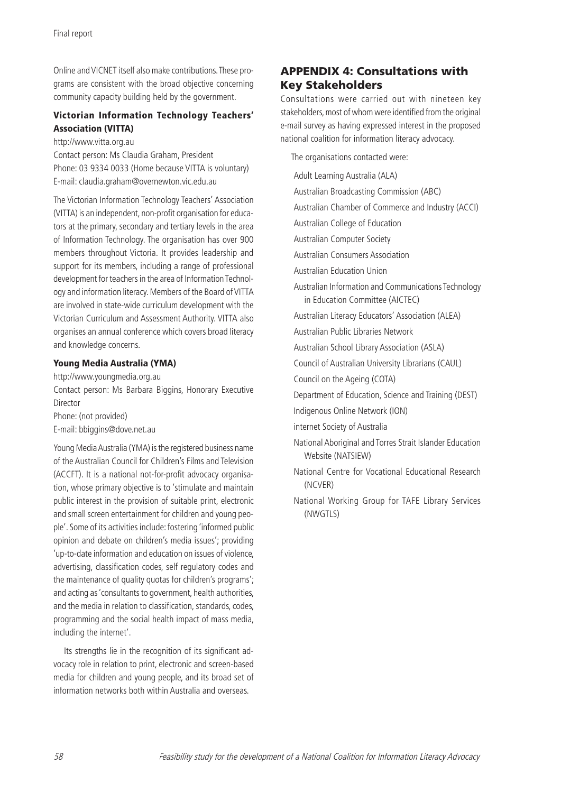Online and VICNET itself also make contributions. These programs are consistent with the broad objective concerning community capacity building held by the government.

# Victorian Information Technology Teachers' Association (VITTA)

http://www.vitta.org.au

Contact person: Ms Claudia Graham, President Phone: 03 9334 0033 (Home because VITTA is voluntary) E-mail: claudia.graham@overnewton.vic.edu.au

The Victorian Information Technology Teachers' Association (VITTA) is an independent, non-profit organisation for educators at the primary, secondary and tertiary levels in the area of Information Technology. The organisation has over 900 members throughout Victoria. It provides leadership and support for its members, including a range of professional development for teachers in the area of Information Technology and information literacy. Members of the Board of VITTA are involved in state-wide curriculum development with the Victorian Curriculum and Assessment Authority. VITTA also organises an annual conference which covers broad literacy and knowledge concerns.

## Young Media Australia (YMA)

http://www.youngmedia.org.au

Contact person: Ms Barbara Biggins, Honorary Executive Director

Phone: (not provided)

E-mail: bbiggins@dove.net.au

Young Media Australia (YMA) is the registered business name of the Australian Council for Children's Films and Television (ACCFT). It is a national not-for-profit advocacy organisation, whose primary objective is to 'stimulate and maintain public interest in the provision of suitable print, electronic and small screen entertainment for children and young people'. Some of its activities include: fostering 'informed public opinion and debate on children's media issues'; providing 'up-to-date information and education on issues of violence, advertising, classification codes, self regulatory codes and the maintenance of quality quotas for children's programs'; and acting as 'consultants to government, health authorities, and the media in relation to classification, standards, codes, programming and the social health impact of mass media, including the internet'.

Its strengths lie in the recognition of its significant advocacy role in relation to print, electronic and screen-based media for children and young people, and its broad set of information networks both within Australia and overseas.

# APPENDIX 4: Consultations with Key Stakeholders

Consultations were carried out with nineteen key stakeholders, most of whom were identified from the original e-mail survey as having expressed interest in the proposed national coalition for information literacy advocacy.

The organisations contacted were:

Adult Learning Australia (ALA) Australian Broadcasting Commission (ABC) Australian Chamber of Commerce and Industry (ACCI) Australian College of Education Australian Computer Society Australian Consumers Association Australian Education Union Australian Information and Communications Technology in Education Committee (AICTEC) Australian Literacy Educators' Association (ALEA) Australian Public Libraries Network Australian School Library Association (ASLA) Council of Australian University Librarians (CAUL) Council on the Ageing (COTA) Department of Education, Science and Training (DEST) Indigenous Online Network (ION) internet Society of Australia National Aboriginal and Torres Strait Islander Education Website (NATSIEW) National Centre for Vocational Educational Research (NCVER) National Working Group for TAFE Library Services (NWGTLS)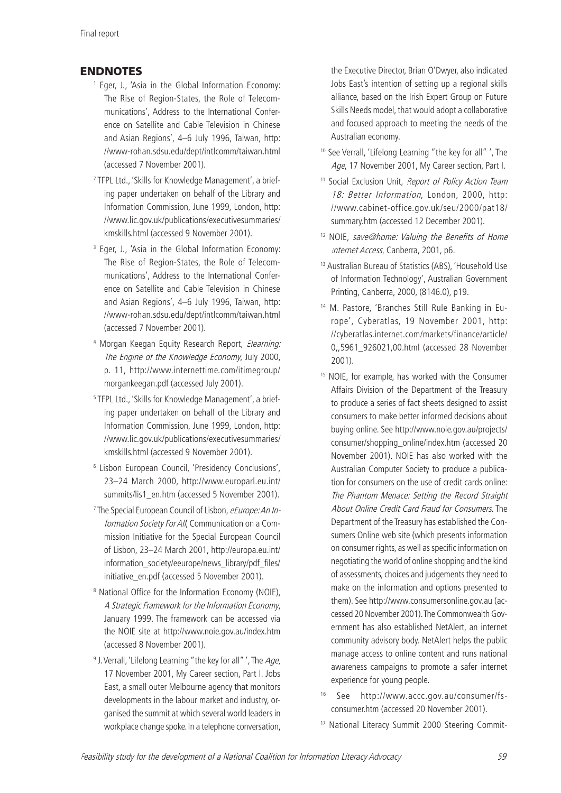# ENDNOTES

- 1 Eger, J., 'Asia in the Global Information Economy: The Rise of Region-States, the Role of Telecommunications', Address to the International Conference on Satellite and Cable Television in Chinese and Asian Regions', 4–6 July 1996, Taiwan, http: //www-rohan.sdsu.edu/dept/intlcomm/taiwan.html (accessed 7 November 2001).
- 2 TFPL Ltd., 'Skills for Knowledge Management', a briefing paper undertaken on behalf of the Library and Information Commission, June 1999, London, http: //www.lic.gov.uk/publications/executivesummaries/ kmskills.html (accessed 9 November 2001).
- <sup>3</sup> Eger, J., 'Asia in the Global Information Economy: The Rise of Region-States, the Role of Telecommunications', Address to the International Conference on Satellite and Cable Television in Chinese and Asian Regions', 4–6 July 1996, Taiwan, http: //www-rohan.sdsu.edu/dept/intlcomm/taiwan.html (accessed 7 November 2001).
- <sup>4</sup> Morgan Keegan Equity Research Report, Elearning: The Engine of the Knowledge Economy, July 2000, p. 11, http://www.internettime.com/itimegroup/ morgankeegan.pdf (accessed July 2001).
- <sup>5</sup> TFPL Ltd., 'Skills for Knowledge Management', a briefing paper undertaken on behalf of the Library and Information Commission, June 1999, London, http: //www.lic.gov.uk/publications/executivesummaries/ kmskills.html (accessed 9 November 2001).
- 6 Lisbon European Council, 'Presidency Conclusions', 23–24 March 2000, http://www.europarl.eu.int/ summits/lis1\_en.htm (accessed 5 November 2001).
- <sup>7</sup> The Special European Council of Lisbon, eEurope: An Information Society For All, Communication on a Commission Initiative for the Special European Council of Lisbon, 23–24 March 2001, http://europa.eu.int/ information\_society/eeurope/news\_library/pdf\_files/ initiative\_en.pdf (accessed 5 November 2001).
- <sup>8</sup> National Office for the Information Economy (NOIE), A Strategic Framework for the Information Economy, January 1999. The framework can be accessed via the NOIE site at http://www.noie.gov.au/index.htm (accessed 8 November 2001).
- <sup>9</sup> J. Verrall, 'Lifelong Learning "the key for all" ', The *Age*, 17 November 2001, My Career section, Part I. Jobs East, a small outer Melbourne agency that monitors developments in the labour market and industry, organised the summit at which several world leaders in workplace change spoke. In a telephone conversation,

the Executive Director, Brian O'Dwyer, also indicated Jobs East's intention of setting up a regional skills alliance, based on the Irish Expert Group on Future Skills Needs model, that would adopt a collaborative and focused approach to meeting the needs of the Australian economy.

- 10 See Verrall, 'Lifelong Learning "the key for all" ', The Age, 17 November 2001, My Career section, Part I.
- <sup>11</sup> Social Exclusion Unit, Report of Policy Action Team 18: Better Information, London, 2000, http: //www.cabinet-office.gov.uk/seu/2000/pat18/ summary.htm (accessed 12 December 2001).
- $12$  NOIE, save@home: Valuing the Benefits of Home internet Access, Canberra, 2001, p6.
- 13 Australian Bureau of Statistics (ABS), 'Household Use of Information Technology', Australian Government Printing, Canberra, 2000, (8146.0), p19.
- 14 M. Pastore, 'Branches Still Rule Banking in Europe', Cyberatlas, 19 November 2001, http: //cyberatlas.internet.com/markets/finance/article/ 0,,5961\_926021,00.html (accessed 28 November 2001).
- <sup>15</sup> NOIE, for example, has worked with the Consumer Affairs Division of the Department of the Treasury to produce a series of fact sheets designed to assist consumers to make better informed decisions about buying online. See http://www.noie.gov.au/projects/ consumer/shopping\_online/index.htm (accessed 20 November 2001). NOIE has also worked with the Australian Computer Society to produce a publication for consumers on the use of credit cards online: The Phantom Menace: Setting the Record Straight About Online Credit Card Fraud for Consumers. The Department of the Treasury has established the Consumers Online web site (which presents information on consumer rights, as well as specific information on negotiating the world of online shopping and the kind of assessments, choices and judgements they need to make on the information and options presented to them). See http://www.consumersonline.gov.au (accessed 20 November 2001). The Commonwealth Government has also established NetAlert, an internet community advisory body. NetAlert helps the public manage access to online content and runs national awareness campaigns to promote a safer internet experience for young people.
- 16 See http://www.accc.gov.au/consumer/fsconsumer.htm (accessed 20 November 2001).
- 17 National Literacy Summit 2000 Steering Commit-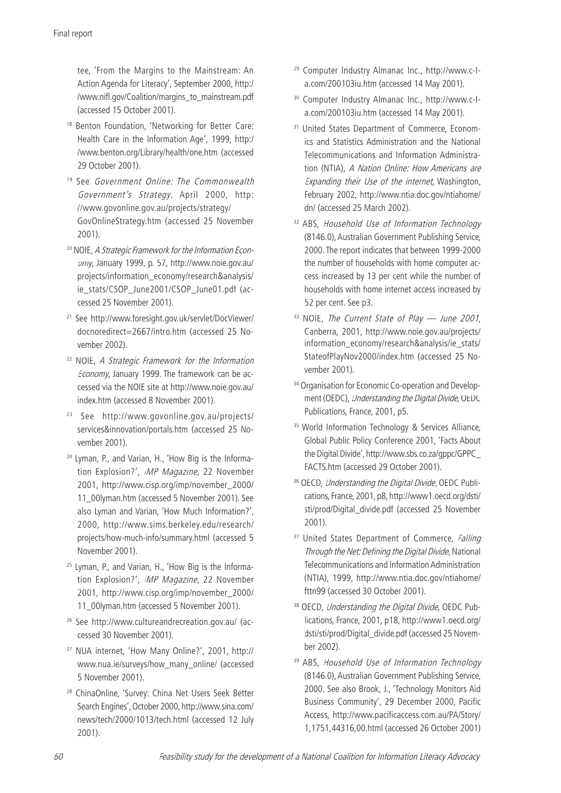tee, 'From the Margins to the Mainstream: An Action Agenda for Literacy', September 2000, http:/ /www.nifl .gov/Coalition/margins\_to\_mainstream.pdf (accessed 15 October 2001).

- 18 Benton Foundation, 'Networking for Better Care: Health Care in the Information Age', 1999, http:/ /www.benton.org/Library/health/one.htm (accessed 29 October 2001).
- <sup>19</sup> See Government Online: The Commonwealth Government's Strategy, April 2000, http: //www.govonline.gov.au/projects/strategy/ GovOnlineStrategy.htm (accessed 25 November 2001).
- <sup>20</sup> NOIE, A Strategic Framework for the Information Economy, January 1999, p. 57, http://www.noie.gov.au/ projects/information\_economy/research&analysis/ ie\_stats/CSOP\_June2001/CSOP\_June01.pdf (accessed 25 November 2001).
- 21 See http://www.foresight.gov.uk/servlet/DocViewer/ docnoredirect=2667/intro.htm (accessed 25 November 2002).
- <sup>22</sup> NOIE, A Strategic Framework for the Information Economy, January 1999. The framework can be accessed via the NOIE site at http://www.noie.gov.au/ index.htm (accessed 8 November 2001).
- 23 See http://www.govonline.gov.au/projects/ services&innovation/portals.htm (accessed 25 November 2001).
- <sup>24</sup> Lyman, P., and Varian, H., 'How Big is the Information Explosion?', *iMP Magazine*, 22 November 2001, http://www.cisp.org/imp/november\_2000/ 11\_00lyman.htm (accessed 5 November 2001). See also Lyman and Varian, 'How Much Information?', 2000, http://www.sims.berkeley.edu/research/ projects/how-much-info/summary.html (accessed 5 November 2001).
- <sup>25</sup> Lyman, P., and Varian, H., 'How Big is the Information Explosion?', iMP Magazine, 22 November 2001, http://www.cisp.org/imp/november\_2000/ 11\_00lyman.htm (accessed 5 November 2001).
- 26 See http://www.cultureandrecreation.gov.au/ (accessed 30 November 2001).
- 27 NUA internet, 'How Many Online?', 2001, http:// www.nua.ie/surveys/how\_many\_online/ (accessed 5 November 2001).
- 28 ChinaOnline, 'Survey: China Net Users Seek Better Search Engines', October 2000, http://www.sina.com/ news/tech/2000/1013/tech.html (accessed 12 July 2001).
- 29 Computer Industry Almanac Inc., http://www.c-Ia.com/200103iu.htm (accessed 14 May 2001).
- 30 Computer Industry Almanac Inc., http://www.c-Ia.com/200103iu.htm (accessed 14 May 2001).
- <sup>31</sup> United States Department of Commerce, Economics and Statistics Administration and the National Telecommunications and Information Administration (NTIA), A Nation Online: How Americans are Expanding their Use of the internet, Washington, February 2002, http://www.ntia.doc.gov/ntiahome/ dn/ (accessed 25 March 2002).
- <sup>32</sup> ABS, Household Use of Information Technology (8146.0), Australian Government Publishing Service, 2000. The report indicates that between 1999-2000 the number of households with home computer access increased by 13 per cent while the number of households with home internet access increased by 52 per cent. See p3.
- $33$  NOIE, The Current State of Play  $-$  June 2001, Canberra, 2001, http://www.noie.gov.au/projects/ information\_economy/research&analysis/ie\_stats/ StateofPlayNov2000/index.htm (accessed 25 November 2001).
- <sup>34</sup> Organisation for Economic Co-operation and Development (OEDC), Understanding the Digital Divide, OEDC Publications, France, 2001, p5.
- <sup>35</sup> World Information Technology & Services Alliance, Global Public Policy Conference 2001, 'Facts About the Digital Divide', http://www.sbs.co.za/gppc/GPPC\_ FACTS.htm (accessed 29 October 2001).
- <sup>36</sup> OECD, Understanding the Digital Divide, OEDC Publications, France, 2001, p8, http://www1.oecd.org/dsti/ sti/prod/Digital\_divide.pdf (accessed 25 November 2001).
- <sup>37</sup> United States Department of Commerce, *Falling* Through the Net: Defining the Digital Divide, National Telecommunications and Information Administration (NTIA), 1999, http://www.ntia.doc.gov/ntiahome/ fttn99 (accessed 30 October 2001).
- 38 OECD, Understanding the Digital Divide, OEDC Publications, France, 2001, p18, http://www1.oecd.org/ dsti/sti/prod/Digital\_divide.pdf (accessed 25 November 2002).
- <sup>39</sup> ABS, Household Use of Information Technology (8146.0), Australian Government Publishing Service, 2000. See also Brook, J., 'Technology Monitors Aid Business Community', 29 December 2000, Pacific Access, http://www.pacificaccess.com.au/PA/Story/ 1,1751,44316,00.html (accessed 26 October 2001)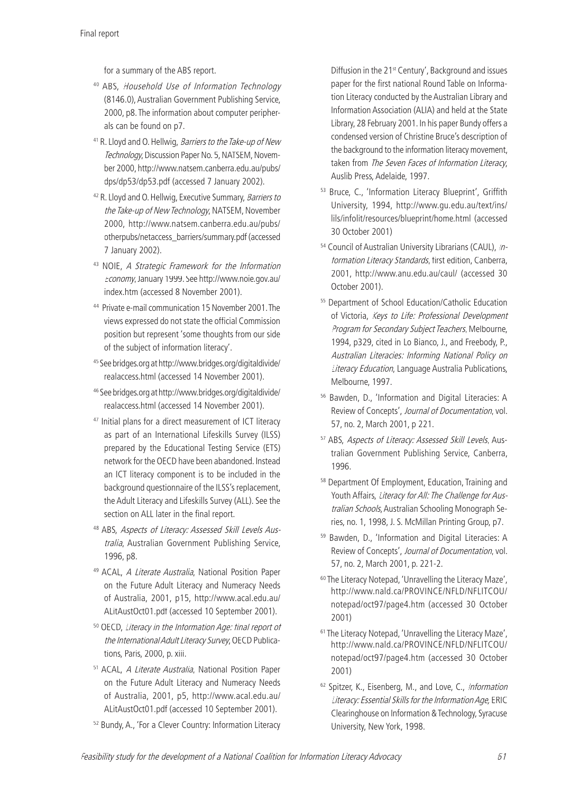for a summary of the ABS report.

- 40 ABS, Household Use of Information Technology (8146.0), Australian Government Publishing Service, 2000, p8. The information about computer peripherals can be found on p7.
- $41$  R. Lloyd and O. Hellwig, *Barriers to the Take-up of New* Technology, Discussion Paper No. 5, NATSEM, November 2000, http://www.natsem.canberra.edu.au/pubs/ dps/dp53/dp53.pdf (accessed 7 January 2002).
- <sup>42</sup> R. Lloyd and O. Hellwig, Executive Summary, Barriers to the Take-up of New Technology, NATSEM, November 2000, http://www.natsem.canberra.edu.au/pubs/ otherpubs/netaccess\_barriers/summary.pdf (accessed 7 January 2002).
- 43 NOIE, A Strategic Framework for the Information Economy, January 1999. See http://www.noie.gov.au/ index.htm (accessed 8 November 2001).
- 44 Private e-mail communication 15 November 2001. The views expressed do not state the official Commission position but represent 'some thoughts from our side of the subject of information literacy'.
- 45 See bridges.org at http://www.bridges.org/digitaldivide/ realaccess.html (accessed 14 November 2001).
- 46 See bridges.org at http://www.bridges.org/digitaldivide/ realaccess.html (accessed 14 November 2001).
- 47 Initial plans for a direct measurement of ICT literacy as part of an International Lifeskills Survey (ILSS) prepared by the Educational Testing Service (ETS) network for the OECD have been abandoned. Instead an ICT literacy component is to be included in the background questionnaire of the ILSS's replacement, the Adult Literacy and Lifeskills Survey (ALL). See the section on ALL later in the final report.
- 48 ABS, Aspects of Literacy: Assessed Skill Levels Australia, Australian Government Publishing Service, 1996, p8.
- 49 ACAL, A Literate Australia, National Position Paper on the Future Adult Literacy and Numeracy Needs of Australia, 2001, p15, http://www.acal.edu.au/ ALitAustOct01.pdf (accessed 10 September 2001).
- <sup>50</sup> OECD, Literacy in the Information Age: final report of the International Adult Literacy Survey, OECD Publications, Paris, 2000, p. xiii.
- <sup>51</sup> ACAL, A Literate Australia, National Position Paper on the Future Adult Literacy and Numeracy Needs of Australia, 2001, p5, http://www.acal.edu.au/ ALitAustOct01.pdf (accessed 10 September 2001).
- 52 Bundy, A., 'For a Clever Country: Information Literacy

Diffusion in the 21st Century', Background and issues paper for the first national Round Table on Information Literacy conducted by the Australian Library and Information Association (ALIA) and held at the State Library, 28 February 2001. In his paper Bundy offers a condensed version of Christine Bruce's description of the background to the information literacy movement, taken from The Seven Faces of Information Literacy, Auslib Press, Adelaide, 1997.

- <sup>53</sup> Bruce, C., 'Information Literacy Blueprint', Griffith University, 1994, http://www.gu.edu.au/text/ins/ lils/infolit/resources/blueprint/home.html (accessed 30 October 2001)
- 54 Council of Australian University Librarians (CAUL), Information Literacy Standards, first edition, Canberra, 2001, http://www.anu.edu.au/caul/ (accessed 30 October 2001).
- 55 Department of School Education/Catholic Education of Victoria, Keys to Life: Professional Development Program for Secondary Subject Teachers, Melbourne, 1994, p329, cited in Lo Bianco, J., and Freebody, P., Australian Literacies: Informing National Policy on Literacy Education, Language Australia Publications, Melbourne, 1997.
- 56 Bawden, D., 'Information and Digital Literacies: A Review of Concepts', Journal of Documentation, vol. 57, no. 2, March 2001, p 221.
- 57 ABS, Aspects of Literacy: Assessed Skill Levels, Australian Government Publishing Service, Canberra, 1996.
- 58 Department Of Employment, Education, Training and Youth Affairs, Literacy for All: The Challenge for Australian Schools, Australian Schooling Monograph Series, no. 1, 1998, J. S. McMillan Printing Group, p7.
- 59 Bawden, D., 'Information and Digital Literacies: A Review of Concepts', Journal of Documentation, vol. 57, no. 2, March 2001, p. 221-2.
- <sup>60</sup> The Literacy Notepad, 'Unravelling the Literacy Maze', http://www.nald.ca/PROVINCE/NFLD/NFLITCOU/ notepad/oct97/page4.htm (accessed 30 October 2001)
- <sup>61</sup> The Literacy Notepad, 'Unravelling the Literacy Maze', http://www.nald.ca/PROVINCE/NFLD/NFLITCOU/ notepad/oct97/page4.htm (accessed 30 October 2001)
- <sup>62</sup> Spitzer, K., Eisenberg, M., and Love, C., *Information* Literacy: Essential Skills for the Information Age, ERIC Clearinghouse on Information & Technology, Syracuse University, New York, 1998.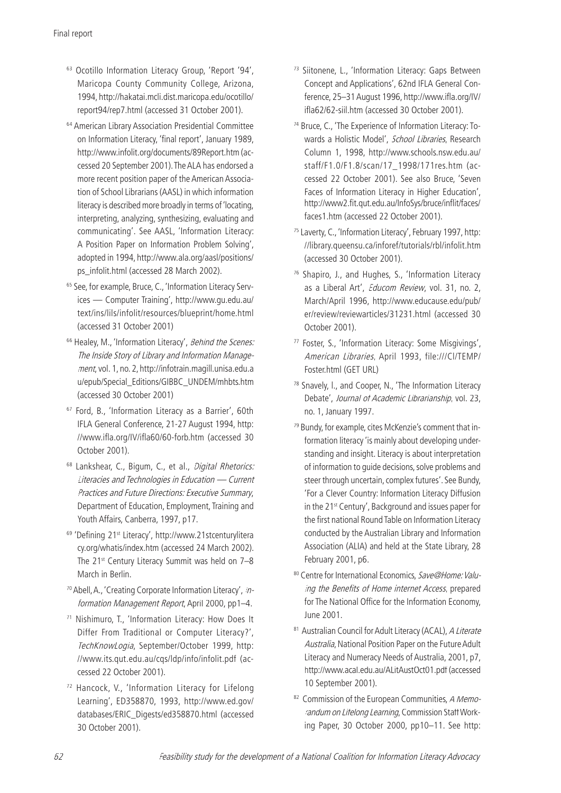- 63 Ocotillo Information Literacy Group, 'Report '94', Maricopa County Community College, Arizona, 1994, http://hakatai.mcli.dist.maricopa.edu/ocotillo/ report94/rep7.html (accessed 31 October 2001).
- 64 American Library Association Presidential Committee on Information Literacy, 'final report', January 1989, http://www.infolit.org/documents/89Report.htm (accessed 20 September 2001). The ALA has endorsed a more recent position paper of the American Association of School Librarians (AASL) in which information literacy is described more broadly in terms of 'locating, interpreting, analyzing, synthesizing, evaluating and communicating'. See AASL, 'Information Literacy: A Position Paper on Information Problem Solving', adopted in 1994, http://www.ala.org/aasl/positions/ ps\_infolit.html (accessed 28 March 2002).
- 65 See, for example, Bruce, C., 'Information Literacy Services — Computer Training', http://www.gu.edu.au/ text/ins/lils/infolit/resources/blueprint/home.html (accessed 31 October 2001)
- <sup>66</sup> Healey, M., 'Information Literacy', Behind the Scenes: The Inside Story of Library and Information Management, vol. 1, no. 2, http://infotrain.magill.unisa.edu.a u/epub/Special\_Editions/GIBBC\_UNDEM/mhbts.htm (accessed 30 October 2001)
- 67 Ford, B., 'Information Literacy as a Barrier', 60th IFLA General Conference, 21-27 August 1994, http: //www.ifla.org/IV/ifla60/60-forb.htm (accessed 30 October 2001).
- <sup>68</sup> Lankshear, C., Bigum, C., et al., *Digital Rhetorics:* Literacies and Technologies in Education — Current Practices and Future Directions: Executive Summary, Department of Education, Employment, Training and Youth Affairs, Canberra, 1997, p17.
- 69 'Defining 21st Literacy', http://www.21stcenturylitera cy.org/whatis/index.htm (accessed 24 March 2002). The 21<sup>st</sup> Century Literacy Summit was held on 7-8 March in Berlin.
- 70 Abell, A., 'Creating Corporate Information Literacy', Information Management Report, April 2000, pp1-4.
- 71 Nishimuro, T., 'Information Literacy: How Does It Differ From Traditional or Computer Literacy?', TechKnowLogia, September/October 1999, http: //www.its.qut.edu.au/cqs/ldp/info/infolit.pdf (accessed 22 October 2001).
- 72 Hancock, V., 'Information Literacy for Lifelong Learning', ED358870, 1993, http://www.ed.gov/ databases/ERIC\_Digests/ed358870.html (accessed 30 October 2001).
- 73 Siitonene, L., 'Information Literacy: Gaps Between Concept and Applications', 62nd IFLA General Conference, 25-31 August 1996, http://www.ifla.org/IV/ ifla62/62-siil.htm (accessed 30 October 2001).
- 74 Bruce, C., 'The Experience of Information Literacy: Towards a Holistic Model', School Libraries, Research Column 1, 1998, http://www.schools.nsw.edu.au/ staff/F1.0/F1.8/scan/17\_1998/171res.htm (accessed 22 October 2001). See also Bruce, 'Seven Faces of Information Literacy in Higher Education'. http://www2.fit.qut.edu.au/InfoSys/bruce/inflit/faces/ faces1.htm (accessed 22 October 2001).
- 75 Laverty, C., 'Information Literacy', February 1997, http: //library.queensu.ca/inforef/tutorials/rbl/infolit.htm (accessed 30 October 2001).
- 76 Shapiro, J., and Hughes, S., 'Information Literacy as a Liberal Art', *Educom Review*, vol. 31, no. 2, March/April 1996, http://www.educause.edu/pub/ er/review/reviewarticles/31231.html (accessed 30 October 2001).
- 77 Foster, S., 'Information Literacy: Some Misgivings', American Libraries, April 1993, file:///Cl/TEMP/ Foster.html (GET URL)
- 78 Snavely, l., and Cooper, N., 'The Information Literacy Debate', Journal of Academic Librarianship, vol. 23, no. 1, January 1997.
- 79 Bundy, for example, cites McKenzie's comment that information literacy 'is mainly about developing understanding and insight. Literacy is about interpretation of information to guide decisions, solve problems and steer through uncertain, complex futures'. See Bundy, 'For a Clever Country: Information Literacy Diffusion in the 21<sup>st</sup> Century', Background and issues paper for the first national Round Table on Information Literacy conducted by the Australian Library and Information Association (ALIA) and held at the State Library, 28 February 2001, p6.
- 80 Centre for International Economics, Save@Home: Valuing the Benefits of Home internet Access, prepared for The National Office for the Information Economy, June 2001.
- 81 Australian Council for Adult Literacy (ACAL), A Literate Australia, National Position Paper on the Future Adult Literacy and Numeracy Needs of Australia, 2001, p7, http://www.acal.edu.au/ALitAustOct01.pdf (accessed 10 September 2001).
- 82 Commission of the European Communities, A Memorandum on Lifelong Learning, Commission Staff Working Paper, 30 October 2000, pp10–11. See http: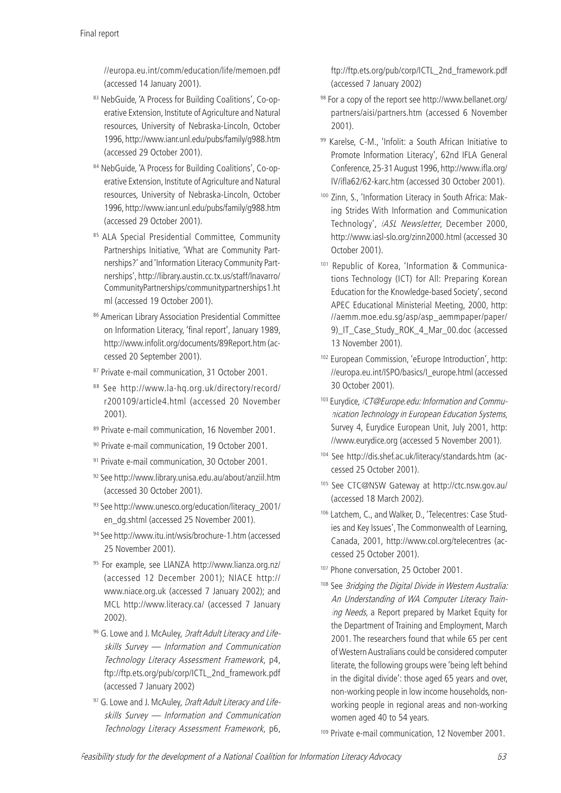//europa.eu.int/comm/education/life/memoen.pdf (accessed 14 January 2001).

- 83 NebGuide, 'A Process for Building Coalitions', Co-operative Extension, Institute of Agriculture and Natural resources, University of Nebraska-Lincoln, October 1996, http://www.ianr.unl.edu/pubs/family/g988.htm (accessed 29 October 2001).
- 84 NebGuide, 'A Process for Building Coalitions', Co-operative Extension, Institute of Agriculture and Natural resources, University of Nebraska-Lincoln, October 1996, http://www.ianr.unl.edu/pubs/family/g988.htm (accessed 29 October 2001).
- 85 ALA Special Presidential Committee, Community Partnerships Initiative, 'What are Community Partnerships?' and 'Information Literacy Community Partnerships', http://library.austin.cc.tx.us/staff/lnavarro/ CommunityPartnerships/communitypartnerships1.ht ml (accessed 19 October 2001).
- 86 American Library Association Presidential Committee on Information Literacy, 'final report', January 1989, http://www.infolit.org/documents/89Report.htm (accessed 20 September 2001).
- 87 Private e-mail communication, 31 October 2001.
- 88 See http://www.la-hq.org.uk/directory/record/ r200109/article4.html (accessed 20 November 2001).
- 89 Private e-mail communication, 16 November 2001.
- 90 Private e-mail communication, 19 October 2001.
- 91 Private e-mail communication, 30 October 2001.
- 92 See http://www.library.unisa.edu.au/about/anziil.htm (accessed 30 October 2001).
- 93 See http://www.unesco.org/education/literacy\_2001/ en\_dg.shtml (accessed 25 November 2001).
- 94 See http://www.itu.int/wsis/brochure-1.htm (accessed 25 November 2001).
- 95 For example, see LIANZA http://www.lianza.org.nz/ (accessed 12 December 2001); NIACE http:// www.niace.org.uk (accessed 7 January 2002); and MCL http://www.literacy.ca/ (accessed 7 January 2002).
- <sup>96</sup> G. Lowe and J. McAuley, *Draft Adult Literacy and Life*skills Survey — Information and Communication Technology Literacy Assessment Framework, p4, ftp://ftp.ets.org/pub/corp/ICTL\_2nd\_framework.pdf (accessed 7 January 2002)
- <sup>97</sup> G. Lowe and J. McAuley, *Draft Adult Literacy and Life*skills Survey — Information and Communication Technology Literacy Assessment Framework, p6,

ftp://ftp.ets.org/pub/corp/ICTL\_2nd\_framework.pdf (accessed 7 January 2002)

- 98 For a copy of the report see http://www.bellanet.org/ partners/aisi/partners.htm (accessed 6 November 2001).
- 99 Karelse, C-M., 'Infolit: a South African Initiative to Promote Information Literacy', 62nd IFLA General Conference, 25-31 August 1996, http://www.ifla.org/ IV/ifla62/62-karc.htm (accessed 30 October 2001).
- 100 Zinn, S., 'Information Literacy in South Africa: Making Strides With Information and Communication Technology', *IASL Newsletter*, December 2000, http://www.iasl-slo.org/zinn2000.html (accessed 30 October 2001).
- 101 Republic of Korea, 'Information & Communications Technology (ICT) for All: Preparing Korean Education for the Knowledge-based Society', second APEC Educational Ministerial Meeting, 2000, http: //aemm.moe.edu.sg/asp/asp\_aemmpaper/paper/ 9) IT Case Study\_ROK\_4\_Mar\_00.doc (accessed 13 November 2001).
- 102 European Commission, 'eEurope Introduction', http: //europa.eu.int/ISPO/basics/I\_europe.html (accessed 30 October 2001).
- 103 Eurydice, ICT@Europe.edu: Information and Communication Technology in European Education Systems, Survey 4, Eurydice European Unit, July 2001, http: //www.eurydice.org (accessed 5 November 2001).
- 104 See http://dis.shef.ac.uk/literacy/standards.htm (accessed 25 October 2001).
- 105 See CTC@NSW Gateway at http://ctc.nsw.gov.au/ (accessed 18 March 2002).
- 106 Latchem, C., and Walker, D., 'Telecentres: Case Studies and Key Issues', The Commonwealth of Learning, Canada, 2001, http://www.col.org/telecentres (accessed 25 October 2001).

107 Phone conversation, 25 October 2001.

<sup>108</sup> See *Bridging the Digital Divide in Western Australia:* An Understanding of WA Computer Literacy Training Needs, a Report prepared by Market Equity for the Department of Training and Employment, March 2001. The researchers found that while 65 per cent of Western Australians could be considered computer literate, the following groups were 'being left behind in the digital divide': those aged 65 years and over, non-working people in low income households, nonworking people in regional areas and non-working women aged 40 to 54 years.

109 Private e-mail communication, 12 November 2001.